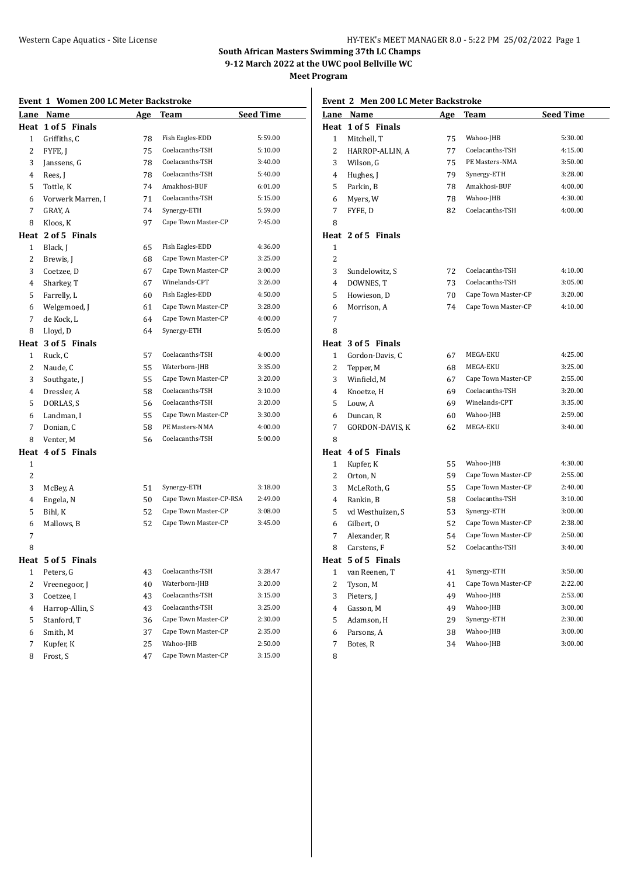**Meet Program**

# **Event 1 Women 200 LC Meter Backstroke**

| Lane         | Name               | <u>Age</u> | <b>Team</b>             | <b>Seed Time</b> |
|--------------|--------------------|------------|-------------------------|------------------|
|              | Heat 1 of 5 Finals |            |                         |                  |
| $\mathbf{1}$ | Griffiths, C       | 78         | Fish Eagles-EDD         | 5:59.00          |
| 2            | FYFE, J            | 75         | Coelacanths-TSH         | 5:10.00          |
| 3            | Janssens, G        | 78         | Coelacanths-TSH         | 3:40.00          |
| 4            | Rees, J            | 78         | Coelacanths-TSH         | 5:40.00          |
| 5            | Tottle, K          | 74         | Amakhosi-BUF            | 6:01.00          |
| 6            | Vorwerk Marren, I  | 71         | Coelacanths-TSH         | 5:15.00          |
| 7            | GRAY, A            | 74         | Synergy-ETH             | 5:59.00          |
| 8            | Kloos, K           | 97         | Cape Town Master-CP     | 7:45.00          |
| Heat         | 2 of 5 Finals      |            |                         |                  |
| $\mathbf{1}$ | Black, J           | 65         | Fish Eagles-EDD         | 4:36.00          |
| 2            | Brewis, J          | 68         | Cape Town Master-CP     | 3:25.00          |
| 3            | Coetzee, D         | 67         | Cape Town Master-CP     | 3:00.00          |
| 4            | Sharkey, T         | 67         | Winelands-CPT           | 3:26.00          |
| 5            | Farrelly, L        | 60         | Fish Eagles-EDD         | 4:50.00          |
| 6            | Welgemoed, J       | 61         | Cape Town Master-CP     | 3:28.00          |
| 7            | de Kock, L         | 64         | Cape Town Master-CP     | 4:00.00          |
| 8            | Lloyd, D           | 64         | Synergy-ETH             | 5:05.00          |
| Heat         | 3 of 5 Finals      |            |                         |                  |
| 1            | Ruck, C            | 57         | Coelacanths-TSH         | 4:00.00          |
| 2            | Naude, C           | 55         | Waterborn-JHB           | 3:35.00          |
| 3            | Southgate, J       | 55         | Cape Town Master-CP     | 3:20.00          |
| 4            | Dressler, A        | 58         | Coelacanths-TSH         | 3:10.00          |
| 5            | DORLAS, S          | 56         | Coelacanths-TSH         | 3:20.00          |
| 6            | Landman, I         | 55         | Cape Town Master-CP     | 3:30.00          |
| 7            | Donian, C          | 58         | PE Masters-NMA          | 4:00.00          |
| 8            | Venter, M          | 56         | Coelacanths-TSH         | 5:00.00          |
| Heat         | 4 of 5 Finals      |            |                         |                  |
| $\mathbf{1}$ |                    |            |                         |                  |
| 2            |                    |            |                         |                  |
| 3            | McBey, A           | 51         | Synergy-ETH             | 3:18.00          |
| 4            | Engela, N          | 50         | Cape Town Master-CP-RSA | 2:49.00          |
| 5            | Bihl, K            | 52         | Cape Town Master-CP     | 3:08.00          |
| 6            | Mallows, B         | 52         | Cape Town Master-CP     | 3:45.00          |
| 7            |                    |            |                         |                  |
| 8            |                    |            |                         |                  |
|              | Heat 5 of 5 Finals |            |                         |                  |
| 1            | Peters, G          | 43         | Coelacanths-TSH         | 3:28.47          |
| 2            | Vreenegoor, J      | 40         | Waterborn-JHB           | 3:20.00          |
| 3            | Coetzee, I         | 43         | Coelacanths-TSH         | 3:15.00          |
| 4            | Harrop-Allin, S    | 43         | Coelacanths-TSH         | 3:25.00          |
| 5            | Stanford, T        | 36         | Cape Town Master-CP     | 2:30.00          |
| 6            | Smith, M           | 37         | Cape Town Master-CP     | 2:35.00          |
| 7            | Kupfer, K          | 25         | Wahoo-JHB               | 2:50.00          |
| 8            | Frost, S           | 47         | Cape Town Master-CP     | 3:15.00          |
|              |                    |            |                         |                  |

**Event 2 Men 200 LC Meter Backstroke**

| Lane           | Name               | <u>Age</u> | Team                | <u>Seed Time</u> |  |
|----------------|--------------------|------------|---------------------|------------------|--|
| Heat           | 1 of 5 Finals      |            |                     |                  |  |
| $\mathbf{1}$   | Mitchell, T        | 75         | Wahoo-JHB           | 5:30.00          |  |
| $\overline{2}$ | HARROP-ALLIN, A    | 77         | Coelacanths-TSH     | 4:15.00          |  |
| 3              | Wilson, G          | 75         | PE Masters-NMA      | 3:50.00          |  |
| 4              | Hughes, J          | 79         | Synergy-ETH         | 3:28.00          |  |
| 5              | Parkin, B          | 78         | Amakhosi-BUF        | 4:00.00          |  |
| 6              | Myers, W           | 78         | Wahoo-JHB           | 4:30.00          |  |
| 7              | FYFE, D            | 82         | Coelacanths-TSH     | 4:00.00          |  |
| 8              |                    |            |                     |                  |  |
|                | Heat 2 of 5 Finals |            |                     |                  |  |
| 1              |                    |            |                     |                  |  |
| $\overline{c}$ |                    |            |                     |                  |  |
| 3              | Sundelowitz, S     | 72         | Coelacanths-TSH     | 4:10.00          |  |
| 4              | DOWNES, T          | 73         | Coelacanths-TSH     | 3:05.00          |  |
| 5              | Howieson, D        | 70         | Cape Town Master-CP | 3:20.00          |  |
| 6              | Morrison, A        | 74         | Cape Town Master-CP | 4:10.00          |  |
| 7              |                    |            |                     |                  |  |
| 8              |                    |            |                     |                  |  |
|                | Heat 3 of 5 Finals |            |                     |                  |  |
| 1              | Gordon-Davis, C    | 67         | MEGA-EKU            | 4:25.00          |  |
| $\overline{2}$ | Tepper, M          | 68         | MEGA-EKU            | 3:25.00          |  |
| 3              | Winfield, M        | 67         | Cape Town Master-CP | 2:55.00          |  |
| $\overline{4}$ | Knoetze, H         | 69         | Coelacanths-TSH     | 3:20.00          |  |
| 5              | Louw, A            | 69         | Winelands-CPT       | 3:35.00          |  |
| 6              | Duncan, R          | 60         | Wahoo-JHB           | 2:59.00          |  |
| 7              | GORDON-DAVIS, K    | 62         | MEGA-EKU            | 3:40.00          |  |
| 8              |                    |            |                     |                  |  |
|                | Heat 4 of 5 Finals |            |                     |                  |  |
| 1              | Kupfer, K          | 55         | Wahoo-JHB           | 4:30.00          |  |
| 2              | Orton, N           | 59         | Cape Town Master-CP | 2:55.00          |  |
| 3              | McLeRoth, G        | 55         | Cape Town Master-CP | 2:40.00          |  |
| 4              | Rankin, B          | 58         | Coelacanths-TSH     | 3:10.00          |  |
| 5              | vd Westhuizen, S   | 53         | Synergy-ETH         | 3:00.00          |  |
| 6              | Gilbert, O         | 52         | Cape Town Master-CP | 2:38.00          |  |
| 7              | Alexander, R       | 54         | Cape Town Master-CP | 2:50.00          |  |
| 8              | Carstens, F        | 52         | Coelacanths-TSH     | 3:40.00          |  |
|                | Heat 5 of 5 Finals |            |                     |                  |  |
| $\mathbf{1}$   | van Reenen, T      | 41         | Synergy-ETH         | 3:50.00          |  |
| 2              | Tyson, M           | 41         | Cape Town Master-CP | 2:22.00          |  |
| 3              | Pieters, J         | 49         | Wahoo-JHB           | 2:53.00          |  |
| $\overline{4}$ | Gasson, M          | 49         | Wahoo-JHB           | 3:00.00          |  |
| 5              | Adamson, H         | 29         | Synergy-ETH         | 2:30.00          |  |
| 6              | Parsons, A         | 38         | Wahoo-JHB           | 3:00.00          |  |
| 7              | Botes, R           | 34         | Wahoo-JHB           | 3:00.00          |  |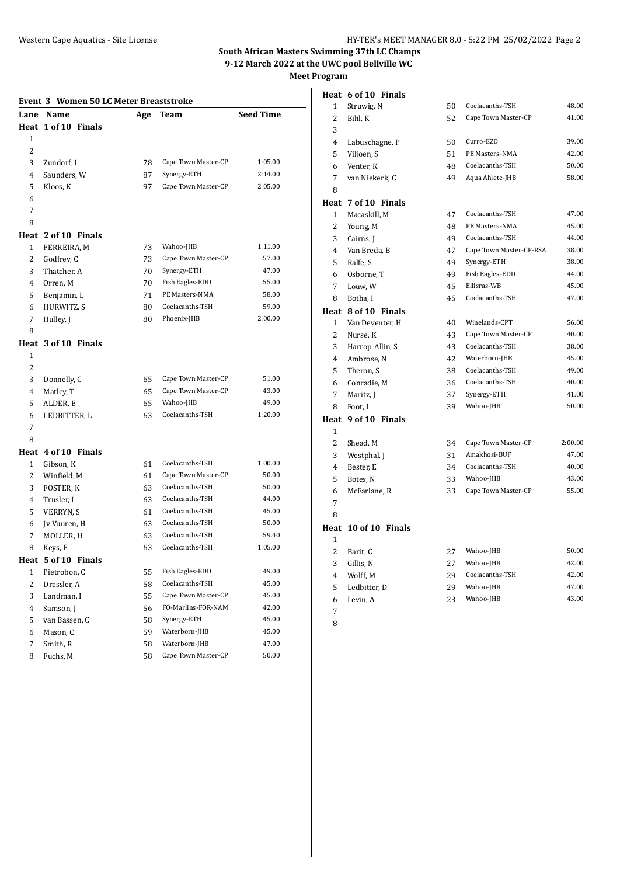# **Event 3 Women 50 LC Meter Breaststroke**

| Lane           | <b>HAMMON</b> ON BOTHOLD<br>Name | <u>Age</u> | <b>DI CHOLOGI OIL</b><br>Team | <b>Seed Time</b> |
|----------------|----------------------------------|------------|-------------------------------|------------------|
|                | Heat 1 of 10 Finals              |            |                               |                  |
| $\mathbf{1}$   |                                  |            |                               |                  |
| $\overline{c}$ |                                  |            |                               |                  |
| 3              | Zundorf, L                       | 78         | Cape Town Master-CP           | 1:05.00          |
| 4              | Saunders, W                      | 87         | Synergy-ETH                   | 2:14.00          |
| 5              | Kloos, K                         | 97         | Cape Town Master-CP           | 2:05.00          |
| 6              |                                  |            |                               |                  |
| 7              |                                  |            |                               |                  |
| 8              |                                  |            |                               |                  |
|                | Heat 2 of 10 Finals              |            |                               |                  |
| $\mathbf{1}$   | FERREIRA, M                      | 73         | Wahoo-JHB                     | 1:11.00          |
| 2              | Godfrey, C                       | 73         | Cape Town Master-CP           | 57.00            |
| 3              | Thatcher, A                      | 70         | Synergy-ETH                   | 47.00            |
| 4              |                                  |            | Fish Eagles-EDD               | 55.00            |
|                | Orren, M                         | 70         | PE Masters-NMA                | 58.00            |
| 5              | Benjamin, L                      | 71         | Coelacanths-TSH               |                  |
| 6              | HURWITZ, S                       | 80         |                               | 59.00            |
| 7              | Hulley, J                        | 80         | Phoenix-JHB                   | 2:00.00          |
| 8              |                                  |            |                               |                  |
|                | Heat 3 of 10 Finals              |            |                               |                  |
| 1              |                                  |            |                               |                  |
| 2              |                                  |            |                               |                  |
| 3              | Donnelly, C                      | 65         | Cape Town Master-CP           | 51.00            |
| 4              | Matley, T                        | 65         | Cape Town Master-CP           | 43.00            |
| 5              | ALDER, E                         | 65         | Wahoo-JHB                     | 49.00            |
| 6              | LEDBITTER, L                     | 63         | Coelacanths-TSH               | 1:20.00          |
| 7              |                                  |            |                               |                  |
| 8              |                                  |            |                               |                  |
|                | Heat 4 of 10 Finals              |            |                               |                  |
| $\mathbf{1}$   | Gibson, K                        | 61         | Coelacanths-TSH               | 1:00.00          |
| 2              | Winfield, M                      | 61         | Cape Town Master-CP           | 50.00            |
| 3              | FOSTER, K                        | 63         | Coelacanths-TSH               | 50.00            |
| 4              | Trusler, I                       | 63         | Coelacanths-TSH               | 44.00            |
| 5              | <b>VERRYN, S</b>                 | 61         | Coelacanths-TSH               | 45.00            |
| 6              | Jv Vuuren, H                     | 63         | Coelacanths-TSH               | 50.00            |
| 7              | MOLLER, H                        | 63         | Coelacanths-TSH               | 59.40            |
| 8              | Keys, E                          | 63         | Coelacanths-TSH               | 1:05.00          |
|                | Heat 5 of 10 Finals              |            |                               |                  |
| $\mathbf{1}$   | Pietrobon, C                     | 55         | Fish Eagles-EDD               | 49.00            |
| $\overline{c}$ | Dressler, A                      | 58         | Coelacanths-TSH               | 45.00            |
| 3              | Landman, I                       | 55         | Cape Town Master-CP           | 45.00            |
| 4              | Samson, J                        | 56         | FO-Marlins-FOR-NAM            | 42.00            |
| 5              | van Bassen, C                    | 58         | Synergy-ETH                   | 45.00            |
| 6              | Mason, C                         | 59         | Waterborn-JHB                 | 45.00            |
| 7              | Smith, R                         | 58         | Waterborn-JHB                 | 47.00            |
| 8              | Fuchs, M                         | 58         | Cape Town Master-CP           | 50.00            |

|                | Heat 6 of 10 Finals  |    |                         |         |
|----------------|----------------------|----|-------------------------|---------|
| 1              | Struwig, N           | 50 | Coelacanths-TSH         | 48.00   |
| $\overline{c}$ | Bihl, K              | 52 | Cape Town Master-CP     | 41.00   |
| 3              |                      |    |                         |         |
| 4              | Labuschagne, P       | 50 | Curro-EZD               | 39.00   |
| 5              | Viljoen, S           | 51 | PE Masters-NMA          | 42.00   |
| 6              | Venter, K            | 48 | Coelacanths-TSH         | 50.00   |
| 7              | van Niekerk, C       | 49 | Aqua Ahlete-JHB         | 58.00   |
| 8              |                      |    |                         |         |
|                | Heat 7 of 10 Finals  |    |                         |         |
| 1              | Macaskill, M         | 47 | Coelacanths-TSH         | 47.00   |
| $\overline{c}$ | Young, M             | 48 | PE Masters-NMA          | 45.00   |
| 3              | Cairns, J            | 49 | Coelacanths-TSH         | 44.00   |
| 4              | Van Breda, B         | 47 | Cape Town Master-CP-RSA | 38.00   |
| 5              | Ralfe, S             | 49 | Synergy-ETH             | 38.00   |
| 6              | Osborne, T           | 49 | Fish Eagles-EDD         | 44.00   |
| 7              | Louw, W              | 45 | Ellisras-WB             | 45.00   |
| 8              | Botha, I             | 45 | Coelacanths-TSH         | 47.00   |
|                | Heat 8 of 10 Finals  |    |                         |         |
| 1              | Van Deventer, H      | 40 | Winelands-CPT           | 56.00   |
| 2              | Nurse, K             | 43 | Cape Town Master-CP     | 40.00   |
| 3              | Harrop-Allin, S      | 43 | Coelacanths-TSH         | 38.00   |
| $\overline{4}$ | Ambrose, N           | 42 | Waterborn-JHB           | 45.00   |
| 5              | Theron, S            | 38 | Coelacanths-TSH         | 49.00   |
| 6              | Conradie, M          | 36 | Coelacanths-TSH         | 40.00   |
| 7              | Maritz, J            | 37 | Synergy-ETH             | 41.00   |
| 8              | Foot, L              | 39 | Wahoo-JHB               | 50.00   |
|                | Heat 9 of 10 Finals  |    |                         |         |
| 1              |                      |    |                         |         |
| 2              | Shead, M             | 34 | Cape Town Master-CP     | 2:00.00 |
| 3              | Westphal, J          | 31 | Amakhosi-BUF            | 47.00   |
| $\overline{4}$ | Bester, E            | 34 | Coelacanths-TSH         | 40.00   |
| 5              | Botes, N             | 33 | Wahoo-JHB               | 43.00   |
| 6              | McFarlane, R         | 33 | Cape Town Master-CP     | 55.00   |
| 7              |                      |    |                         |         |
| 8              |                      |    |                         |         |
|                | Heat 10 of 10 Finals |    |                         |         |
| $\mathbf{1}$   |                      |    |                         |         |
| $\overline{c}$ | Barit, C             | 27 | Wahoo-JHB               | 50.00   |
| 3              | Gillis, N            | 27 | Wahoo-JHB               | 42.00   |
| 4              | Wolff, M             | 29 | Coelacanths-TSH         | 42.00   |
| 5              | Ledbitter, D         | 29 | Wahoo-JHB               | 47.00   |
| 6              | Levin, A             | 23 | Wahoo-JHB               | 43.00   |

- -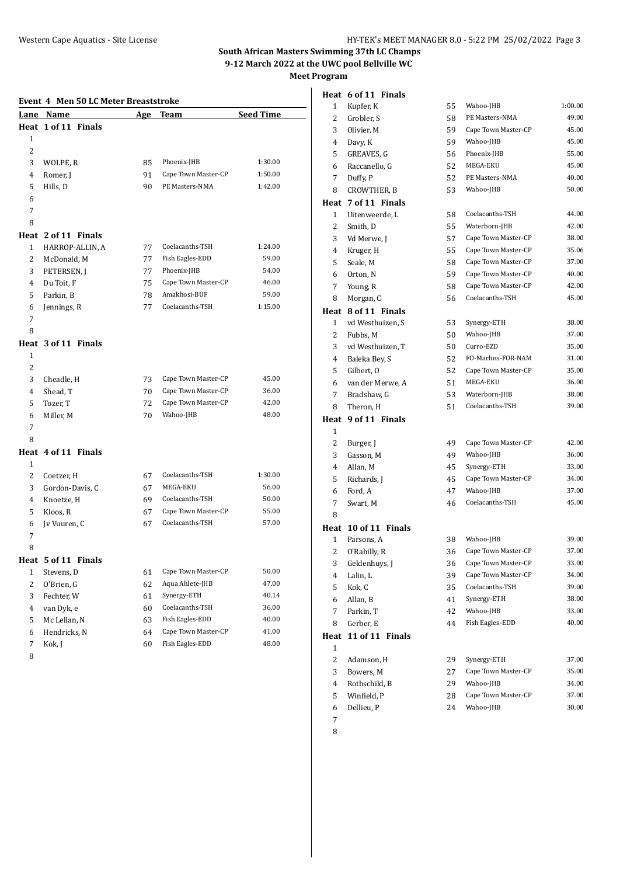| Event 4 Men 50 LC Meter Breaststroke |                     |     |                     |                  |
|--------------------------------------|---------------------|-----|---------------------|------------------|
| Lane                                 | Name                | Age | Team                | <b>Seed Time</b> |
| Heat                                 | 1 of 11 Finals      |     |                     |                  |
| 1                                    |                     |     |                     |                  |
| 2                                    |                     |     |                     |                  |
| 3                                    | WOLPE, R            | 85  | Phoenix-JHB         | 1:30.00          |
| 4                                    | Romer, J            | 91  | Cape Town Master-CP | 1:50.00          |
| 5                                    | Hills, D            | 90  | PE Masters-NMA      | 1:42.00          |
| 6                                    |                     |     |                     |                  |
| 7                                    |                     |     |                     |                  |
| 8                                    |                     |     |                     |                  |
|                                      | Heat 2 of 11 Finals |     |                     |                  |
| 1                                    | HARROP-ALLIN, A     | 77  | Coelacanths-TSH     | 1:24.00          |
| 2                                    | McDonald, M         | 77  | Fish Eagles-EDD     | 59.00            |
| 3                                    | PETERSEN, J         | 77  | Phoenix-JHB         | 54.00            |
| 4                                    | Du Toit, F          | 75  | Cape Town Master-CP | 46.00            |
| 5                                    | Parkin, B           | 78  | Amakhosi-BUF        | 59.00            |
| 6                                    | Jennings, R         | 77  | Coelacanths-TSH     | 1:15.00          |
| 7                                    |                     |     |                     |                  |
| 8                                    |                     |     |                     |                  |
|                                      | Heat 3 of 11 Finals |     |                     |                  |
| $\mathbf{1}$                         |                     |     |                     |                  |
| 2                                    |                     |     |                     |                  |
| 3                                    | Cheadle, H          | 73  | Cape Town Master-CP | 45.00            |
| 4                                    | Shead, T            | 70  | Cape Town Master-CP | 36.00            |
| 5                                    | Tozer, T            | 72  | Cape Town Master-CP | 42.00            |
| 6                                    | Miller, M           | 70  | Wahoo-JHB           | 48.00            |
| 7                                    |                     |     |                     |                  |
| 8                                    |                     |     |                     |                  |
|                                      | Heat 4 of 11 Finals |     |                     |                  |
| 1                                    |                     |     |                     |                  |
| $\overline{2}$                       | Coetzer, H          | 67  | Coelacanths-TSH     | 1:30.00          |
| 3                                    | Gordon-Davis, C     | 67  | MEGA-EKU            | 56.00            |
| 4                                    | Knoetze, H          | 69  | Coelacanths-TSH     | 50.00            |
| 5                                    | Kloos, R            | 67  | Cape Town Master-CP | 55.00            |
| 6                                    | Jv Vuuren, C        | 67  | Coelacanths-TSH     | 57.00            |
| 7                                    |                     |     |                     |                  |
| 8                                    |                     |     |                     |                  |
|                                      | Heat 5 of 11 Finals |     |                     |                  |
| 1                                    | Stevens, D          | 61  | Cape Town Master-CP | 50.00            |
| $\overline{c}$                       | O'Brien, G          | 62  | Aqua Ahlete-JHB     | 47.00            |
| 3                                    | Fechter, W          | 61  | Synergy-ETH         | 40.14            |
| $\overline{4}$                       | van Dyk, e          | 60  | Coelacanths-TSH     | 36.00            |
| 5                                    | Mc Lellan, N        | 63  | Fish Eagles-EDD     | 40.00            |
| 6                                    | Hendricks, N        | 64  | Cape Town Master-CP | 41.00            |
| 7                                    | Kok, J              | 60  | Fish Eagles-EDD     | 48.00            |

|      | Heat 6 of 11 Finals  |    |                     |         |
|------|----------------------|----|---------------------|---------|
| 1    | Kupfer, K            | 55 | Wahoo-JHB           | 1:00.00 |
| 2    | Grobler, S           | 58 | PE Masters-NMA      | 49.00   |
| 3    | Olivier, M           | 59 | Cape Town Master-CP | 45.00   |
| 4    | Davy, K              | 59 | Wahoo-JHB           | 45.00   |
| 5    | GREAVES, G           | 56 | Phoenix-JHB         | 55.00   |
| 6    | Raccanello, G        | 52 | MEGA-EKU            | 45.00   |
| 7    | Duffy, P             | 52 | PE Masters-NMA      | 40.00   |
| 8    | CROWTHER, B          | 53 | Wahoo-JHB           | 50.00   |
|      | Heat 7 of 11 Finals  |    |                     |         |
| 1    | Uitenweerde, L       | 58 | Coelacanths-TSH     | 44.00   |
| 2    | Smith, D             | 55 | Waterborn-JHB       | 42.00   |
| 3    | Vd Merwe, J          | 57 | Cape Town Master-CP | 38.00   |
| 4    | Kruger, H            | 55 | Cape Town Master-CP | 35.06   |
| 5    | Seale, M             | 58 | Cape Town Master-CP | 37.00   |
| 6    | Orton, N             | 59 | Cape Town Master-CP | 40.00   |
| 7    | Young, R             | 58 | Cape Town Master-CP | 42.00   |
| 8    | Morgan, C            | 56 | Coelacanths-TSH     | 45.00   |
|      | Heat 8 of 11 Finals  |    |                     |         |
| 1    | vd Westhuizen, S     | 53 | Synergy-ETH         | 38.00   |
| 2    | Fubbs, M             | 50 | Wahoo-JHB           | 37.00   |
| 3    | vd Westhuizen, T     | 50 | Curro-EZD           | 35.00   |
| 4    | Baleka Bey, S        | 52 | FO-Marlins-FOR-NAM  | 31.00   |
| 5    | Gilbert, O           | 52 | Cape Town Master-CP | 35.00   |
| 6    | van der Merwe, A     | 51 | MEGA-EKU            | 36.00   |
| 7    | Bradshaw, G          | 53 | Waterborn-JHB       | 38.00   |
| 8    | Theron, H            | 51 | Coelacanths-TSH     | 39.00   |
|      | Heat 9 of 11 Finals  |    |                     |         |
| 1    |                      |    |                     |         |
| 2    | Burger, J            | 49 | Cape Town Master-CP | 42.00   |
| 3    | Gasson, M            | 49 | Wahoo-JHB           | 36.00   |
| 4    | Allan, M             | 45 | Synergy-ETH         | 33.00   |
| 5    | Richards, J          | 45 | Cape Town Master-CP | 34.00   |
| 6    | Ford, A              | 47 | Wahoo-JHB           | 37.00   |
| 7    | Swart, M             | 46 | Coelacanths-TSH     | 45.00   |
| 8    |                      |    |                     |         |
|      | Heat 10 of 11 Finals |    |                     |         |
| 1    | Parsons, A           | 38 | Wahoo-JHB           | 39.00   |
| 2    | O'Rahilly. R         | 36 | Cape Town Master-CP | 37.00   |
| 3    | Geldenhuys, J        | 36 | Cape Town Master-CP | 33.00   |
| 4    | Lalin, L             | 39 | Cape Town Master-CP | 34.00   |
| 5    | Kok, C               | 35 | Coelacanths-TSH     | 39.00   |
| 6    | Allan, B             | 41 | Synergy-ETH         | 38.00   |
| 7    | Parkin, T            | 42 | Wahoo-JHB           | 33.00   |
| 8    | Gerber, E            | 44 | Fish Eagles-EDD     | 40.00   |
| Heat | 11 of 11 Finals      |    |                     |         |
| 1    |                      |    |                     |         |
| 2    | Adamson, H           | 29 | Synergy-ETH         | 37.00   |
| 3    | Bowers, M            | 27 | Cape Town Master-CP | 35.00   |
| 4    | Rothschild, B        | 29 | Wahoo-JHB           | 34.00   |
| 5    | Winfield, P          | 28 | Cape Town Master-CP | 37.00   |
| 6    | Dellieu, P           | 24 | Wahoo-JHB           | 30.00   |
| 7    |                      |    |                     |         |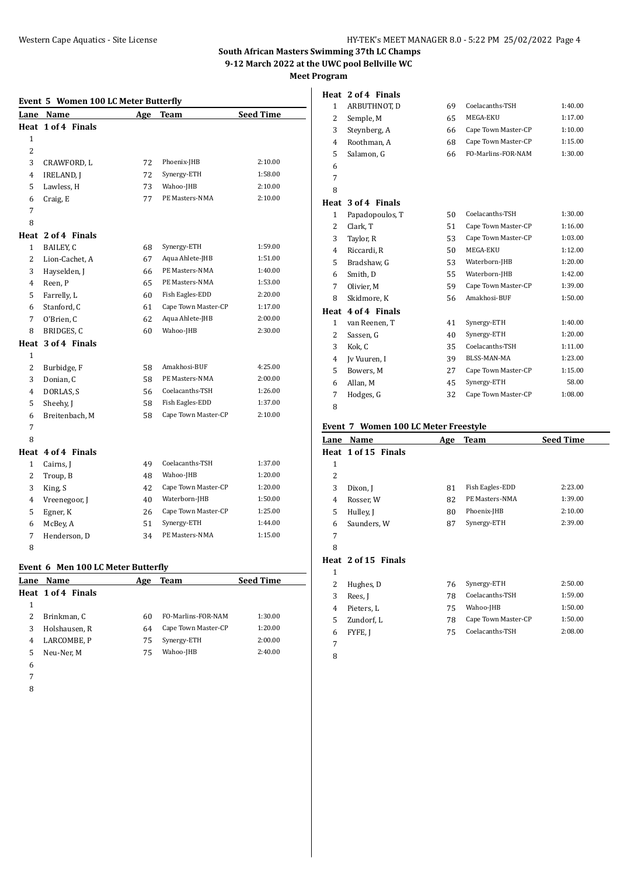#### **Event 5 Women 100 LC Meter Butterfly**

| Lan <u>e</u>   | <b>Name</b>        | Age | Team                | <b>Seed Time</b> |
|----------------|--------------------|-----|---------------------|------------------|
|                | Heat 1 of 4 Finals |     |                     |                  |
| $\mathbf{1}$   |                    |     |                     |                  |
| 2              |                    |     |                     |                  |
| 3              | CRAWFORD, L        | 72  | Phoenix-JHB         | 2:10.00          |
| 4              | <b>IRELAND, J</b>  | 72  | Synergy-ETH         | 1:58.00          |
| 5              | Lawless, H         | 73  | Wahoo-JHB           | 2:10.00          |
| 6              | Craig, E           | 77  | PE Masters-NMA      | 2:10.00          |
| 7              |                    |     |                     |                  |
| 8              |                    |     |                     |                  |
|                | Heat 2 of 4 Finals |     |                     |                  |
| $\mathbf{1}$   | BAILEY, C          | 68  | Synergy-ETH         | 1:59.00          |
| 2              | Lion-Cachet, A     | 67  | Aqua Ahlete-JHB     | 1:51.00          |
| 3              | Hayselden, J       | 66  | PE Masters-NMA      | 1:40.00          |
| 4              | Reen, P            | 65  | PE Masters-NMA      | 1:53.00          |
| 5              | Farrelly, L        | 60  | Fish Eagles-EDD     | 2:20.00          |
| 6              | Stanford, C        | 61  | Cape Town Master-CP | 1:17.00          |
| 7              | O'Brien, C         | 62  | Aqua Ahlete-JHB     | 2:00.00          |
| 8              | BRIDGES, C         | 60  | Wahoo-JHB           | 2:30.00          |
| Heat           | 3 of 4 Finals      |     |                     |                  |
| $\mathbf{1}$   |                    |     |                     |                  |
| $\overline{2}$ | Burbidge, F        | 58  | Amakhosi-BUF        | 4:25.00          |
| 3              | Donian, C          | 58  | PE Masters-NMA      | 2:00.00          |
| 4              | DORLAS, S          | 56  | Coelacanths-TSH     | 1:26.00          |
| 5              | Sheehy, J          | 58  | Fish Eagles-EDD     | 1:37.00          |
| 6              | Breitenbach, M     | 58  | Cape Town Master-CP | 2:10.00          |
| 7              |                    |     |                     |                  |
| 8              |                    |     |                     |                  |
|                | Heat 4 of 4 Finals |     |                     |                  |
| $\mathbf{1}$   | Cairns, J          | 49  | Coelacanths-TSH     | 1:37.00          |
| $\overline{2}$ | Troup, B           | 48  | Wahoo-JHB           | 1:20.00          |
| 3              | King, S            | 42  | Cape Town Master-CP | 1:20.00          |
| 4              | Vreenegoor, J      | 40  | Waterborn-JHB       | 1:50.00          |
| 5              | Egner, K           | 26  | Cape Town Master-CP | 1:25.00          |
| 6              | McBey, A           | 51  | Synergy-ETH         | 1:44.00          |
| 7              | Henderson, D       | 34  | PE Masters-NMA      | 1:15.00          |
| 8              |                    |     |                     |                  |

## **Event 6 Men 100 LC Meter Butterfly**

|   | Lane Name          | Age | Team                | <b>Seed Time</b> |
|---|--------------------|-----|---------------------|------------------|
|   | Heat 1 of 4 Finals |     |                     |                  |
|   |                    |     |                     |                  |
|   | Brinkman, C        | 60  | FO-Marlins-FOR-NAM  | 1:30.00          |
| 3 | Holshausen, R      | 64  | Cape Town Master-CP | 1:20.00          |
| 4 | LARCOMBE, P        | 75  | Synergy-ETH         | 2:00.00          |
| 5 | Neu-Ner. M         | 75  | Wahoo-JHB           | 2:40.00          |
| 6 |                    |     |                     |                  |

- 
- 

|   | Heat 2 of 4 Finals |    |                     |         |
|---|--------------------|----|---------------------|---------|
| 1 | ARBUTHNOT, D       | 69 | Coelacanths-TSH     | 1:40.00 |
| 2 | Semple, M          | 65 | MEGA-EKU            | 1:17.00 |
| 3 | Steynberg, A       | 66 | Cape Town Master-CP | 1:10.00 |
| 4 | Roothman, A        | 68 | Cape Town Master-CP | 1:15.00 |
| 5 | Salamon, G         | 66 | FO-Marlins-FOR-NAM  | 1:30.00 |
| 6 |                    |    |                     |         |
| 7 |                    |    |                     |         |
| 8 |                    |    |                     |         |
|   | Heat 3 of 4 Finals |    |                     |         |
| 1 | Papadopoulos, T    | 50 | Coelacanths-TSH     | 1:30.00 |
| 2 | Clark, T           | 51 | Cape Town Master-CP | 1:16.00 |
| 3 | Taylor, R          | 53 | Cape Town Master-CP | 1:03.00 |
| 4 | Riccardi. R        | 50 | MEGA-EKU            | 1:12.00 |

| 2 | Clark, T           | 51 | Cape Town Master-CP | 1:16.00 |
|---|--------------------|----|---------------------|---------|
| 3 | Taylor, R          | 53 | Cape Town Master-CP | 1:03.00 |
| 4 | Riccardi, R        | 50 | MEGA-EKU            | 1:12.00 |
| 5 | Bradshaw, G        | 53 | Waterborn-JHB       | 1:20.00 |
| 6 | Smith, D           | 55 | Waterborn-JHB       | 1:42.00 |
| 7 | Olivier, M         | 59 | Cape Town Master-CP | 1:39.00 |
| 8 | Skidmore, K        | 56 | Amakhosi-BUF        | 1:50.00 |
|   | Heat 4 of 4 Finals |    |                     |         |
|   |                    |    |                     |         |
| 1 | van Reenen, T      | 41 | Synergy-ETH         | 1:40.00 |
| 2 | Sassen, G          | 40 | Synergy-ETH         | 1:20.00 |
| 3 | Kok, C             | 35 | Coelacanths-TSH     | 1:11.00 |
| 4 | Iv Vuuren, I       | 39 | BLSS-MAN-MA         | 1:23.00 |
| 5 | Bowers. M          | 27 | Cape Town Master-CP | 1:15.00 |
| 6 | Allan, M           | 45 | Synergy-ETH         | 58.00   |

#### **Event 7 Women 100 LC Meter Freestyle**

| Lane           | Name                | Age | <b>Team</b>         | <b>Seed Time</b> |
|----------------|---------------------|-----|---------------------|------------------|
|                | Heat 1 of 15 Finals |     |                     |                  |
| 1              |                     |     |                     |                  |
| $\overline{2}$ |                     |     |                     |                  |
| 3              | Dixon, J            | 81  | Fish Eagles-EDD     | 2:23.00          |
| 4              | Rosser, W           | 82  | PE Masters-NMA      | 1:39.00          |
| 5              | Hulley, J           | 80  | Phoenix-JHB         | 2:10.00          |
| 6              | Saunders, W         | 87  | Synergy-ETH         | 2:39.00          |
| 7              |                     |     |                     |                  |
| 8              |                     |     |                     |                  |
|                | Heat 2 of 15 Finals |     |                     |                  |
| 1              |                     |     |                     |                  |
| 2              | Hughes, D           | 76  | Synergy-ETH         | 2:50.00          |
| 3              | Rees, J             | 78  | Coelacanths-TSH     | 1:59.00          |
| 4              | Pieters, L          | 75  | Wahoo-JHB           | 1:50.00          |
| 5              | Zundorf, L          | 78  | Cape Town Master-CP | 1:50.00          |
| 6              | FYFE, J             | 75  | Coelacanths-TSH     | 2:08.00          |
| 7              |                     |     |                     |                  |
| 8              |                     |     |                     |                  |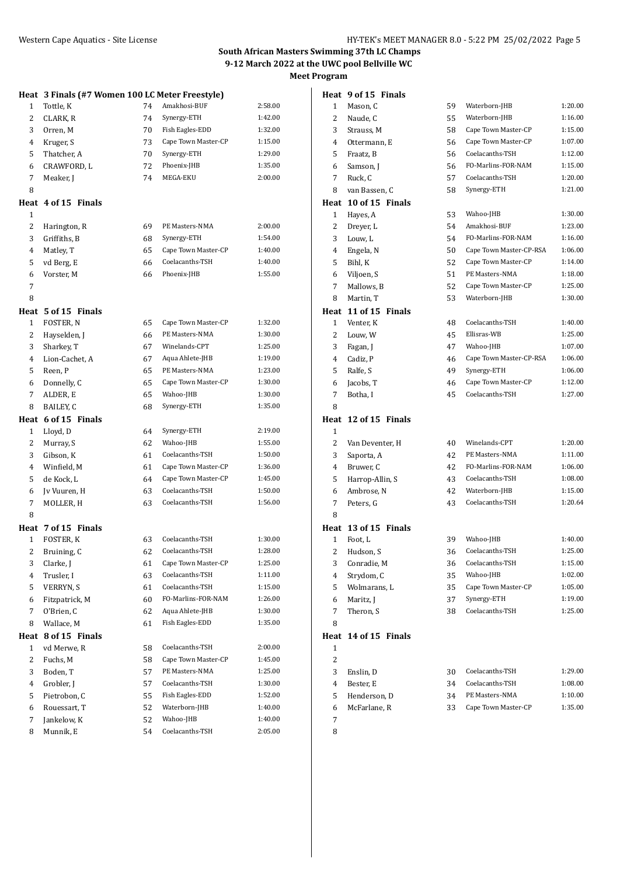|                | Heat 3 Finals (#7 Women 100 LC Meter Freestyle) |    |                     |         |
|----------------|-------------------------------------------------|----|---------------------|---------|
| 1              | Tottle, K                                       | 74 | Amakhosi-BUF        | 2:58.00 |
| 2              | CLARK, R                                        | 74 | Synergy-ETH         | 1:42.00 |
| 3              | Orren, M                                        | 70 | Fish Eagles-EDD     | 1:32.00 |
| 4              | Kruger, S                                       | 73 | Cape Town Master-CP | 1:15.00 |
| 5              | Thatcher, A                                     | 70 | Synergy-ETH         | 1:29.00 |
| 6              | CRAWFORD, L                                     | 72 | Phoenix-JHB         | 1:35.00 |
| 7              | Meaker, J                                       | 74 | MEGA-EKU            | 2:00.00 |
| 8              |                                                 |    |                     |         |
|                |                                                 |    |                     |         |
| $\mathbf{1}$   | Heat 4 of 15 Finals                             |    |                     |         |
| 2              | Harington, R                                    | 69 | PE Masters-NMA      | 2:00.00 |
| 3              | Griffiths, B                                    | 68 | Synergy-ETH         | 1:54.00 |
| 4              |                                                 | 65 | Cape Town Master-CP | 1:40.00 |
|                | Matley, T                                       |    | Coelacanths-TSH     | 1:40.00 |
| 5              | vd Berg, E                                      | 66 | Phoenix-JHB         |         |
| 6              | Vorster, M                                      | 66 |                     | 1:55.00 |
| 7              |                                                 |    |                     |         |
| 8              |                                                 |    |                     |         |
|                | Heat 5 of 15 Finals                             |    |                     |         |
| $\mathbf{1}$   | FOSTER, N                                       | 65 | Cape Town Master-CP | 1:32.00 |
| 2              | Hayselden, J                                    | 66 | PE Masters-NMA      | 1:30.00 |
| 3              | Sharkey, T                                      | 67 | Winelands-CPT       | 1:25.00 |
| 4              | Lion-Cachet, A                                  | 67 | Aqua Ahlete-JHB     | 1:19.00 |
| 5              | Reen, P                                         | 65 | PE Masters-NMA      | 1:23.00 |
| 6              | Donnelly, C                                     | 65 | Cape Town Master-CP | 1:30.00 |
| 7              | ALDER, E                                        | 65 | Wahoo-JHB           | 1:30.00 |
| 8              | BAILEY, C                                       | 68 | Synergy-ETH         | 1:35.00 |
|                | Heat 6 of 15 Finals                             |    |                     |         |
| 1              | Lloyd, D                                        | 64 | Synergy-ETH         | 2:19.00 |
| 2              | Murray, S                                       | 62 | Wahoo-JHB           | 1:55.00 |
| 3              | Gibson, K                                       | 61 | Coelacanths-TSH     | 1:50.00 |
| 4              | Winfield, M                                     | 61 | Cape Town Master-CP | 1:36.00 |
| 5              | de Kock, L                                      | 64 | Cape Town Master-CP | 1:45.00 |
| 6              | Jv Vuuren, H                                    | 63 | Coelacanths-TSH     | 1:50.00 |
| 7              | MOLLER, H                                       | 63 | Coelacanths-TSH     | 1:56.00 |
| 8              |                                                 |    |                     |         |
|                | Heat 7 of 15 Finals                             |    |                     |         |
| $\mathbf{1}$   | FOSTER, K                                       | 63 | Coelacanths-TSH     | 1:30.00 |
| 2              | Bruining, C                                     | 62 | Coelacanths-TSH     | 1:28.00 |
| 3              | Clarke, J                                       | 61 | Cape Town Master-CP | 1:25.00 |
| 4              | Trusler, I                                      | 63 | Coelacanths-TSH     | 1:11.00 |
| 5              | VERRYN, S                                       | 61 | Coelacanths-TSH     | 1:15.00 |
| 6              | Fitzpatrick, M                                  | 60 | FO-Marlins-FOR-NAM  | 1:26.00 |
| 7              | O'Brien, C                                      | 62 | Aqua Ahlete-JHB     | 1:30.00 |
| 8              | Wallace, M                                      | 61 | Fish Eagles-EDD     | 1:35.00 |
| Heat           | 8 of 15 Finals                                  |    |                     |         |
| 1              | vd Merwe, R                                     | 58 | Coelacanths-TSH     | 2:00.00 |
| $\overline{c}$ | Fuchs, M                                        | 58 | Cape Town Master-CP | 1:45.00 |
| 3              | Boden, T                                        | 57 | PE Masters-NMA      | 1:25.00 |
| 4              | Grobler, J                                      | 57 | Coelacanths-TSH     | 1:30.00 |
| 5              | Pietrobon, C                                    | 55 | Fish Eagles-EDD     | 1:52.00 |
| 6              | Rouessart, T                                    | 52 | Waterborn-JHB       | 1:40.00 |
| 7              | Jankelow, K                                     | 52 | Wahoo-JHB           | 1:40.00 |
| 8              | Munnik, E                                       | 54 | Coelacanths-TSH     | 2:05.00 |
|                |                                                 |    |                     |         |

|              | Heat 9 of 15 Finals  |    |                         |         |
|--------------|----------------------|----|-------------------------|---------|
| $\mathbf{1}$ | Mason, C             | 59 | Waterborn-JHB           | 1:20.00 |
| 2            | Naude, C             | 55 | Waterborn-JHB           | 1:16.00 |
| 3            | Strauss, M           | 58 | Cape Town Master-CP     | 1:15.00 |
| 4            | Ottermann, E         | 56 | Cape Town Master-CP     | 1:07.00 |
| 5            | Fraatz, B            | 56 | Coelacanths-TSH         | 1:12.00 |
| 6            | Samson, J            | 56 | FO-Marlins-FOR-NAM      | 1:15.00 |
| 7            | Ruck, C              | 57 | Coelacanths-TSH         | 1:20.00 |
| 8            | van Bassen, C        | 58 | Synergy-ETH             | 1:21.00 |
| Heat         | 10 of 15 Finals      |    |                         |         |
| $\mathbf{1}$ | Hayes, A             | 53 | Wahoo-JHB               | 1:30.00 |
| 2            | Dreyer, L            | 54 | Amakhosi-BUF            | 1:23.00 |
| 3            | Louw, L              | 54 | FO-Marlins-FOR-NAM      | 1:16.00 |
| 4            | Engela, N            | 50 | Cape Town Master-CP-RSA | 1:06.00 |
| 5            | Bihl, K              | 52 | Cape Town Master-CP     | 1:14.00 |
| 6            | Viljoen, S           | 51 | PE Masters-NMA          | 1:18.00 |
| 7            | Mallows, B           | 52 | Cape Town Master-CP     | 1:25.00 |
| 8            | Martin, T            | 53 | Waterborn-JHB           | 1:30.00 |
| Heat         | 11 of 15 Finals      |    |                         |         |
| $\mathbf{1}$ | Venter, K            | 48 | Coelacanths-TSH         | 1:40.00 |
| 2            | Louw, W              | 45 | Ellisras-WB             | 1:25.00 |
| 3            | Fagan, J             | 47 | Wahoo-JHB               | 1:07.00 |
| 4            | Cadiz, P             | 46 | Cape Town Master-CP-RSA | 1:06.00 |
| 5            | Ralfe, S             | 49 | Synergy-ETH             | 1:06.00 |
| 6            | Jacobs, T            | 46 | Cape Town Master-CP     | 1:12.00 |
| 7            | Botha, I             | 45 | Coelacanths-TSH         | 1:27.00 |
| 8            |                      |    |                         |         |
| Heat         | 12 of 15 Finals      |    |                         |         |
| 1            |                      |    |                         |         |
| 2            | Van Deventer, H      | 40 | Winelands-CPT           | 1:20.00 |
| 3            | Saporta, A           | 42 | PE Masters-NMA          | 1:11.00 |
| 4            | Bruwer, C            | 42 | FO-Marlins-FOR-NAM      | 1:06.00 |
| 5            | Harrop-Allin, S      | 43 | Coelacanths-TSH         | 1:08.00 |
| 6            | Ambrose, N           | 42 | Waterborn-JHB           | 1:15.00 |
| 7            | Peters, G            | 43 | Coelacanths-TSH         | 1:20.64 |
| 8            |                      |    |                         |         |
|              | Heat 13 of 15 Finals |    |                         |         |
| 1            | Foot, L              | 39 | Wahoo-JHB               | 1:40.00 |
| 2            | Hudson, S            | 36 | Coelacanths-TSH         | 1:25.00 |
| 3            | Conradie, M          | 36 | Coelacanths-TSH         | 1:15.00 |
| 4            | Strydom, C           | 35 | Wahoo-JHB               | 1:02.00 |
| 5            | Wolmarans, L         | 35 | Cape Town Master-CP     | 1:05.00 |
| 6            | Maritz, J            | 37 | Synergy-ETH             | 1:19.00 |
| 7            | Theron, S            | 38 | Coelacanths-TSH         | 1:25.00 |
| 8            |                      |    |                         |         |
| Heat         | 14 of 15 Finals      |    |                         |         |
| $\mathbf{1}$ |                      |    |                         |         |
| 2            |                      |    |                         |         |
| 3            | Enslin, D            | 30 | Coelacanths-TSH         | 1:29.00 |
| 4            | Bester, E            | 34 | Coelacanths-TSH         | 1:08.00 |
| 5            | Henderson, D         | 34 | PE Masters-NMA          | 1:10.00 |
| 6            | McFarlane, R         | 33 | Cape Town Master-CP     | 1:35.00 |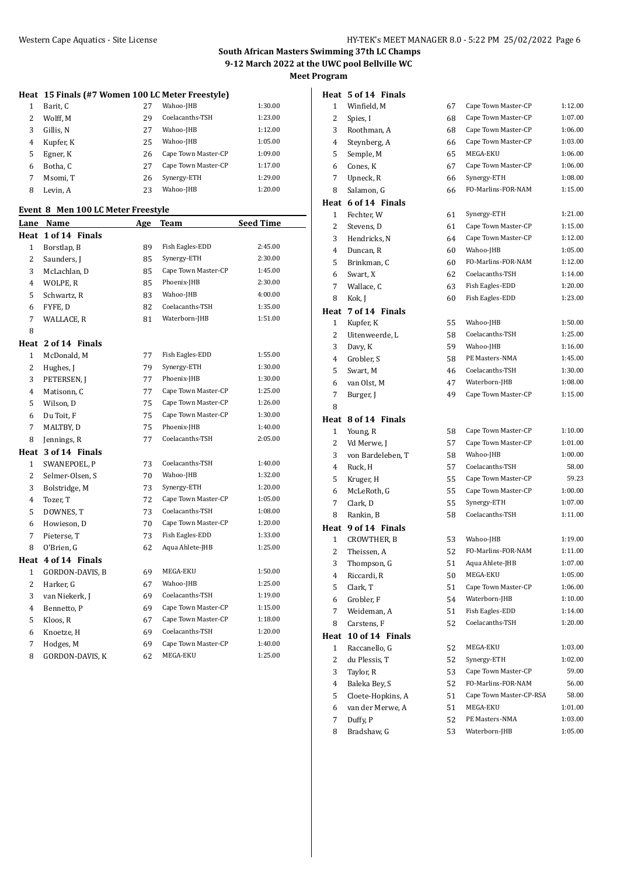# **Heat 15 Finals (#7 Women 100 LC Meter Freestyle)**

|   | Barit, C  | 27 | Wahoo-JHB           | 1:30.00 |
|---|-----------|----|---------------------|---------|
| 2 | Wolff. M  | 29 | Coelacanths-TSH     | 1:23.00 |
| 3 | Gillis, N | 27 | Wahoo-JHB           | 1:12.00 |
| 4 | Kupfer, K | 25 | Wahoo-JHB           | 1:05.00 |
| 5 | Egner, K  | 26 | Cape Town Master-CP | 1:09.00 |
| 6 | Botha. C  | 27 | Cape Town Master-CP | 1:17.00 |
| 7 | Msomi, T  | 26 | Synergy-ETH         | 1:29.00 |
| 8 | Levin. A  | 23 | Wahoo-JHB           | 1:20.00 |

#### **Event 8 Men 100 LC Meter Freestyle**

| Lane           | Name                | Age | Team                | <b>Seed Time</b> |
|----------------|---------------------|-----|---------------------|------------------|
|                | Heat 1 of 14 Finals |     |                     |                  |
| 1              | Borstlap, B         | 89  | Fish Eagles-EDD     | 2:45.00          |
| $\overline{c}$ | Saunders, J         | 85  | Synergy-ETH         | 2:30.00          |
| 3              | McLachlan, D        | 85  | Cape Town Master-CP | 1:45.00          |
| 4              | WOLPE, R            | 85  | Phoenix-JHB         | 2:30.00          |
| 5              | Schwartz, R         | 83  | Wahoo-JHB           | 4:00.00          |
| 6              | FYFE, D             | 82  | Coelacanths-TSH     | 1:35.00          |
| $\overline{7}$ | WALLACE, R          | 81  | Waterborn-JHB       | 1:51.00          |
| 8              |                     |     |                     |                  |
| Heat           | 2 of 14 Finals      |     |                     |                  |
| 1              | McDonald, M         | 77  | Fish Eagles-EDD     | 1:55.00          |
| $\overline{c}$ | Hughes, J           | 79  | Synergy-ETH         | 1:30.00          |
| 3              | PETERSEN, J         | 77  | Phoenix-JHB         | 1:30.00          |
| 4              | Matisonn, C         | 77  | Cape Town Master-CP | 1:25.00          |
| 5              | Wilson, D           | 75  | Cape Town Master-CP | 1:26.00          |
| 6              | Du Toit, F          | 75  | Cape Town Master-CP | 1:30.00          |
| $\overline{7}$ | MALTBY, D           | 75  | Phoenix-JHB         | 1:40.00          |
| 8              | Jennings, R         | 77  | Coelacanths-TSH     | 2:05.00          |
|                | Heat 3 of 14 Finals |     |                     |                  |
| $\mathbf{1}$   | SWANEPOEL, P        | 73  | Coelacanths-TSH     | 1:40.00          |
| $\overline{c}$ | Selmer-Olsen, S     | 70  | Wahoo-JHB           | 1:32.00          |
| 3              | Bolstridge, M       | 73  | Synergy-ETH         | 1:20.00          |
| $\overline{4}$ | Tozer, T            | 72  | Cape Town Master-CP | 1:05.00          |
| 5              | DOWNES, T           | 73  | Coelacanths-TSH     | 1:08.00          |
| 6              | Howieson, D         | 70  | Cape Town Master-CP | 1:20.00          |
| 7              | Pieterse, T         | 73  | Fish Eagles-EDD     | 1:33.00          |
| 8              | O'Brien, G          | 62  | Aqua Ahlete-JHB     | 1:25.00          |
|                | Heat 4 of 14 Finals |     |                     |                  |
| $\mathbf{1}$   | GORDON-DAVIS, B     | 69  | MEGA-EKU            | 1:50.00          |
| $\overline{c}$ | Harker, G           | 67  | Wahoo-JHB           | 1:25.00          |
| 3              | van Niekerk, J      | 69  | Coelacanths-TSH     | 1:19.00          |
| $\overline{4}$ | Bennetto, P         | 69  | Cape Town Master-CP | 1:15.00          |
| 5              | Kloos, R            | 67  | Cape Town Master-CP | 1:18.00          |
| 6              | Knoetze, H          | 69  | Coelacanths-TSH     | 1:20.00          |
| 7              | Hodges, M           | 69  | Cape Town Master-CP | 1:40.00          |
| 8              | GORDON-DAVIS, K     | 62  | MEGA-EKU            | 1:25.00          |

| 1            | Winfield, M             | 67       | Cape Town Master-CP             | 1:12.00            |
|--------------|-------------------------|----------|---------------------------------|--------------------|
| 2            | Spies, I                | 68       | Cape Town Master-CP             | 1:07.00            |
| 3            | Roothman, A             | 68       | Cape Town Master-CP             | 1:06.00            |
| 4            | Steynberg, A            | 66       | Cape Town Master-CP             | 1:03.00            |
| 5            | Semple, M               | 65       | MEGA-EKU                        | 1:06.00            |
| 6            | Cones, K                | 67       | Cape Town Master-CP             | 1:06.00            |
| 7            | Upneck, R               | 66       | Synergy-ETH                     | 1:08.00            |
| 8            | Salamon, G              | 66       | FO-Marlins-FOR-NAM              | 1:15.00            |
|              | Heat 6 of 14 Finals     |          |                                 |                    |
| $\mathbf{1}$ | Fechter, W              | 61       | Synergy-ETH                     | 1:21.00            |
| 2            | Stevens, D              | 61       | Cape Town Master-CP             | 1:15.00            |
| 3            | Hendricks, N            | 64       | Cape Town Master-CP             | 1:12.00            |
| 4            | Duncan, R               | 60       | Wahoo-JHB                       | 1:05.00            |
| 5            | Brinkman, C             | 60       | FO-Marlins-FOR-NAM              | 1:12.00            |
| 6            | Swart, X                | 62       | Coelacanths-TSH                 | 1:14.00            |
| 7            | Wallace, C              | 63       | Fish Eagles-EDD                 | 1:20.00            |
| 8            | Kok, J                  | 60       | Fish Eagles-EDD                 | 1:23.00            |
| Heat         | 7 of 14 Finals          |          |                                 |                    |
| $\mathbf{1}$ | Kupfer, K               | 55       | Wahoo-JHB                       | 1:50.00            |
| 2            | Uitenweerde, L          | 58       | Coelacanths-TSH                 | 1:25.00            |
| 3            | Davy, K                 | 59       | Wahoo-JHB                       | 1:16.00            |
| 4            | Grobler, S              | 58       | PE Masters-NMA                  | 1:45.00            |
| 5            | Swart, M                | 46       | Coelacanths-TSH                 | 1:30.00            |
| 6            | van Olst, M             | 47       | Waterborn-JHB                   | 1:08.00            |
| 7            | Burger, J               | 49       | Cape Town Master-CP             | 1:15.00            |
| 8            |                         |          |                                 |                    |
|              | Heat 8 of 14 Finals     |          |                                 |                    |
| 1            | Young, R                | 58       | Cape Town Master-CP             | 1:10.00            |
| 2            | Vd Merwe, J             | 57       | Cape Town Master-CP             | 1:01.00            |
| 3            | von Bardeleben, T       | 58       | Wahoo-JHB                       | 1:00.00            |
| 4            | Ruck, H                 | 57       | Coelacanths-TSH                 | 58.00              |
| 5            | Kruger, H               | 55       | Cape Town Master-CP             | 59.23              |
| 6            | McLeRoth, G             | 55       | Cape Town Master-CP             | 1:00.00            |
| 7            | Clark, D                | 55       | Synergy-ETH                     | 1:07.00            |
| 8            | Rankin, B               | 58       | Coelacanths-TSH                 | 1:11.00            |
|              | Heat 9 of 14 Finals     |          |                                 |                    |
| $\mathbf{1}$ | <b>CROWTHER, B</b>      | 53       | Wahoo-JHB                       | 1:19.00            |
| 2            | Theissen, A             | 52       | FO-Marlins-FOR-NAM              | 1:11.00            |
| 3            | Thompson, G             | 51       | Aqua Ahlete-JHB                 | 1:07.00            |
| 4            | Riccardi, R             | 50       | MEGA-EKU                        | 1:05.00            |
| 5            | Clark, T                | 51       | Cape Town Master-CP             | 1:06.00            |
| 6            | Grobler, F              | 54       | Waterborn-JHB                   | 1:10.00            |
| 7            |                         |          |                                 |                    |
| 8            |                         |          |                                 |                    |
|              | Weideman, A             | 51       | Fish Eagles-EDD                 | 1:14.00            |
|              | Carstens, F             | 52       | Coelacanths-TSH                 | 1:20.00            |
| Heat         | 10 of 14 Finals         |          |                                 |                    |
| 1            | Raccanello, G           | 52       | MEGA-EKU                        | 1:03.00            |
| 2            | du Plessis, T           | 52       | Synergy-ETH                     | 1:02.00            |
| 3            | Taylor, R               | 53       | Cape Town Master-CP             | 59.00              |
| 4            | Baleka Bey, S           | 52       | FO-Marlins-FOR-NAM              | 56.00              |
| 5            | Cloete-Hopkins, A       | 51       | Cape Town Master-CP-RSA         | 58.00              |
| 6            | van der Merwe, A        | 51       | MEGA-EKU                        | 1:01.00            |
| 7<br>8       | Duffy, P<br>Bradshaw, G | 52<br>53 | PE Masters-NMA<br>Waterborn-JHB | 1:03.00<br>1:05.00 |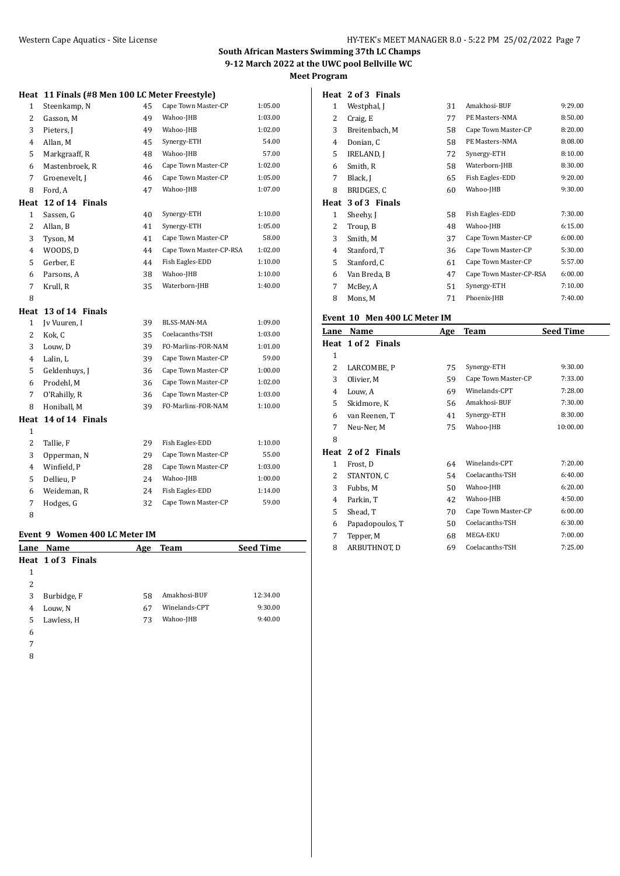| Heat           | 11 Finals (#8 Men 100 LC Meter Freestyle) |    |                         |         |
|----------------|-------------------------------------------|----|-------------------------|---------|
| $\mathbf{1}$   | Steenkamp, N                              | 45 | Cape Town Master-CP     | 1:05.00 |
| 2              | Gasson, M                                 | 49 | Wahoo-JHB               | 1:03.00 |
| 3              | Pieters, J                                | 49 | Wahoo-JHB               | 1:02.00 |
| 4              | Allan, M                                  | 45 | Synergy-ETH             | 54.00   |
| 5              | Markgraaff, R                             | 48 | Wahoo-JHB               | 57.00   |
| 6              | Mastenbroek, R                            | 46 | Cape Town Master-CP     | 1:02.00 |
| 7              | Groenevelt, J                             | 46 | Cape Town Master-CP     | 1:05.00 |
| 8              | Ford, A                                   | 47 | Wahoo-JHB               | 1:07.00 |
| Heat           | 12 of 14 Finals                           |    |                         |         |
| $\mathbf{1}$   | Sassen, G                                 | 40 | Synergy-ETH             | 1:10.00 |
| $\overline{c}$ | Allan, B                                  | 41 | Synergy-ETH             | 1:05.00 |
| 3              | Tyson, M                                  | 41 | Cape Town Master-CP     | 58.00   |
| 4              | WOODS, D                                  | 44 | Cape Town Master-CP-RSA | 1:02.00 |
| 5              | Gerber, E                                 | 44 | Fish Eagles-EDD         | 1:10.00 |
| 6              | Parsons, A                                | 38 | Wahoo-JHB               | 1:10.00 |
| $\overline{7}$ | Krull, R                                  | 35 | Waterborn-JHB           | 1:40.00 |
| 8              |                                           |    |                         |         |
| Heat           | 13 of 14 Finals                           |    |                         |         |
| $\mathbf{1}$   | Jv Vuuren, I                              | 39 | BLSS-MAN-MA             | 1:09.00 |
| 2              | Kok, C                                    | 35 | Coelacanths-TSH         | 1:03.00 |
| 3              | Louw, D                                   | 39 | FO-Marlins-FOR-NAM      | 1:01.00 |
| 4              | Lalin, L                                  | 39 | Cape Town Master-CP     | 59.00   |
| 5              | Geldenhuys, J                             | 36 | Cape Town Master-CP     | 1:00.00 |
| 6              | Prodehl, M                                | 36 | Cape Town Master-CP     | 1:02.00 |
| 7              | O'Rahilly, R                              | 36 | Cape Town Master-CP     | 1:03.00 |
| 8              | Honiball, M                               | 39 | FO-Marlins-FOR-NAM      | 1:10.00 |
| Heat           | 14 of 14 Finals                           |    |                         |         |
| $\mathbf{1}$   |                                           |    |                         |         |
| $\overline{c}$ | Tallie, F                                 | 29 | Fish Eagles-EDD         | 1:10.00 |
| 3              | Opperman, N                               | 29 | Cape Town Master-CP     | 55.00   |
| 4              | Winfield, P                               | 28 | Cape Town Master-CP     | 1:03.00 |
| 5              | Dellieu, P                                | 24 | Wahoo-JHB               | 1:00.00 |
| 6              | Weideman, R                               | 24 | Fish Eagles-EDD         | 1:14.00 |
| $\overline{7}$ | Hodges, G                                 | 32 | Cape Town Master-CP     | 59.00   |
| 8              |                                           |    |                         |         |

#### **Event 9 Women 400 LC Meter IM**

| Lane | Name               | Age | <b>Team</b>   | <b>Seed Time</b> |
|------|--------------------|-----|---------------|------------------|
|      | Heat 1 of 3 Finals |     |               |                  |
| 1    |                    |     |               |                  |
| 2    |                    |     |               |                  |
| 3    | Burbidge, F        | 58  | Amakhosi-BUF  | 12:34.00         |
| 4    | Louw, N            | 67  | Winelands-CPT | 9:30.00          |
| 5    | Lawless, H         | 73  | Wahoo-JHB     | 9:40.00          |
| 6    |                    |     |               |                  |
| 7    |                    |     |               |                  |

#### **Heat 2 of 3 Finals**

| 1            | Westphal, J       | 31 | Amakhosi-BUF            | 9:29.00 |
|--------------|-------------------|----|-------------------------|---------|
| 2            | Craig, E          | 77 | PE Masters-NMA          | 8:50.00 |
| 3            | Breitenbach, M    | 58 | Cape Town Master-CP     | 8:20.00 |
| 4            | Donian, C         | 58 | PE Masters-NMA          | 8:08.00 |
| 5            | <b>IRELAND, I</b> | 72 | Synergy-ETH             | 8:10.00 |
| 6            | Smith, R          | 58 | Waterborn-JHB           | 8:30.00 |
| 7            | Black, J          | 65 | Fish Eagles-EDD         | 9:20.00 |
| 8            | BRIDGES, C        | 60 | Wahoo-JHB               | 9:30.00 |
| Heat         | 3 of 3 Finals     |    |                         |         |
| $\mathbf{1}$ | Sheehy, J         | 58 | Fish Eagles-EDD         | 7:30.00 |
| 2            | Troup, B          | 48 | Wahoo-JHB               | 6:15.00 |
| 3            | Smith, M          | 37 | Cape Town Master-CP     | 6:00.00 |
| 4            | Stanford, T       | 36 | Cape Town Master-CP     | 5:30.00 |
| 5            | Stanford, C       | 61 | Cape Town Master-CP     | 5:57.00 |
| 6            | Van Breda, B      | 47 | Cape Town Master-CP-RSA | 6:00.00 |
| 7            | McBey, A          | 51 | Synergy-ETH             | 7:10.00 |
|              |                   |    |                         |         |

## **Event 10 Men 400 LC Meter IM**

| Lane | Name               | Age | Team                | <b>Seed Time</b> |
|------|--------------------|-----|---------------------|------------------|
|      | Heat 1 of 2 Finals |     |                     |                  |
| 1    |                    |     |                     |                  |
| 2    | LARCOMBE, P        | 75  | Synergy-ETH         | 9:30.00          |
| 3    | Olivier, M         | 59  | Cape Town Master-CP | 7:33.00          |
| 4    | Louw, A            | 69  | Winelands-CPT       | 7:28.00          |
| 5    | Skidmore, K        | 56  | Amakhosi-BUF        | 7:30.00          |
| 6    | van Reenen, T      | 41  | Synergy-ETH         | 8:30.00          |
| 7    | Neu-Ner, M         | 75  | Wahoo-JHB           | 10:00.00         |
| 8    |                    |     |                     |                  |
|      | Heat 2 of 2 Finals |     |                     |                  |
| 1    | Frost, D           | 64  | Winelands-CPT       | 7:20.00          |
| 2    | STANTON, C         | 54  | Coelacanths-TSH     | 6:40.00          |
| 3    | Fubbs, M           | 50  | Wahoo-JHB           | 6:20.00          |
| 4    | Parkin, T          | 42  | Wahoo-JHB           | 4:50.00          |
| 5    | Shead, T           | 70  | Cape Town Master-CP | 6:00.00          |
| 6    | Papadopoulos, T    | 50  | Coelacanths-TSH     | 6:30.00          |
| 7    | Tepper, M          | 68  | MEGA-EKU            | 7:00.00          |
| 8    | ARBUTHNOT, D       | 69  | Coelacanths-TSH     | 7:25.00          |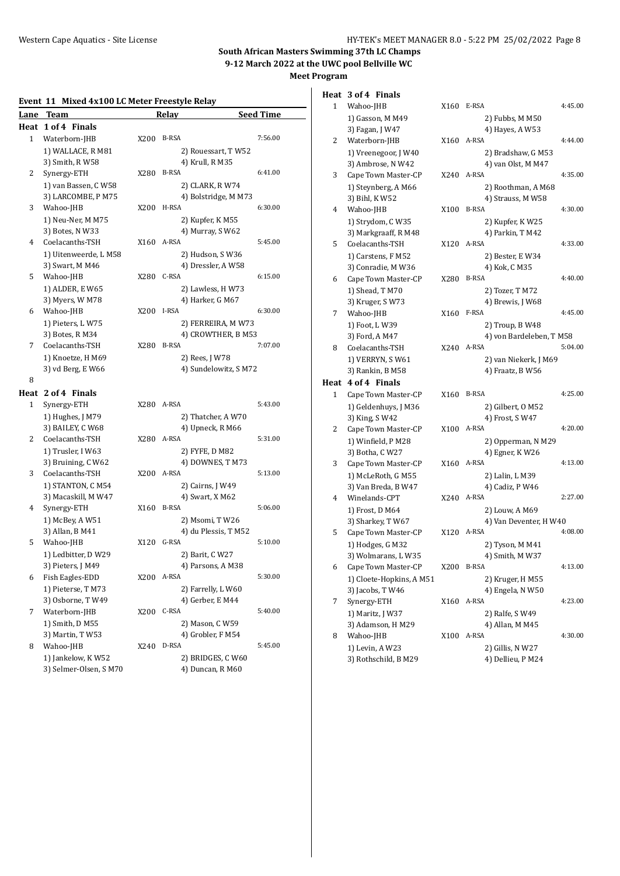| Event 11 Mixed 4x100 LC Meter Freestyle Relay |                                     |      |                                      |                  |  |
|-----------------------------------------------|-------------------------------------|------|--------------------------------------|------------------|--|
| Lane                                          | Team                                |      | <b>Relay</b>                         | <b>Seed Time</b> |  |
| Heat                                          | 1 of 4 Finals                       |      |                                      |                  |  |
| 1                                             | Waterborn-JHB                       | X200 | B-RSA                                | 7:56.00          |  |
|                                               | 1) WALLACE, R M81                   |      | 2) Rouessart, T W52                  |                  |  |
|                                               | 3) Smith, R W58                     |      | 4) Krull, R M35                      |                  |  |
| 2                                             | Synergy-ETH                         | X280 | <b>B-RSA</b>                         | 6:41.00          |  |
|                                               | 1) van Bassen, C W58                |      | 2) CLARK, R W74                      |                  |  |
|                                               | 3) LARCOMBE, P M75                  |      | 4) Bolstridge, M M73                 |                  |  |
| 3                                             | Wahoo-JHB                           | X200 | H-RSA                                | 6:30.00          |  |
|                                               | 1) Neu-Ner, M M75                   |      | 2) Kupfer, K M55                     |                  |  |
|                                               | 3) Botes, N W33                     |      | 4) Murray, SW62                      |                  |  |
| 4                                             | Coelacanths-TSH                     |      | X160 A-RSA                           | 5:45.00          |  |
|                                               | 1) Uitenweerde, L M58               |      | 2) Hudson, S W36                     |                  |  |
|                                               | 3) Swart, M M46                     |      | 4) Dressler, A W58                   |                  |  |
| 5                                             | Wahoo-JHB                           | X280 | C-RSA                                | 6:15.00          |  |
|                                               | 1) ALDER, E W65                     |      | 2) Lawless, H W73                    |                  |  |
|                                               | 3) Myers, W M78                     |      | 4) Harker, G M67                     |                  |  |
| 6                                             | Wahoo-JHB                           |      | X200 I-RSA                           | 6:30.00          |  |
|                                               | 1) Pieters, LW75                    |      | 2) FERREIRA, M W73                   |                  |  |
| 7                                             | 3) Botes, R M34<br>Coelacanths-TSH  | X280 | 4) CROWTHER, B M53<br><b>B-RSA</b>   | 7:07.00          |  |
|                                               | 1) Knoetze, H M69                   |      | 2) Rees, J W78                       |                  |  |
|                                               | 3) vd Berg, E W66                   |      | 4) Sundelowitz, SM72                 |                  |  |
| 8                                             |                                     |      |                                      |                  |  |
|                                               | Heat 2 of 4 Finals                  |      |                                      |                  |  |
| 1                                             | Synergy-ETH                         |      | X280 A-RSA                           | 5:43.00          |  |
|                                               | 1) Hughes, J M79                    |      | 2) Thatcher, A W70                   |                  |  |
|                                               | 3) BAILEY, C W68                    |      | 4) Upneck, R M66                     |                  |  |
| 2                                             | Coelacanths-TSH                     | X280 | A-RSA                                | 5:31.00          |  |
|                                               | 1) Trusler, I W63                   |      | 2) FYFE, D M82                       |                  |  |
|                                               | 3) Bruining, C W62                  |      | 4) DOWNES, T M73                     |                  |  |
| 3                                             | Coelacanths-TSH                     |      | X200 A-RSA                           | 5:13.00          |  |
|                                               | 1) STANTON, C M54                   |      | 2) Cairns, J W49                     |                  |  |
|                                               | 3) Macaskill, M W47                 |      | 4) Swart, X M62                      |                  |  |
| 4                                             | Synergy-ETH                         | X160 | <b>B-RSA</b>                         | 5:06.00          |  |
|                                               | 1) McBey, A W51                     |      | 2) Msomi, T W26                      |                  |  |
|                                               | 3) Allan, B M41                     |      | 4) du Plessis, TM52                  |                  |  |
| 5                                             | Wahoo-JHB                           | X120 | G-RSA                                | 5:10.00          |  |
|                                               | 1) Ledbitter, D W29                 |      | 2) Barit, C W27                      |                  |  |
|                                               | 3) Pieters, J M49                   |      | 4) Parsons, A M38                    |                  |  |
| 6                                             | Fish Eagles-EDD                     | X200 | A-RSA                                | 5:30.00          |  |
|                                               | 1) Pieterse, TM73                   |      | 2) Farrelly, L W60                   |                  |  |
|                                               | 3) Osborne, TW49                    |      | 4) Gerber, E M44<br>C-RSA            |                  |  |
| 7                                             | Waterborn-JHB                       | X200 |                                      | 5:40.00          |  |
|                                               | 1) Smith, D M55<br>3) Martin, T W53 |      | 2) Mason, C W59<br>4) Grobler, F M54 |                  |  |
| 8                                             | Wahoo-JHB                           | X240 | D-RSA                                | 5:45.00          |  |
|                                               | 1) Jankelow, KW52                   |      | 2) BRIDGES, C W60                    |                  |  |
|                                               | 3) Selmer-Olsen, SM70               |      | 4) Duncan, R M60                     |                  |  |
|                                               |                                     |      |                                      |                  |  |

|      | Heat 3 of 4 Finals                      |      |                                       |         |
|------|-----------------------------------------|------|---------------------------------------|---------|
| 1    | Wahoo-JHB                               | X160 | E-RSA                                 | 4:45.00 |
|      | 1) Gasson, M M49                        |      | 2) Fubbs, M M50                       |         |
|      | 3) Fagan, J W47                         |      | 4) Hayes, A W53                       |         |
| 2    | Waterborn-JHB                           | X160 | A-RSA                                 | 4:44.00 |
|      | 1) Vreenegoor, J W40                    |      | 2) Bradshaw, G M53                    |         |
|      | 3) Ambrose, N W42                       |      | 4) van Olst, M M47                    |         |
| 3    | Cape Town Master-CP                     | X240 | A-RSA                                 | 4:35.00 |
|      | 1) Steynberg, A M66                     |      | 2) Roothman, A M68                    |         |
|      | 3) Bihl, KW52                           |      | 4) Strauss, M W58                     |         |
| 4    | Wahoo-JHB                               | X100 | <b>B-RSA</b>                          | 4:30.00 |
|      | 1) Strydom, C W35                       |      | 2) Kupfer, K W25                      |         |
|      | 3) Markgraaff, R M48                    |      | 4) Parkin, T M42                      |         |
| 5    | Coelacanths-TSH                         | X120 | A-RSA                                 | 4:33.00 |
|      | 1) Carstens, F M52                      |      | 2) Bester, E W34                      |         |
|      | 3) Conradie, M W36                      |      | 4) Kok, C M35                         |         |
| 6    | Cape Town Master-CP                     | X280 | <b>B-RSA</b>                          | 4:40.00 |
|      | 1) Shead, T M70                         |      | 2) Tozer, T M72                       |         |
|      | 3) Kruger, SW73                         |      | 4) Brewis, J W68                      |         |
| 7    | Wahoo-JHB                               | X160 | F-RSA                                 | 4:45.00 |
|      | 1) Foot, L W39                          |      | 2) Troup, B W48                       |         |
|      | 3) Ford, A M47                          |      | 4) von Bardeleben, TM58               |         |
| 8    | Coelacanths-TSH                         | X240 | A-RSA                                 | 5:04.00 |
|      | 1) VERRYN, SW61                         |      | 2) van Niekerk, J M69                 |         |
|      | 3) Rankin, B M58                        |      | 4) Fraatz, B W56                      |         |
| Heat | 4 of 4 Finals                           |      |                                       |         |
| 1    | Cape Town Master-CP                     | X160 | <b>B-RSA</b>                          | 4:25.00 |
|      | 1) Geldenhuys, J M36                    |      | 2) Gilbert, O M52                     |         |
|      | 3) King, S W42                          |      | 4) Frost, S W47                       |         |
| 2    | Cape Town Master-CP                     | X100 | A-RSA                                 | 4:20.00 |
|      | 1) Winfield, P M28                      |      | 2) Opperman, N M29                    |         |
|      | 3) Botha, C W27                         |      | 4) Egner, K W26                       |         |
| 3    | Cape Town Master-CP                     | X160 | A-RSA                                 | 4:13.00 |
|      | 1) McLeRoth, G M55                      |      | 2) Lalin, L M39                       |         |
|      | 3) Van Breda, B W47                     |      | 4) Cadiz, P W46                       |         |
| 4    | Winelands-CPT                           |      | X240 A-RSA                            | 2:27.00 |
|      | 1) Frost, D M64                         |      | 2) Louw, A M69                        |         |
|      | 3) Sharkey, T W67                       |      | 4) Van Deventer, H W40                |         |
| 5    | Cape Town Master-CP                     | X120 | A-RSA                                 | 4:08.00 |
|      | 1) Hodges, G M32                        |      | 2) Tyson, M M41                       |         |
|      | 3) Wolmarans, L W35                     |      | 4) Smith, M W37<br><b>B-RSA</b>       |         |
| 6    | Cape Town Master-CP                     | X200 |                                       | 4:13.00 |
|      | 1) Cloete-Hopkins, A M51                |      | 2) Kruger, H M55                      |         |
|      | 3) Jacobs, T W46                        |      | 4) Engela, N W50                      |         |
| 7    | Synergy-ETH                             | X160 | A-RSA                                 | 4:23.00 |
|      | 1) Maritz, J W37                        |      | 2) Ralfe, S W49                       |         |
|      | 3) Adamson, H M29                       |      | 4) Allan, M M45<br>A-RSA              | 4:30.00 |
| 8    | Wahoo-JHB                               | X100 |                                       |         |
|      | 1) Levin, A W23<br>3) Rothschild, B M29 |      | 2) Gillis, N W27<br>4) Dellieu, P M24 |         |
|      |                                         |      |                                       |         |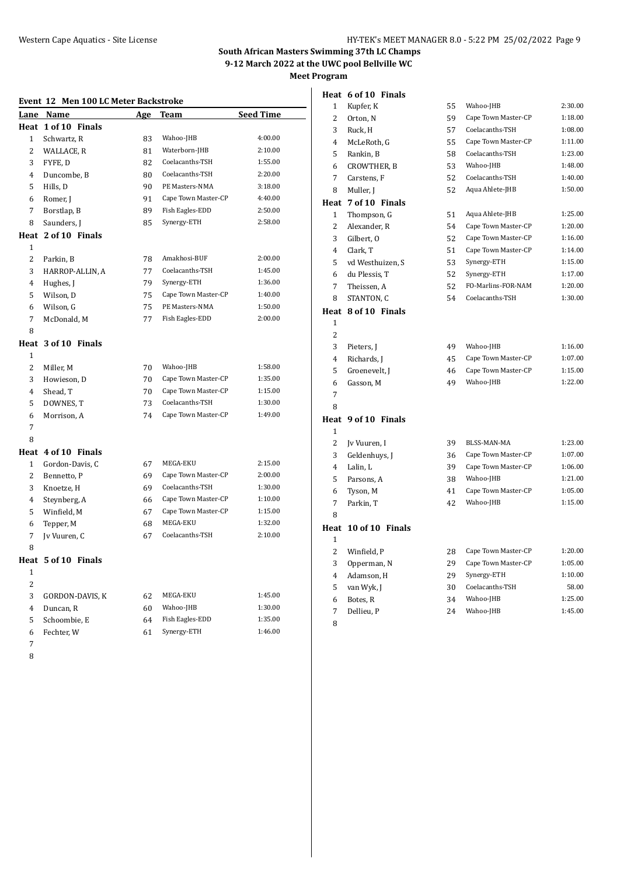**Heat 6 of 10 Finals**

|  |  |  | Event 12 Men 100 LC Meter Backstroke |
|--|--|--|--------------------------------------|
|  |  |  |                                      |

| Lane           | Name                | <u>Age</u> | Team                | <b>Seed Time</b> |
|----------------|---------------------|------------|---------------------|------------------|
|                | Heat 1 of 10 Finals |            |                     |                  |
| $\mathbf{1}$   | Schwartz, R         | 83         | Wahoo-JHB           | 4:00.00          |
| 2              | WALLACE, R          | 81         | Waterborn-JHB       | 2:10.00          |
| 3              | FYFE, D             | 82         | Coelacanths-TSH     | 1:55.00          |
| $\overline{4}$ | Duncombe, B         | 80         | Coelacanths-TSH     | 2:20.00          |
| 5              | Hills, D            | 90         | PE Masters-NMA      | 3:18.00          |
| 6              | Romer, J            | 91         | Cape Town Master-CP | 4:40.00          |
| 7              | Borstlap, B         | 89         | Fish Eagles-EDD     | 2:50.00          |
| 8              | Saunders, J         | 85         | Synergy-ETH         | 2:58.00          |
| Heat           | 2 of 10 Finals      |            |                     |                  |
| 1              |                     |            |                     |                  |
| 2              | Parkin, B           | 78         | Amakhosi-BUF        | 2:00.00          |
| 3              | HARROP-ALLIN, A     | 77         | Coelacanths-TSH     | 1:45.00          |
| 4              | Hughes, J           | 79         | Synergy-ETH         | 1:36.00          |
| 5              | Wilson, D           | 75         | Cape Town Master-CP | 1:40.00          |
| 6              | Wilson, G           | 75         | PE Masters-NMA      | 1:50.00          |
| 7              | McDonald, M         | 77         | Fish Eagles-EDD     | 2:00.00          |
| 8              |                     |            |                     |                  |
| Heat           | 3 of 10 Finals      |            |                     |                  |
| $\mathbf{1}$   |                     |            |                     |                  |
| $\overline{c}$ | Miller, M           | 70         | Wahoo-JHB           | 1:58.00          |
| 3              | Howieson, D         | 70         | Cape Town Master-CP | 1:35.00          |
| 4              | Shead, T            | 70         | Cape Town Master-CP | 1:15.00          |
| 5              | DOWNES, T           | 73         | Coelacanths-TSH     | 1:30.00          |
| 6              | Morrison, A         | 74         | Cape Town Master-CP | 1:49.00          |
| 7              |                     |            |                     |                  |
| 8              |                     |            |                     |                  |
| Heat           | 4 of 10 Finals      |            |                     |                  |
| $\mathbf{1}$   | Gordon-Davis, C     | 67         | MEGA-EKU            | 2:15.00          |
| $\overline{2}$ | Bennetto, P         | 69         | Cape Town Master-CP | 2:00.00          |
| 3              | Knoetze, H          | 69         | Coelacanths-TSH     | 1:30.00          |
| 4              | Steynberg, A        | 66         | Cape Town Master-CP | 1:10.00          |
| 5              | Winfield, M         | 67         | Cape Town Master-CP | 1:15.00          |
| 6              | Tepper, M           | 68         | MEGA-EKU            | 1:32.00          |
| 7              | Jv Vuuren, C        | 67         | Coelacanths-TSH     | 2:10.00          |
| 8              |                     |            |                     |                  |
| Heat           | 5 of 10 Finals      |            |                     |                  |
| $\mathbf{1}$   |                     |            |                     |                  |
| 2              |                     |            |                     |                  |
| 3              | GORDON-DAVIS, K     | 62         | MEGA-EKU            | 1:45.00          |
| $\overline{4}$ | Duncan, R           | 60         | Wahoo-JHB           | 1:30.00          |
| 5              | Schoombie, E        | 64         | Fish Eagles-EDD     | 1:35.00          |
| 6              | Fechter, W          | 61         | Synergy-ETH         | 1:46.00          |
| 7              |                     |            |                     |                  |

| 1              | Kupfer, K            | 55 | Wahoo-JHB           | 2:30.00 |
|----------------|----------------------|----|---------------------|---------|
| 2              | Orton, N             | 59 | Cape Town Master-CP | 1:18.00 |
| 3              | Ruck, H              | 57 | Coelacanths-TSH     | 1:08.00 |
| 4              | McLeRoth, G          | 55 | Cape Town Master-CP | 1:11.00 |
| 5              | Rankin, B            | 58 | Coelacanths-TSH     | 1:23.00 |
| 6              | <b>CROWTHER, B</b>   | 53 | Wahoo-JHB           | 1:48.00 |
| 7              | Carstens, F          | 52 | Coelacanths-TSH     | 1:40.00 |
| 8              | Muller, J            | 52 | Aqua Ahlete-JHB     | 1:50.00 |
| Heat           | 7 of 10 Finals       |    |                     |         |
| 1              | Thompson, G          | 51 | Aqua Ahlete-JHB     | 1:25.00 |
| 2              | Alexander, R         | 54 | Cape Town Master-CP | 1:20.00 |
| 3              | Gilbert, O           | 52 | Cape Town Master-CP | 1:16.00 |
| $\overline{4}$ | Clark, T             | 51 | Cape Town Master-CP | 1:14.00 |
| 5              | vd Westhuizen, S     | 53 | Synergy-ETH         | 1:15.00 |
| 6              | du Plessis, T        | 52 | Synergy-ETH         | 1:17.00 |
| 7              | Theissen, A          | 52 | FO-Marlins-FOR-NAM  | 1:20.00 |
| 8              | STANTON, C           | 54 | Coelacanths-TSH     | 1:30.00 |
|                | Heat 8 of 10 Finals  |    |                     |         |
| $\mathbf{1}$   |                      |    |                     |         |
| 2              |                      |    |                     |         |
| 3              | Pieters, J           | 49 | Wahoo-JHB           | 1:16.00 |
| 4              | Richards, J          | 45 | Cape Town Master-CP | 1:07.00 |
| 5              | Groenevelt, J        | 46 | Cape Town Master-CP | 1:15.00 |
| 6              | Gasson, M            | 49 | Wahoo-JHB           | 1:22.00 |
| 7              |                      |    |                     |         |
| 8              |                      |    |                     |         |
|                | Heat 9 of 10 Finals  |    |                     |         |
| 1              |                      |    |                     |         |
| 2              | Jv Vuuren, I         | 39 | BLSS-MAN-MA         | 1:23.00 |
| 3              | Geldenhuys, J        | 36 | Cape Town Master-CP | 1:07.00 |
| 4              | Lalin, L             | 39 | Cape Town Master-CP | 1:06.00 |
| 5              | Parsons, A           | 38 | Wahoo-JHB           | 1:21.00 |
| 6              | Tyson, M             | 41 | Cape Town Master-CP | 1:05.00 |
| 7              | Parkin, T            | 42 | Wahoo-JHB           | 1:15.00 |
| 8              |                      |    |                     |         |
|                | Heat 10 of 10 Finals |    |                     |         |
| 1              |                      |    |                     |         |
| 2              | Winfield, P          | 28 | Cape Town Master-CP | 1:20.00 |
| 3              | Opperman, N          | 29 | Cape Town Master-CP | 1:05.00 |
| $\overline{4}$ | Adamson, H           | 29 | Synergy-ETH         | 1:10.00 |
| 5              | van Wyk, J           | 30 | Coelacanths-TSH     | 58.00   |
| 6              | Botes, R             | 34 | Wahoo-JHB           | 1:25.00 |
| 7              | Dellieu, P           | 24 | Wahoo-JHB           | 1:45.00 |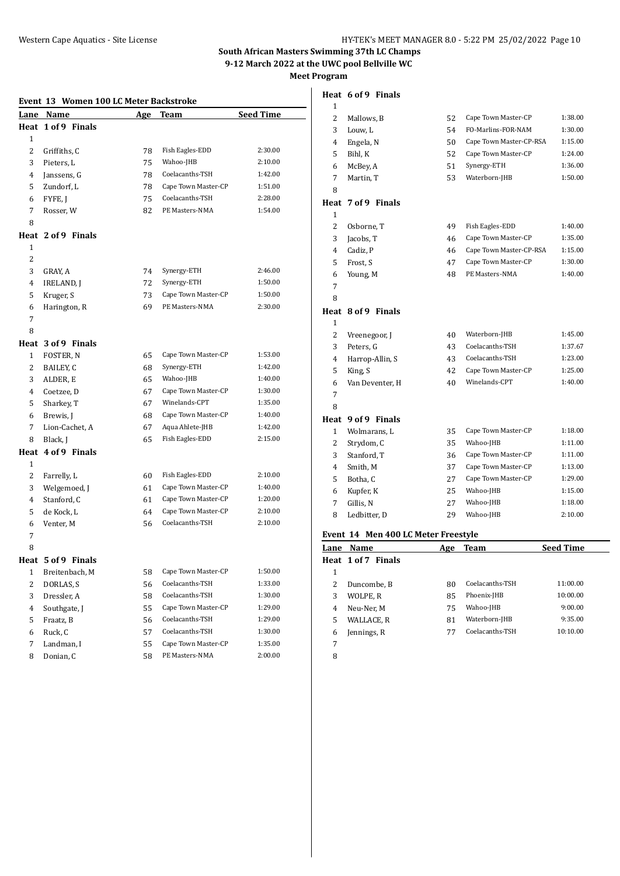**Heat 6 of 9 Finals**

|  | Event 13 Women 100 LC Meter Backstroke |  |
|--|----------------------------------------|--|

|                | ∸<br>women 100 nd meter backstrone |            |                     |                  |
|----------------|------------------------------------|------------|---------------------|------------------|
|                | Lane Name                          | <u>Age</u> | Team                | <b>Seed Time</b> |
|                | Heat 1 of 9 Finals                 |            |                     |                  |
| 1              |                                    |            |                     |                  |
| 2              | Griffiths, C                       | 78         | Fish Eagles-EDD     | 2:30.00          |
| 3              | Pieters, L                         | 75         | Wahoo-JHB           | 2:10.00          |
| 4              | Janssens, G                        | 78         | Coelacanths-TSH     | 1:42.00          |
| 5              | Zundorf, L                         | 78         | Cape Town Master-CP | 1:51.00          |
| 6              | FYFE, J                            | 75         | Coelacanths-TSH     | 2:28.00          |
| 7              | Rosser, W                          | 82         | PE Masters-NMA      | 1:54.00          |
| 8              |                                    |            |                     |                  |
| Heat           | 2 of 9 Finals                      |            |                     |                  |
| 1              |                                    |            |                     |                  |
| $\overline{c}$ |                                    |            |                     |                  |
| 3              | GRAY, A                            | 74         | Synergy-ETH         | 2:46.00          |
| 4              | <b>IRELAND, J</b>                  | 72         | Synergy-ETH         | 1:50.00          |
| 5              | Kruger, S                          | 73         | Cape Town Master-CP | 1:50.00          |
| 6              | Harington, R                       | 69         | PE Masters-NMA      | 2:30.00          |
| 7              |                                    |            |                     |                  |
| 8              |                                    |            |                     |                  |
|                | Heat 3 of 9 Finals                 |            |                     |                  |
| 1              | FOSTER, N                          | 65         | Cape Town Master-CP | 1:53.00          |
| 2              | BAILEY, C                          | 68         | Synergy-ETH         | 1:42.00          |
| 3              | ALDER, E                           | 65         | Wahoo-JHB           | 1:40.00          |
| 4              | Coetzee, D                         | 67         | Cape Town Master-CP | 1:30.00          |
| 5              | Sharkey, T                         | 67         | Winelands-CPT       | 1:35.00          |
| 6              | Brewis, J                          | 68         | Cape Town Master-CP | 1:40.00          |
| 7              | Lion-Cachet, A                     | 67         | Aqua Ahlete-JHB     | 1:42.00          |
| 8              | Black, J                           | 65         | Fish Eagles-EDD     | 2:15.00          |
|                | Heat 4 of 9 Finals                 |            |                     |                  |
| 1              |                                    |            |                     |                  |
| 2              | Farrelly, L                        | 60         | Fish Eagles-EDD     | 2:10.00          |
| 3              | Welgemoed, J                       | 61         | Cape Town Master-CP | 1:40.00          |
| 4              | Stanford, C                        | 61         | Cape Town Master-CP | 1:20.00          |
| 5              | de Kock, L                         | 64         | Cape Town Master-CP | 2:10.00          |
| 6              | Venter, M                          | 56         | Coelacanths-TSH     | 2:10.00          |
| 7              |                                    |            |                     |                  |
| 8              |                                    |            |                     |                  |
|                | Heat 5 of 9 Finals                 |            |                     |                  |
| T              | Breitenbach, M                     | 58         | Cape Town Master-CP | 1:50.00          |
| $\overline{c}$ | DORLAS, S                          | 56         | Coelacanths-TSH     | 1:33.00          |
| 3              | Dressler, A                        | 58         | Coelacanths-TSH     | 1:30.00          |
| 4              | Southgate, J                       | 55         | Cape Town Master-CP | 1:29.00          |
| 5              | Fraatz, B                          | 56         | Coelacanths-TSH     | 1:29.00          |
| 6              | Ruck, C                            | 57         | Coelacanths-TSH     | 1:30.00          |
| 7              | Landman, I                         | 55         | Cape Town Master-CP | 1:35.00          |
| 8              | Donian, C                          | 58         | PE Masters-NMA      | 2:00.00          |

| ┸ |                    |    |                         |         |
|---|--------------------|----|-------------------------|---------|
| 2 | Mallows, B         | 52 | Cape Town Master-CP     | 1:38.00 |
| 3 | Louw, L            | 54 | FO-Marlins-FOR-NAM      | 1:30.00 |
| 4 | Engela, N          | 50 | Cape Town Master-CP-RSA | 1:15.00 |
| 5 | Bihl, K            | 52 | Cape Town Master-CP     | 1:24.00 |
| 6 | McBey, A           | 51 | Synergy-ETH             | 1:36.00 |
| 7 | Martin, T          | 53 | Waterborn-JHB           | 1:50.00 |
| 8 |                    |    |                         |         |
|   | Heat 7 of 9 Finals |    |                         |         |
| 1 |                    |    |                         |         |
|   |                    |    |                         |         |
| 2 | Osborne, T         | 49 | Fish Eagles-EDD         | 1:40.00 |
| 3 | Jacobs, T          | 46 | Cape Town Master-CP     | 1:35.00 |
| 4 | Cadiz, P           | 46 | Cape Town Master-CP-RSA | 1:15.00 |
| 5 | Frost, S           | 47 | Cape Town Master-CP     | 1:30.00 |

## 

# **Heat 8 of 9 Finals**

| $\mathbf{1}$ |                    |    |                     |         |
|--------------|--------------------|----|---------------------|---------|
| 2            | Vreenegoor, J      | 40 | Waterborn-JHB       | 1:45.00 |
| 3            | Peters, G          | 43 | Coelacanths-TSH     | 1:37.67 |
| 4            | Harrop-Allin, S    | 43 | Coelacanths-TSH     | 1:23.00 |
| 5            | King, S            | 42 | Cape Town Master-CP | 1:25.00 |
| 6            | Van Deventer, H    | 40 | Winelands-CPT       | 1:40.00 |
| 7            |                    |    |                     |         |
| 8            |                    |    |                     |         |
|              | Heat 9 of 9 Finals |    |                     |         |
| 1            | Wolmarans, L       | 35 | Cape Town Master-CP | 1:18.00 |
| 2            | Strydom, C         | 35 | Wahoo-JHB           | 1:11.00 |
| 3            | Stanford, T        | 36 | Cape Town Master-CP | 1:11.00 |
| 4            | Smith, M           | 37 | Cape Town Master-CP | 1:13.00 |
| 5            | Botha, C           | 27 | Cape Town Master-CP | 1:29.00 |
| 6            | Kupfer, K          | 25 | Wahoo-JHB           | 1:15.00 |
| 7            | Gillis, N          | 27 | Wahoo-JHB           | 1:18.00 |
| 8            | Ledbitter. D       | 29 | Wahoo-JHB           | 2:10.00 |

## **Event 14 Men 400 LC Meter Freestyle**

|   | Lane Name          | Age | <b>Team</b>     | <b>Seed Time</b> |
|---|--------------------|-----|-----------------|------------------|
|   | Heat 1 of 7 Finals |     |                 |                  |
| 1 |                    |     |                 |                  |
| 2 | Duncombe, B        | 80  | Coelacanths-TSH | 11:00.00         |
| 3 | WOLPE, R           | 85  | Phoenix-JHB     | 10:00.00         |
| 4 | Neu-Ner, M         | 75  | Wahoo-JHB       | 9:00.00          |
| 5 | WALLACE, R         | 81  | Waterborn-JHB   | 9:35.00          |
| 6 | Jennings, R        | 77  | Coelacanths-TSH | 10:10.00         |
| 7 |                    |     |                 |                  |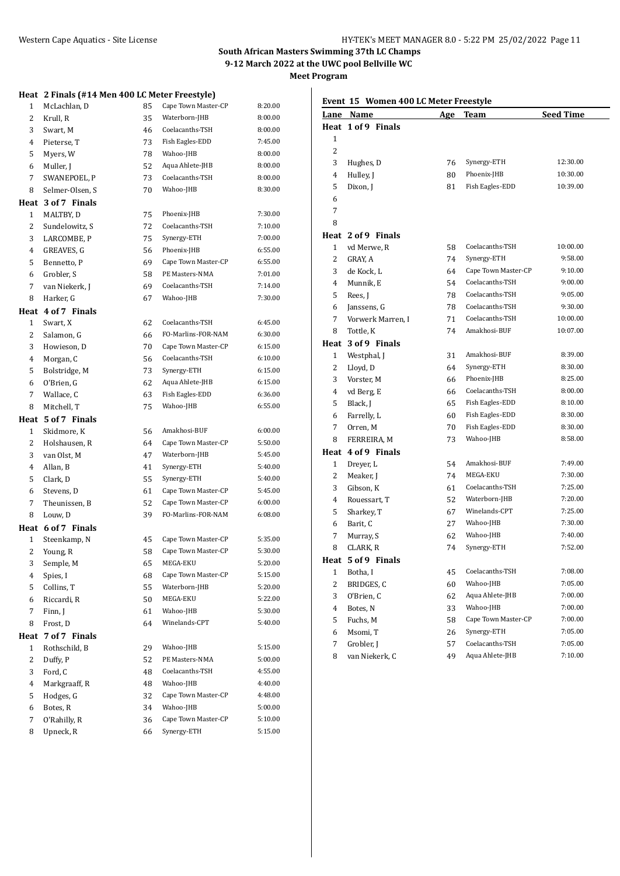**Meet Program**

|                | Heat 2 Finals (#14 Men 400 LC Meter Freestyle) |    |                                    |         |
|----------------|------------------------------------------------|----|------------------------------------|---------|
| 1              | McLachlan, D                                   | 85 | Cape Town Master-CP                | 8:20.00 |
| $\overline{c}$ | Krull, R                                       | 35 | Waterborn-JHB                      | 8:00.00 |
| 3              | Swart, M                                       | 46 | Coelacanths-TSH                    | 8:00.00 |
| 4              | Pieterse, T                                    | 73 | Fish Eagles-EDD                    | 7:45.00 |
| 5              | Myers, W                                       | 78 | Wahoo-JHB                          | 8:00.00 |
| 6              | Muller, J                                      | 52 | Aqua Ahlete-JHB                    | 8:00.00 |
| 7              | SWANEPOEL, P                                   | 73 | Coelacanths-TSH                    | 8:00.00 |
| 8              | Selmer-Olsen, S                                | 70 | Wahoo-JHB                          | 8:30.00 |
| Heat           | 3 of 7 Finals                                  |    |                                    |         |
| 1              | MALTBY, D                                      | 75 | Phoenix-JHB                        | 7:30.00 |
| $\overline{c}$ | Sundelowitz, S                                 | 72 | Coelacanths-TSH                    | 7:10.00 |
| 3              | LARCOMBE, P                                    | 75 | Synergy-ETH                        | 7:00.00 |
| 4              | GREAVES, G                                     | 56 | Phoenix-JHB                        | 6:55.00 |
| 5              | Bennetto, P                                    | 69 | Cape Town Master-CP                | 6:55.00 |
| 6              | Grobler, S                                     | 58 | PE Masters-NMA                     | 7:01.00 |
| 7              | van Niekerk, J                                 | 69 | Coelacanths-TSH                    | 7:14.00 |
| 8              | Harker, G                                      | 67 | Wahoo-JHB                          | 7:30.00 |
|                | Heat 4 of 7 Finals                             |    |                                    |         |
| 1              | Swart, X                                       | 62 | Coelacanths-TSH                    | 6:45.00 |
| 2              | Salamon, G                                     | 66 | FO-Marlins-FOR-NAM                 | 6:30.00 |
| 3              | Howieson, D                                    | 70 | Cape Town Master-CP                | 6:15.00 |
| 4              | Morgan, C                                      | 56 | Coelacanths-TSH                    | 6:10.00 |
| 5              | Bolstridge, M                                  | 73 | Synergy-ETH                        | 6:15.00 |
| 6              | O'Brien, G                                     | 62 | Aqua Ahlete-JHB                    | 6:15.00 |
| 7              | Wallace, C                                     | 63 | Fish Eagles-EDD                    | 6:36.00 |
| 8              | Mitchell, T                                    | 75 | Wahoo-JHB                          | 6:55.00 |
|                |                                                |    |                                    |         |
|                |                                                |    |                                    |         |
|                | Heat 5 of 7 Finals                             |    |                                    |         |
| 1              | Skidmore, K                                    | 56 | Amakhosi-BUF                       | 6:00.00 |
| 2              | Holshausen, R                                  | 64 | Cape Town Master-CP                | 5:50.00 |
| 3              | van Olst, M                                    | 47 | Waterborn-JHB                      | 5:45.00 |
| 4              | Allan, B                                       | 41 | Synergy-ETH                        | 5:40.00 |
| 5              | Clark, D                                       | 55 | Synergy-ETH                        | 5:40.00 |
| 6              | Stevens, D                                     | 61 | Cape Town Master-CP                | 5:45.00 |
| 7              | Theunissen, B                                  | 52 | Cape Town Master-CP                | 6:00.00 |
| 8              | Louw, D                                        | 39 | FO-Marlins-FOR-NAM                 | 6:08.00 |
|                | Heat 6 of 7 Finals                             |    |                                    |         |
| 1              | Steenkamp, N                                   | 45 | Cape Town Master-CP                | 5:35.00 |
| 2              | Young, R                                       | 58 | Cape Town Master-CP                | 5:30.00 |
| 3              | Semple, M                                      | 65 | MEGA-EKU                           | 5:20.00 |
| 4              | Spies, I                                       | 68 | Cape Town Master-CP                | 5:15.00 |
| 5              | Collins, T                                     | 55 | Waterborn-JHB                      | 5:20.00 |
| 6              | Riccardi, R                                    | 50 | MEGA-EKU                           | 5:22.00 |
| 7              | Finn, J                                        | 61 | Wahoo-JHB                          | 5:30.00 |
| 8              | Frost, D                                       | 64 | Winelands-CPT                      | 5:40.00 |
| Heat           | 7 of 7 Finals                                  |    |                                    |         |
| 1              | Rothschild, B                                  | 29 | Wahoo-JHB                          | 5:15.00 |
| 2              | Duffy, P                                       | 52 | PE Masters-NMA                     | 5:00.00 |
| 3              | Ford, C                                        | 48 | Coelacanths-TSH                    | 4:55.00 |
| 4              | Markgraaff, R                                  | 48 | Wahoo-JHB                          | 4:40.00 |
| 5              | Hodges, G                                      | 32 | Cape Town Master-CP                | 4:48.00 |
| 6              | Botes, R                                       | 34 | Wahoo-JHB                          | 5:00.00 |
| 7              | O'Rahilly, R                                   | 36 | Cape Town Master-CP<br>Synergy-ETH | 5:10.00 |

# **Event 15 Women 400 LC Meter Freestyle**

| <u>Lane</u> | Name               | <u>Age</u> | Team                | <b>Seed Time</b> |  |
|-------------|--------------------|------------|---------------------|------------------|--|
|             | Heat 1 of 9 Finals |            |                     |                  |  |
| 1           |                    |            |                     |                  |  |
| 2           |                    |            |                     |                  |  |
| 3           | Hughes, D          | 76         | Synergy-ETH         | 12:30.00         |  |
| 4           | Hulley, J          | 80         | Phoenix-JHB         | 10:30.00         |  |
| 5           | Dixon, J           | 81         | Fish Eagles-EDD     | 10:39.00         |  |
| 6           |                    |            |                     |                  |  |
| 7           |                    |            |                     |                  |  |
| 8           |                    |            |                     |                  |  |
|             | Heat 2 of 9 Finals |            |                     |                  |  |
| 1           | vd Merwe, R        | 58         | Coelacanths-TSH     | 10:00.00         |  |
| 2           | GRAY, A            | 74         | Synergy-ETH         | 9:58.00          |  |
| 3           | de Kock, L         | 64         | Cape Town Master-CP | 9:10.00          |  |
| 4           | Munnik, E          | 54         | Coelacanths-TSH     | 9:00.00          |  |
| 5           | Rees, J            | 78         | Coelacanths-TSH     | 9:05.00          |  |
| 6           | Janssens, G        | 78         | Coelacanths-TSH     | 9:30.00          |  |
| 7           | Vorwerk Marren, I  | 71         | Coelacanths-TSH     | 10:00.00         |  |
| 8           | Tottle, K          | 74         | Amakhosi-BUF        | 10:07.00         |  |
| Heat        | 3 of 9 Finals      |            |                     |                  |  |
| 1           | Westphal, J        | 31         | Amakhosi-BUF        | 8:39.00          |  |
| 2           | Lloyd, D           | 64         | Synergy-ETH         | 8:30.00          |  |
| 3           | Vorster, M         | 66         | Phoenix-JHB         | 8:25.00          |  |
| 4           | vd Berg, E         | 66         | Coelacanths-TSH     | 8:00.00          |  |
| 5           | Black, J           | 65         | Fish Eagles-EDD     | 8:10.00          |  |
| 6           | Farrelly, L        | 60         | Fish Eagles-EDD     | 8:30.00          |  |
| 7           | Orren, M           | 70         | Fish Eagles-EDD     | 8:30.00          |  |
| 8           | FERREIRA, M        | 73         | Wahoo-JHB           | 8:58.00          |  |
|             | Heat 4 of 9 Finals |            |                     |                  |  |
| 1           | Dreyer, L          | 54         | Amakhosi-BUF        | 7:49.00          |  |
| 2           | Meaker, J          | 74         | MEGA-EKU            | 7:30.00          |  |
| 3           | Gibson, K          | 61         | Coelacanths-TSH     | 7:25.00          |  |
| 4           | Rouessart, T       | 52         | Waterborn-JHB       | 7:20.00          |  |
| 5           | Sharkey, T         | 67         | Winelands-CPT       | 7:25.00          |  |
| 6           | Barit, C           | 27         | Wahoo-JHB           | 7:30.00          |  |
| 7           | Murray, S          | 62         | Wahoo-JHB           | 7:40.00          |  |
| 8           | CLARK, R           | 74         | Synergy-ETH         | 7:52.00          |  |
|             | Heat 5 of 9 Finals |            |                     |                  |  |
| 1           | Botha, I           | 45         | Coelacanths-TSH     | 7:08.00          |  |
| 2           | BRIDGES, C         | 60         | Wahoo-JHB           | 7:05.00          |  |
| 3           | O'Brien, C         | 62         | Aqua Ahlete-JHB     | 7:00.00          |  |
| 4           | Botes, N           | 33         | Wahoo-JHB           | 7:00.00          |  |
| 5           | Fuchs, M           | 58         | Cape Town Master-CP | 7:00.00          |  |
| 6           | Msomi, T           | 26         | Synergy-ETH         | 7:05.00          |  |
| 7           | Grobler, J         | 57         | Coelacanths-TSH     | 7:05.00          |  |
| 8           | van Niekerk, C     | 49         | Aqua Ahlete-JHB     | 7:10.00          |  |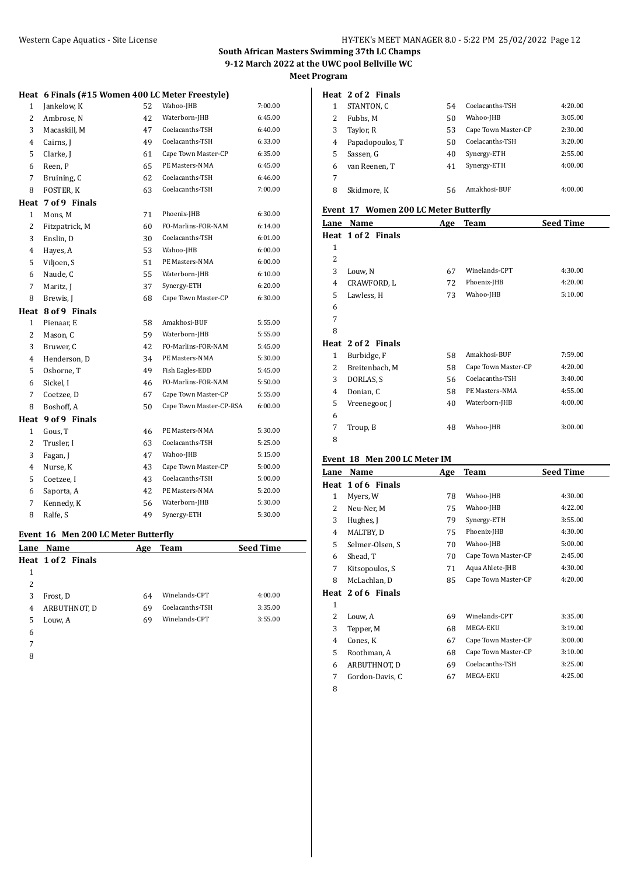# Western Cape Aquatics - Site License **HY-TEK's MEET MANAGER 8.0 - 5:22 PM 25/02/2022** Page 12

# **South African Masters Swimming 37th LC Champs 9-12 March 2022 at the UWC pool Bellville WC Meet Program**

|  | Heat 6 Finals (#15 Women 400 LC Meter Freestyle) |  |
|--|--------------------------------------------------|--|
|  |                                                  |  |

| $\mathbf{1}$   | Jankelow, K    | 52 | Wahoo-JHB               | 7:00.00 |
|----------------|----------------|----|-------------------------|---------|
| $\overline{c}$ | Ambrose, N     | 42 | Waterborn-JHB           | 6:45.00 |
| 3              | Macaskill, M   | 47 | Coelacanths-TSH         | 6:40.00 |
| 4              | Cairns, J      | 49 | Coelacanths-TSH         | 6:33.00 |
| 5              | Clarke, J      | 61 | Cape Town Master-CP     | 6:35.00 |
| 6              | Reen, P        | 65 | PE Masters-NMA          | 6:45.00 |
| 7              | Bruining, C    | 62 | Coelacanths-TSH         | 6:46.00 |
| 8              | FOSTER, K      | 63 | Coelacanths-TSH         | 7:00.00 |
| Heat           | 7 of 9 Finals  |    |                         |         |
| $\mathbf{1}$   | Mons, M        | 71 | Phoenix-JHB             | 6:30.00 |
| 2              | Fitzpatrick, M | 60 | FO-Marlins-FOR-NAM      | 6:14.00 |
| 3              | Enslin, D      | 30 | Coelacanths-TSH         | 6:01.00 |
| 4              | Hayes, A       | 53 | Wahoo-JHB               | 6:00.00 |
| 5              | Viljoen, S     | 51 | PE Masters-NMA          | 6:00.00 |
| 6              | Naude, C       | 55 | Waterborn-JHB           | 6:10.00 |
| 7              | Maritz, J      | 37 | Synergy-ETH             | 6:20.00 |
| 8              | Brewis, J      | 68 | Cape Town Master-CP     | 6:30.00 |
| Heat           | 8 of 9 Finals  |    |                         |         |
| $\mathbf{1}$   | Pienaar, E     | 58 | Amakhosi-BUF            | 5:55.00 |
| 2              | Mason, C       | 59 | Waterborn-JHB           | 5:55.00 |
| 3              | Bruwer, C      | 42 | FO-Marlins-FOR-NAM      | 5:45.00 |
| 4              | Henderson, D   | 34 | PE Masters-NMA          | 5:30.00 |
| 5              | Osborne, T     | 49 | Fish Eagles-EDD         | 5:45.00 |
| 6              | Sickel, I      | 46 | FO-Marlins-FOR-NAM      | 5:50.00 |
| 7              | Coetzee, D     | 67 | Cape Town Master-CP     | 5:55.00 |
| 8              | Boshoff, A     | 50 | Cape Town Master-CP-RSA | 6:00.00 |
| Heat           | 9 of 9 Finals  |    |                         |         |
| $\mathbf{1}$   | Gous, T        | 46 | PE Masters-NMA          | 5:30.00 |
| 2              | Trusler, I     | 63 | Coelacanths-TSH         | 5:25.00 |
| 3              | Fagan, J       | 47 | Wahoo-JHB               | 5:15.00 |
| 4              | Nurse, K       | 43 | Cape Town Master-CP     | 5:00.00 |
| 5              | Coetzee, I     | 43 | Coelacanths-TSH         | 5:00.00 |
| 6              | Saporta, A     | 42 | PE Masters-NMA          | 5:20.00 |
| 7              | Kennedy, K     | 56 | Waterborn-JHB           | 5:30.00 |
| 8              | Ralfe, S       | 49 | Synergy-ETH             | 5:30.00 |
|                |                |    |                         |         |

# **Event 16 Men 200 LC Meter Butterfly**

|   | Lane Name          | Age | <b>Team</b>     | <b>Seed Time</b> |
|---|--------------------|-----|-----------------|------------------|
|   | Heat 1 of 2 Finals |     |                 |                  |
| 1 |                    |     |                 |                  |
| 2 |                    |     |                 |                  |
| 3 | Frost, D           | 64  | Winelands-CPT   | 4:00.00          |
| 4 | ARBUTHNOT, D       | 69  | Coelacanths-TSH | 3:35.00          |
| 5 | Louw, A            | 69  | Winelands-CPT   | 3:55.00          |
| 6 |                    |     |                 |                  |
| 7 |                    |     |                 |                  |

#### **Heat 2 of 2 Finals**

|   | STANTON, C      | 54 | Coelacanths-TSH     | 4:20.00 |
|---|-----------------|----|---------------------|---------|
| 2 | Fubbs. M        | 50 | Wahoo-JHB           | 3:05.00 |
| 3 | Taylor, R       | 53 | Cape Town Master-CP | 2:30.00 |
| 4 | Papadopoulos, T | 50 | Coelacanths-TSH     | 3:20.00 |
| 5 | Sassen, G       | 40 | Synergy-ETH         | 2:55.00 |
| 6 | van Reenen. T   | 41 | Synergy-ETH         | 4:00.00 |
| 7 |                 |    |                     |         |
| 8 | Skidmore, K     | 56 | Amakhosi-BUF        | 4:00.00 |

# **Event 17 Women 200 LC Meter Butterfly**

| Lane           | Name               | Age | <b>Team</b>         | <b>Seed Time</b> |
|----------------|--------------------|-----|---------------------|------------------|
|                | Heat 1 of 2 Finals |     |                     |                  |
| $\mathbf{1}$   |                    |     |                     |                  |
| $\overline{2}$ |                    |     |                     |                  |
| 3              | Louw, N            | 67  | Winelands-CPT       | 4:30.00          |
| 4              | CRAWFORD, L        | 72  | Phoenix-JHB         | 4:20.00          |
| 5              | Lawless, H         | 73  | Wahoo-JHB           | 5:10.00          |
| 6              |                    |     |                     |                  |
| 7              |                    |     |                     |                  |
| 8              |                    |     |                     |                  |
|                | Heat 2 of 2 Finals |     |                     |                  |
| $\mathbf{1}$   | Burbidge, F        | 58  | Amakhosi-BUF        | 7:59.00          |
| 2              | Breitenbach, M     | 58  | Cape Town Master-CP | 4:20.00          |
| 3              | DORLAS, S          | 56  | Coelacanths-TSH     | 3:40.00          |
| 4              | Donian, C          | 58  | PE Masters-NMA      | 4:55.00          |
| 5              | Vreenegoor, J      | 40  | Waterborn-JHB       | 4:00.00          |
| 6              |                    |     |                     |                  |
| 7              | Troup, B           | 48  | Wahoo-JHB           | 3:00.00          |
| 8              |                    |     |                     |                  |

## **Event 18 Men 200 LC Meter IM**

| Lane         | Name               | Age | <b>Team</b>         | <b>Seed Time</b> |
|--------------|--------------------|-----|---------------------|------------------|
|              | Heat 1 of 6 Finals |     |                     |                  |
| $\mathbf{1}$ | Myers, W           | 78  | Wahoo-JHB           | 4:30.00          |
| 2            | Neu-Ner, M         | 75  | Wahoo-JHB           | 4:22.00          |
| 3            | Hughes, J          | 79  | Synergy-ETH         | 3:55.00          |
| 4            | MALTBY, D          | 75  | Phoenix-JHB         | 4:30.00          |
| 5            | Selmer-Olsen, S    | 70  | Wahoo-JHB           | 5:00.00          |
| 6            | Shead, T           | 70  | Cape Town Master-CP | 2:45.00          |
| 7            | Kitsopoulos, S     | 71  | Aqua Ahlete-JHB     | 4:30.00          |
| 8            | McLachlan, D       | 85  | Cape Town Master-CP | 4:20.00          |
|              | Heat 2 of 6 Finals |     |                     |                  |
| $\mathbf{1}$ |                    |     |                     |                  |
| 2            | Louw, A            | 69  | Winelands-CPT       | 3:35.00          |
| 3            | Tepper, M          | 68  | MEGA-EKU            | 3:19.00          |
| 4            | Cones, K           | 67  | Cape Town Master-CP | 3:00.00          |
| 5            | Roothman, A        | 68  | Cape Town Master-CP | 3:10.00          |
| 6            | ARBUTHNOT, D       | 69  | Coelacanths-TSH     | 3:25.00          |
| 7            | Gordon-Davis, C    | 67  | MEGA-EKU            | 4:25.00          |
| 8            |                    |     |                     |                  |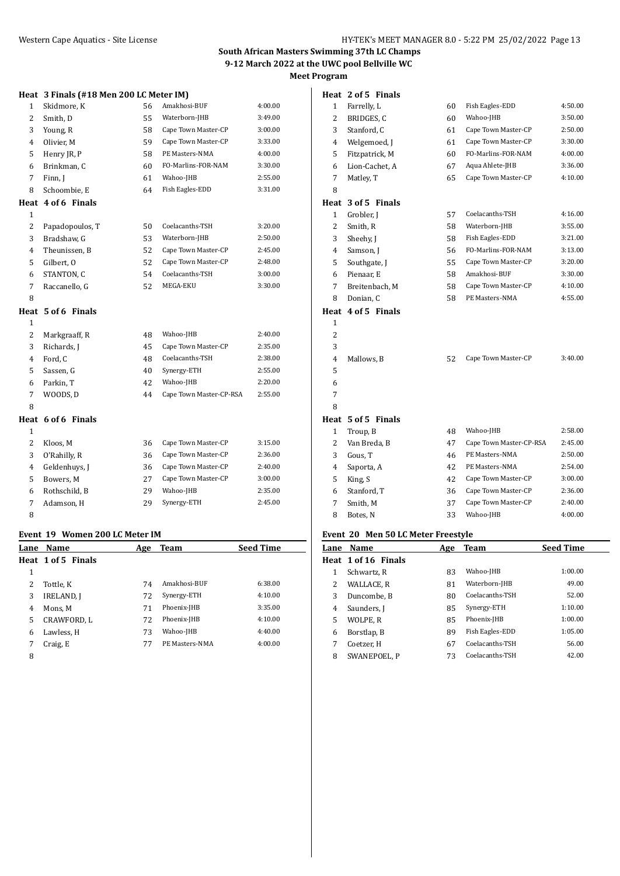1 Farrelly, L 60 Fish Eagles-EDD 4:50.00

# **South African Masters Swimming 37th LC Champs 9-12 March 2022 at the UWC pool Bellville WC Meet Program**

**Heat 2 of 5 Finals**

|                | Heat 3 Finals (#18 Men 200 LC Meter IM) |    |                         |         |
|----------------|-----------------------------------------|----|-------------------------|---------|
| $\mathbf{1}$   | Skidmore, K                             | 56 | Amakhosi-BUF            | 4:00.00 |
| $\overline{c}$ | Smith, D                                | 55 | Waterborn-JHB           | 3:49.00 |
| 3              | Young, R                                | 58 | Cape Town Master-CP     | 3:00.00 |
| $\overline{4}$ | Olivier, M                              | 59 | Cape Town Master-CP     | 3:33.00 |
| 5              | Henry JR, P                             | 58 | PE Masters-NMA          | 4:00.00 |
| 6              | Brinkman, C                             | 60 | FO-Marlins-FOR-NAM      | 3:30.00 |
| 7              | Finn, J                                 | 61 | Wahoo-JHB               | 2:55.00 |
| 8              | Schoombie, E                            | 64 | Fish Eagles-EDD         | 3:31.00 |
| Heat           | 4 of 6 Finals                           |    |                         |         |
| $\mathbf{1}$   |                                         |    |                         |         |
| $\overline{c}$ | Papadopoulos, T                         | 50 | Coelacanths-TSH         | 3:20.00 |
| 3              | Bradshaw, G                             | 53 | Waterborn-JHB           | 2:50.00 |
| 4              | Theunissen, B                           | 52 | Cape Town Master-CP     | 2:45.00 |
| 5              | Gilbert, O                              | 52 | Cape Town Master-CP     | 2:48.00 |
| 6              | STANTON, C                              | 54 | Coelacanths-TSH         | 3:00.00 |
| $\overline{7}$ | Raccanello, G                           | 52 | MEGA-EKU                | 3:30.00 |
| 8              |                                         |    |                         |         |
| Heat           | 5 of 6 Finals                           |    |                         |         |
| $\mathbf{1}$   |                                         |    |                         |         |
| $\overline{c}$ | Markgraaff, R                           | 48 | Wahoo-JHB               | 2:40.00 |
| 3              | Richards, J                             | 45 | Cape Town Master-CP     | 2:35.00 |
| 4              | Ford, C                                 | 48 | Coelacanths-TSH         | 2:38.00 |
| 5              | Sassen, G                               | 40 | Synergy-ETH             | 2:55.00 |
| 6              | Parkin, T                               | 42 | Wahoo-JHB               | 2:20.00 |
| 7              | WOODS, D                                | 44 | Cape Town Master-CP-RSA | 2:55.00 |
| 8              |                                         |    |                         |         |
| Heat           | 6 of 6 Finals                           |    |                         |         |
| $\mathbf{1}$   |                                         |    |                         |         |
| $\overline{c}$ | Kloos, M                                | 36 | Cape Town Master-CP     | 3:15.00 |
| 3              | O'Rahilly, R                            | 36 | Cape Town Master-CP     | 2:36.00 |
| 4              | Geldenhuvs, J                           | 36 | Cape Town Master-CP     | 2:40.00 |
| 5              | Bowers, M                               | 27 | Cape Town Master-CP     | 3:00.00 |
| 6              | Rothschild, B                           | 29 | Wahoo-JHB               | 2:35.00 |
| $\overline{7}$ | Adamson, H                              | 29 | Synergy-ETH             | 2:45.00 |
| 8              |                                         |    |                         |         |
|                |                                         |    |                         |         |

#### **Event 19 Women 200 LC Meter IM**

| Lane | Name               | Age | <b>Team</b>    | <b>Seed Time</b> |
|------|--------------------|-----|----------------|------------------|
|      | Heat 1 of 5 Finals |     |                |                  |
| 1    |                    |     |                |                  |
| 2    | Tottle, K          | 74  | Amakhosi-BUF   | 6:38.00          |
| 3    | <b>IRELAND, J</b>  | 72  | Synergy-ETH    | 4:10.00          |
| 4    | Mons. M            | 71  | Phoenix-JHB    | 3:35.00          |
| 5    | CRAWFORD, L        | 72  | Phoenix-JHB    | 4:10.00          |
| 6    | Lawless, H         | 73  | Wahoo-JHB      | 4:40.00          |
| 7    | Craig, E           | 77  | PE Masters-NMA | 4:00.00          |
| C    |                    |     |                |                  |

| 2            | BRIDGES, C                         | 60 | Wahoo-JHB               | 3:50.00 |
|--------------|------------------------------------|----|-------------------------|---------|
| 3            | Stanford, C                        | 61 | Cape Town Master-CP     | 2:50.00 |
| 4            | Welgemoed, J                       | 61 | Cape Town Master-CP     | 3:30.00 |
| 5            | Fitzpatrick, M                     | 60 | FO-Marlins-FOR-NAM      | 4:00.00 |
| 6            | Lion-Cachet, A                     | 67 | Aqua Ahlete-JHB         | 3:36.00 |
| 7            | Matley, T                          | 65 | Cape Town Master-CP     | 4:10.00 |
| 8            |                                    |    |                         |         |
| Heat         | 3 of 5 Finals                      |    |                         |         |
| 1            | Grobler, J                         | 57 | Coelacanths-TSH         | 4:16.00 |
| 2            | Smith, R                           | 58 | Waterborn-JHB           | 3:55.00 |
| 3            | Sheehy, J                          | 58 | Fish Eagles-EDD         | 3:21.00 |
| 4            | Samson, J                          | 56 | FO-Marlins-FOR-NAM      | 3:13.00 |
| 5            | Southgate, J                       | 55 | Cape Town Master-CP     | 3:20.00 |
| 6            | Pienaar, E                         | 58 | Amakhosi-BUF            | 3:30.00 |
| 7            | Breitenbach, M                     | 58 | Cape Town Master-CP     | 4:10.00 |
| 8            | Donian. C                          | 58 | PE Masters-NMA          | 4:55.00 |
| Heat         | 4 of 5 Finals                      |    |                         |         |
| $\mathbf{1}$ |                                    |    |                         |         |
| 2            |                                    |    |                         |         |
| 3            |                                    |    |                         |         |
| 4            | Mallows, B                         | 52 | Cape Town Master-CP     | 3:40.00 |
| 5            |                                    |    |                         |         |
| 6            |                                    |    |                         |         |
| 7            |                                    |    |                         |         |
| 8            |                                    |    |                         |         |
|              | Heat 5 of 5 Finals                 |    |                         |         |
| 1            | Troup, B                           | 48 | Wahoo-JHB               | 2:58.00 |
| 2            | Van Breda, B                       | 47 | Cape Town Master-CP-RSA | 2:45.00 |
| 3            | Gous, T                            | 46 | PE Masters-NMA          | 2:50.00 |
| 4            | Saporta, A                         | 42 | PE Masters-NMA          | 2:54.00 |
| 5            | King, S                            | 42 | Cape Town Master-CP     | 3:00.00 |
| 6            | Stanford, T                        | 36 | Cape Town Master-CP     | 2:36.00 |
| 7            | Smith, M                           | 37 | Cape Town Master-CP     | 2:40.00 |
| 8            | Botes, N                           | 33 | Wahoo-JHB               | 4:00.00 |
|              | Event 20 Men 50 LC Meter Freestyle |    |                         |         |

# **Lane Name Age Team Seed Time Heat 1 of 16 Finals** Schwartz, R 83 Wahoo-JHB 1:00.00 2 WALLACE, R 81 Waterborn-JHB 49.00 3 Duncombe, B 80 Coelacanths-TSH 52.00 4 Saunders, J 85 Synergy-ETH 1:10.00 5 WOLPE, R 85 Phoenix-JHB 1:00.00 6 Borstlap, B 89 Fish Eagles-EDD 1:05.00 7 Coetzer, H 67 Coelacanths-TSH 56.00 8 SWANEPOEL, P 73 Coelacanths-TSH 42.00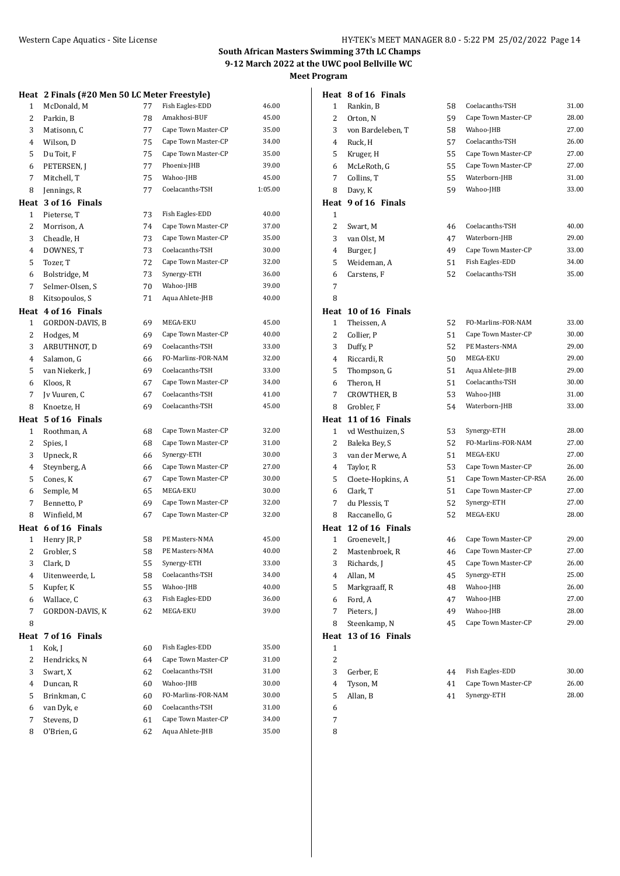# **Heat 2 Finals (#20 Men 50 LC Meter Freestyle)** 1 McDonald, M 77 Fish Eagles-EDD 46.00 2 Parkin, B 78 Amakhosi-BUF 45.00 3 Matisonn, C 77 Cape Town Master-CP 35.00 4 Wilson, D 75 Cape Town Master-CP 34.00 5 Du Toit, F 75 Cape Town Master-CP 35.00 6 PETERSEN, J 77 Phoenix-JHB 39.00 7 Mitchell, T 75 Wahoo-JHB 45.00 8 Jennings, R 77 Coelacanths-TSH 1:05.00 **Heat 3 of 16 Finals** 1 Pieterse. T 73 Fish Eagles-EDD 40.00 2 Morrison, A 74 Cape Town Master-CP 37.00 3 Cheadle, H 73 Cape Town Master-CP 35.00 4 DOWNES, T 73 Coelacanths-TSH 30.00 5 Tozer, T 72 Cape Town Master-CP 32.00 6 Bolstridge, M 73 Synergy-ETH 36.00 7 Selmer-Olsen, S 70 Wahoo-JHB 39.00 8 Kitsopoulos, S 71 Aqua Ahlete-JHB 40.00 **Heat 4 of 16 Finals** 1 GORDON-DAVIS, B 69 MEGA-EKU 45.00 2 Hodges, M 69 Cape Town Master-CP 40.00 3 ARBUTHNOT, D 69 Coelacanths-TSH 33.00 4 Salamon, G 66 FO-Marlins-FOR-NAM 32.00 5 van Niekerk, J 69 Coelacanths-TSH 33.00 6 Kloos, R 67 Cape Town Master-CP 34.00 7 Jv Vuuren, C 67 Coelacanths-TSH 41.00 8 Knoetze, H 69 Coelacanths-TSH 45.00 **Heat 5 of 16 Finals** 1 Roothman, A 68 Cape Town Master-CP 32.00 2 Spies, I 68 Cape Town Master-CP 31.00 3 Upneck, R 66 Synergy-ETH 30.00 4 Steynberg, A 66 Cape Town Master-CP 27.00 5 Cones, K 67 Cape Town Master-CP 30.00 6 Semple, M 65 MEGA-EKU 30.00 7 Bennetto, P 69 Cape Town Master-CP 32.00 8 Winfield, M 67 Cape Town Master-CP 32.00 **Heat 6 of 16 Finals** 1 Henry JR, P 58 PE Masters-NMA 45.00 2 Grobler, S 58 PE Masters-NMA 40.00 3 Clark, D 55 Synergy-ETH 33.00 4 Uitenweerde, L 58 Coelacanths-TSH 34.00 5 Kupfer, K 55 Wahoo-JHB 40.00 6 Wallace, C 63 Fish Eagles-EDD 36.00 7 GORDON-DAVIS, K 62 MEGA-EKU 39.00 8 **Heat 7 of 16 Finals** 1 Kok, J 60 Fish Eagles-EDD 35.00 2 Hendricks, N 64 Cape Town Master-CP 31.00 3 Swart, X 62 Coelacanths-TSH 31.00 4 Duncan, R 60 Wahoo-JHB 30.00 5 Brinkman, C 60 FO-Marlins-FOR-NAM 30.00 6 van Dyk, e 60 Coelacanths-TSH 31.00 7 Stevens, D 61 Cape Town Master-CP 34.00 8 O'Brien, G 62 Aqua Ahlete-JHB 35.00

|                         | Heat 8 of 16 Finals  |    |                         |       |
|-------------------------|----------------------|----|-------------------------|-------|
| 1                       | Rankin, B            | 58 | Coelacanths-TSH         | 31.00 |
| 2                       | Orton, N             | 59 | Cape Town Master-CP     | 28.00 |
| 3                       | von Bardeleben, T    | 58 | Wahoo-JHB               | 27.00 |
| 4                       | Ruck, H              | 57 | Coelacanths-TSH         | 26.00 |
| 5                       | Kruger, H            | 55 | Cape Town Master-CP     | 27.00 |
| 6                       | McLeRoth, G          | 55 | Cape Town Master-CP     | 27.00 |
| 7                       | Collins, T           | 55 | Waterborn-JHB           | 31.00 |
| 8                       | Davy, K              | 59 | Wahoo-JHB               | 33.00 |
|                         | Heat 9 of 16 Finals  |    |                         |       |
| 1                       |                      |    |                         |       |
| 2                       | Swart, M             | 46 | Coelacanths-TSH         | 40.00 |
| 3                       | van Olst, M          | 47 | Waterborn-JHB           | 29.00 |
| 4                       | Burger, J            | 49 | Cape Town Master-CP     | 33.00 |
| 5                       | Weideman, A          | 51 | Fish Eagles-EDD         | 34.00 |
| 6                       | Carstens, F          | 52 | Coelacanths-TSH         | 35.00 |
| 7                       |                      |    |                         |       |
| 8                       |                      |    |                         |       |
|                         | Heat 10 of 16 Finals |    |                         |       |
| 1                       | Theissen, A          | 52 | FO-Marlins-FOR-NAM      | 33.00 |
| 2                       | Collier, P           | 51 | Cape Town Master-CP     | 30.00 |
| 3                       | Duffy, P             | 52 | PE Masters-NMA          | 29.00 |
| 4                       | Riccardi, R          | 50 | MEGA-EKU                | 29.00 |
| 5                       | Thompson, G          | 51 | Aqua Ahlete-JHB         | 29.00 |
| 6                       | Theron, H            | 51 | Coelacanths-TSH         | 30.00 |
| 7                       | CROWTHER, B          | 53 | Wahoo-JHB               | 31.00 |
| 8                       | Grobler, F           | 54 | Waterborn-JHB           | 33.00 |
| Heat                    | 11 of 16 Finals      |    |                         |       |
| 1                       | vd Westhuizen, S     | 53 | Synergy-ETH             | 28.00 |
| 2                       | Baleka Bey, S        | 52 | FO-Marlins-FOR-NAM      | 27.00 |
| 3                       | van der Merwe, A     | 51 | MEGA-EKU                | 27.00 |
| 4                       | Taylor, R            | 53 | Cape Town Master-CP     | 26.00 |
| 5                       | Cloete-Hopkins, A    | 51 | Cape Town Master-CP-RSA | 26.00 |
| 6                       | Clark, T             | 51 | Cape Town Master-CP     | 27.00 |
| 7                       | du Plessis, T        | 52 | Synergy-ETH             | 27.00 |
| 8                       | Raccanello, G        | 52 | MEGA-EKU                | 28.00 |
|                         | Heat 12 of 16 Finals |    |                         |       |
| 1                       | Groenevelt, J        | 46 | Cape Town Master-CP     | 29.00 |
| 2                       | Mastenbroek, R       | 46 | Cape Town Master-CP     | 27.00 |
| 3                       | Richards, J          | 45 | Cape Town Master-CP     | 26.00 |
| $\overline{\mathbf{4}}$ | Allan, M             | 45 | Synergy-ETH             | 25.00 |
| 5                       | Markgraaff, R        | 48 | Wahoo-JHB               | 26.00 |
| 6                       | Ford, A              | 47 | Wahoo-JHB               | 27.00 |
| 7                       | Pieters, J           | 49 | Wahoo-JHB               | 28.00 |
| 8                       | Steenkamp, N         | 45 | Cape Town Master-CP     | 29.00 |
| Heat                    | 13 of 16 Finals      |    |                         |       |
| 1                       |                      |    |                         |       |
| $\overline{c}$          |                      |    |                         |       |
| 3                       | Gerber, E            | 44 | Fish Eagles-EDD         | 30.00 |
| 4                       | Tyson, M             | 41 | Cape Town Master-CP     | 26.00 |
| 5                       | Allan, B             | 41 | Synergy-ETH             | 28.00 |
| 6                       |                      |    |                         |       |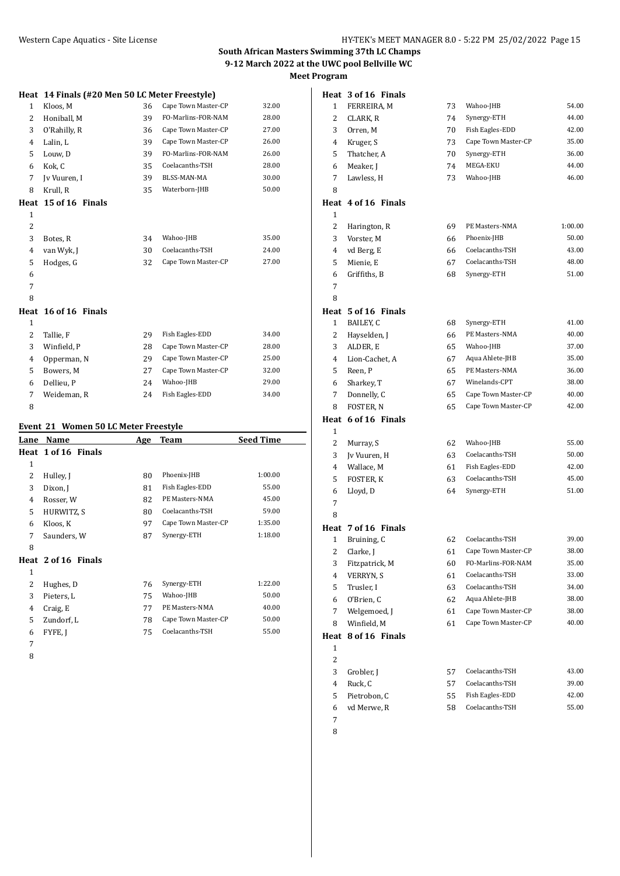|--|

|              | Heat 14 Finals (#20 Men 50 LC Meter Freestyle) |    |                     |       |
|--------------|------------------------------------------------|----|---------------------|-------|
| $\mathbf{1}$ | Kloos, M                                       | 36 | Cape Town Master-CP | 32.00 |
| 2            | Honiball, M                                    | 39 | FO-Marlins-FOR-NAM  | 28.00 |
| 3            | O'Rahilly, R                                   | 36 | Cape Town Master-CP | 27.00 |
| 4            | Lalin, L                                       | 39 | Cape Town Master-CP | 26.00 |
| 5            | Louw, D                                        | 39 | FO-Marlins-FOR-NAM  | 26.00 |
| 6            | Kok, C                                         | 35 | Coelacanths-TSH     | 28.00 |
| 7            | Jy Vuuren, I                                   | 39 | BLSS-MAN-MA         | 30.00 |
| 8            | Krull, R                                       | 35 | Waterborn-JHB       | 50.00 |
| Heat         | 15 of 16 Finals                                |    |                     |       |
| 1            |                                                |    |                     |       |
| 2            |                                                |    |                     |       |
| 3            | Botes, R                                       | 34 | Wahoo-JHB           | 35.00 |
| 4            | van Wyk, J                                     | 30 | Coelacanths-TSH     | 24.00 |
| 5            | Hodges, G                                      | 32 | Cape Town Master-CP | 27.00 |
| 6            |                                                |    |                     |       |
| 7            |                                                |    |                     |       |
| 8            |                                                |    |                     |       |
|              | Heat 16 of 16 Finals                           |    |                     |       |
| 1            |                                                |    |                     |       |
| 2            | Tallie, F                                      | 29 | Fish Eagles-EDD     | 34.00 |
| 3            | Winfield, P                                    | 28 | Cape Town Master-CP | 28.00 |
| 4            | Opperman, N                                    | 29 | Cape Town Master-CP | 25.00 |
| 5            | Bowers. M                                      | 27 | Cape Town Master-CP | 32.00 |

 Dellieu, P 24 Wahoo-JHB 29.00 Weideman, R 24 Fish Eagles-EDD 34.00

#### **Event 21 Women 50 LC Meter Freestyle**

| Lane | Name                | Age | Team                | <b>Seed Time</b> |
|------|---------------------|-----|---------------------|------------------|
|      | Heat 1 of 16 Finals |     |                     |                  |
| 1    |                     |     |                     |                  |
| 2    | Hulley, J           | 80  | Phoenix-JHB         | 1:00.00          |
| 3    | Dixon, J            | 81  | Fish Eagles-EDD     | 55.00            |
| 4    | Rosser, W           | 82  | PE Masters-NMA      | 45.00            |
| 5    | HURWITZ, S          | 80  | Coelacanths-TSH     | 59.00            |
| 6    | Kloos, K            | 97  | Cape Town Master-CP | 1:35.00          |
| 7    | Saunders, W         | 87  | Synergy-ETH         | 1:18.00          |
| 8    |                     |     |                     |                  |
|      | Heat 2 of 16 Finals |     |                     |                  |
| 1    |                     |     |                     |                  |
| 2    | Hughes, D           | 76  | Synergy-ETH         | 1:22.00          |
| 3    | Pieters, L          | 75  | Wahoo-JHB           | 50.00            |
| 4    | Craig, E            | 77  | PE Masters-NMA      | 40.00            |
| 5    | Zundorf, L          | 78  | Cape Town Master-CP | 50.00            |
| 6    | FYFE, J             | 75  | Coelacanths-TSH     | 55.00            |
| 7    |                     |     |                     |                  |

|                     | Heat 3 of 16 Finals      |          |                     |                |
|---------------------|--------------------------|----------|---------------------|----------------|
| 1                   | FERREIRA, M              | 73       | Wahoo-JHB           | 54.00          |
| 2                   | CLARK, R                 | 74       | Synergy-ETH         | 44.00          |
| 3                   | Orren, M                 | 70       | Fish Eagles-EDD     | 42.00          |
| 4                   | Kruger, S                | 73       | Cape Town Master-CP | 35.00          |
| 5                   | Thatcher, A              | 70       | Synergy-ETH         | 36.00          |
| 6                   | Meaker, J                | 74       | MEGA-EKU            | 44.00          |
| 7                   | Lawless, H               | 73       | Wahoo-JHB           | 46.00          |
| 8                   |                          |          |                     |                |
|                     | Heat 4 of 16 Finals      |          |                     |                |
| 1                   |                          |          |                     |                |
| 2                   | Harington, R             | 69       | PE Masters-NMA      | 1:00.00        |
| 3                   | Vorster, M               | 66       | Phoenix-JHB         | 50.00          |
| 4                   | vd Berg, E               | 66       | Coelacanths-TSH     | 43.00          |
| 5                   | Mienie, E                | 67       | Coelacanths-TSH     | 48.00          |
| 6                   | Griffiths, B             | 68       | Synergy-ETH         | 51.00          |
| 7                   |                          |          |                     |                |
| 8                   |                          |          |                     |                |
|                     | Heat 5 of 16 Finals      |          |                     |                |
| $\mathbf{1}$        | BAILEY, C                | 68       | Synergy-ETH         | 41.00          |
| $\overline{2}$      | Hayselden, J             | 66       | PE Masters-NMA      | 40.00          |
| 3                   | ALDER, E                 | 65       | Wahoo-JHB           | 37.00          |
| 4                   | Lion-Cachet, A           | 67       | Aqua Ahlete-JHB     | 35.00          |
| 5                   | Reen, P                  | 65       | PE Masters-NMA      | 36.00          |
| 6                   | Sharkey, T               | 67       | Winelands-CPT       | 38.00          |
| 7                   | Donnelly, C              | 65       | Cape Town Master-CP | 40.00          |
| 8                   | FOSTER, N                | 65       | Cape Town Master-CP | 42.00          |
|                     | Heat 6 of 16 Finals      |          |                     |                |
| 1                   |                          |          |                     |                |
| 2                   | Murray, S                | 62       | Wahoo-JHB           | 55.00          |
| 3                   | Jv Vuuren, H             | 63       | Coelacanths-TSH     | 50.00          |
| 4                   | Wallace, M               | 61       | Fish Eagles-EDD     | 42.00          |
| 5                   | FOSTER, K                | 63       | Coelacanths-TSH     | 45.00          |
| 6                   | Lloyd, D                 | 64       | Synergy-ETH         | 51.00          |
| 7                   |                          |          |                     |                |
| 8                   |                          |          |                     |                |
|                     | Heat 7 of 16 Finals      |          |                     |                |
| $\mathbf{1}$        | Bruining, C              | 62       | Coelacanths-TSH     | 39.00          |
| $\mathbf{2}$        | Clarke, J                | 61       | Cape Town Master-CP | 38.00          |
| 3                   | Fitzpatrick, M           | 60       | FO-Marlins-FOR-NAM  | 35.00          |
| 4                   | VERRYN, S                | 61       | Coelacanths-TSH     | 33.00          |
| 5                   | Trusler, I<br>O'Brien, C | 63       | Coelacanths-TSH     | 34.00          |
| 6                   |                          | 62       | Aqua Ahlete-JHB     | 38.00<br>38.00 |
| 7                   | Welgemoed, J             | 61       | Cape Town Master-CP |                |
| 8                   | Winfield, M              | 61       | Cape Town Master-CP | 40.00          |
| Heat                | 8 of 16 Finals           |          |                     |                |
| 1<br>$\overline{c}$ |                          |          |                     |                |
|                     |                          |          | Coelacanths-TSH     | 43.00          |
| 3<br>4              | Grobler, J<br>Ruck, C    | 57       | Coelacanths-TSH     | 39.00          |
| 5                   | Pietrobon, C             | 57<br>55 | Fish Eagles-EDD     | 42.00          |
| 6                   | vd Merwe, R              | 58       | Coelacanths-TSH     | 55.00          |
| 7                   |                          |          |                     |                |
|                     |                          |          |                     |                |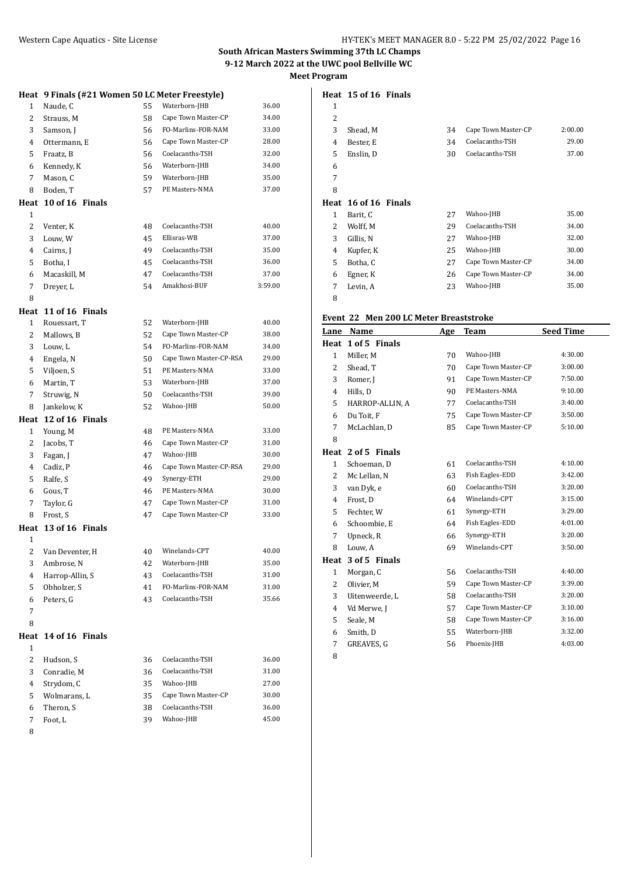| Heat   | 9 Finals (#21 Women 50 LC Meter Freestyle) |          |                                  |                |
|--------|--------------------------------------------|----------|----------------------------------|----------------|
| 1      | Naude, C                                   | 55       | Waterborn-JHB                    | 36.00          |
| 2      | Strauss, M                                 | 58       | Cape Town Master-CP              | 34.00          |
| 3      | Samson, J                                  | 56       | FO-Marlins-FOR-NAM               | 33.00          |
| 4      | Ottermann, E                               | 56       | Cape Town Master-CP              | 28.00          |
| 5      | Fraatz, B                                  | 56       | Coelacanths-TSH                  | 32.00          |
| 6      | Kennedy, K                                 | 56       | Waterborn-JHB                    | 34.00          |
| 7      | Mason, C                                   | 59       | Waterborn-JHB                    | 35.00          |
| 8      | Boden, T                                   | 57       | PE Masters-NMA                   | 37.00          |
| Heat   | 10 of 16 Finals                            |          |                                  |                |
| 1      |                                            |          |                                  |                |
| 2      | Venter, K                                  | 48       | Coelacanths-TSH                  | 40.00          |
| 3      | Louw, W                                    | 45       | Ellisras-WB                      | 37.00          |
| 4      | Cairns, J                                  | 49       | Coelacanths-TSH                  | 35.00          |
| 5      | Botha, I                                   | 45       | Coelacanths-TSH                  | 36.00          |
| 6      | Macaskill, M                               | 47       | Coelacanths-TSH                  | 37.00          |
| 7      | Dreyer, L                                  | 54       | Amakhosi-BUF                     | 3:59.00        |
| 8      |                                            |          |                                  |                |
| Heat   | 11 of 16 Finals                            |          |                                  |                |
| 1      | Rouessart, T                               | 52       | Waterborn-JHB                    | 40.00          |
| 2      | Mallows, B                                 | 52       | Cape Town Master-CP              | 38.00          |
| 3      | Louw, L                                    | 54       | FO-Marlins-FOR-NAM               | 34.00          |
| 4      | Engela, N                                  | 50       | Cape Town Master-CP-RSA          | 29.00          |
| 5      | Viljoen, S                                 | 51       | PE Masters-NMA                   | 33.00          |
| 6      | Martin, T                                  | 53       | Waterborn-JHB                    | 37.00          |
| 7      | Struwig, N                                 | 50       | Coelacanths-TSH                  | 39.00          |
| 8      | Jankelow, K                                | 52       | Wahoo-JHB                        | 50.00          |
| Heat   | 12 of 16 Finals                            |          |                                  |                |
| 1      | Young, M                                   | 48       | PE Masters-NMA                   | 33.00          |
| 2      | Jacobs, T                                  | 46       | Cape Town Master-CP              | 31.00          |
| 3      | Fagan, J                                   | 47       | Wahoo-JHB                        | 30.00          |
| 4      | Cadiz, P                                   | 46       | Cape Town Master-CP-RSA          | 29.00          |
| 5      | Ralfe, S                                   | 49       | Synergy-ETH                      | 29.00          |
| 6      | Gous, T                                    | 46       | PE Masters-NMA                   | 30.00          |
| 7      | Taylor, G                                  | 47       | Cape Town Master-CP              | 31.00          |
| 8      | Frost, S                                   | 47       | Cape Town Master-CP              | 33.00          |
| Heat   | 13 of 16 Finals                            |          |                                  |                |
| 1      |                                            |          | Winelands-CPT                    |                |
| 2      | Van Deventer, H                            | 40       |                                  | 40.00          |
| 3      | Ambrose, N                                 | 42       | Waterborn-JHB<br>Coelacanths-TSH | 35.00<br>31.00 |
| 4<br>5 | Harrop-Allin, S<br>Obholzer, S             | 43<br>41 | FO-Marlins-FOR-NAM               | 31.00          |
| 6      | Peters, G                                  | 43       | Coelacanths-TSH                  | 35.66          |
| 7      |                                            |          |                                  |                |
| 8      |                                            |          |                                  |                |
| Heat   | 14 of 16 Finals                            |          |                                  |                |
| 1      |                                            |          |                                  |                |
| 2      | Hudson, S                                  | 36       | Coelacanths-TSH                  | 36.00          |
| 3      | Conradie, M                                | 36       | Coelacanths-TSH                  | 31.00          |
| 4      | Strydom, C                                 | 35       | Wahoo-JHB                        | 27.00          |
| 5      | Wolmarans, L                               | 35       | Cape Town Master-CP              | 30.00          |
| 6      | Theron, S                                  | 38       | Coelacanths-TSH                  | 36.00          |
| 7      | Foot, L                                    | 39       | Wahoo-JHB                        | 45.00          |
| 8      |                                            |          |                                  |                |
|        |                                            |          |                                  |                |

|                | Heat 15 of 16 Finals |    |                     |         |
|----------------|----------------------|----|---------------------|---------|
| 1              |                      |    |                     |         |
| $\overline{2}$ |                      |    |                     |         |
| 3              | Shead, M             | 34 | Cape Town Master-CP | 2:00.00 |
| $\overline{4}$ | Bester, E            | 34 | Coelacanths-TSH     | 29.00   |
| 5              | Enslin, D            | 30 | Coelacanths-TSH     | 37.00   |
| 6              |                      |    |                     |         |
| 7              |                      |    |                     |         |
| 8              |                      |    |                     |         |
|                | Heat 16 of 16 Finals |    |                     |         |
| 1              | Barit, C             | 27 | Wahoo-JHB           | 35.00   |
| 2              | Wolff, M             | 29 | Coelacanths-TSH     | 34.00   |
| 3              | Gillis, N            | 27 | Wahoo-JHB           | 32.00   |
| $\overline{4}$ | Kupfer, K            | 25 | Wahoo-JHB           | 30.00   |
| 5              | Botha, C             | 27 | Cape Town Master-CP | 34.00   |
| 6              | Egner, K             | 26 | Cape Town Master-CP | 34.00   |
| 7              | Levin, A             | 23 | Wahoo-JHB           | 35.00   |

# **Event 22 Men 200 LC Meter Breaststroke**

| Lane           | Name            | Age | Team                | <b>Seed Time</b> |
|----------------|-----------------|-----|---------------------|------------------|
| Heat           | 1 of 5 Finals   |     |                     |                  |
| $\mathbf{1}$   | Miller, M       | 70  | Wahoo-JHB           | 4:30.00          |
| $\overline{2}$ | Shead, T        | 70  | Cape Town Master-CP | 3:00.00          |
| 3              | Romer, J        | 91  | Cape Town Master-CP | 7:50.00          |
| 4              | Hills, D        | 90  | PE Masters-NMA      | 9:10.00          |
| 5              | HARROP-ALLIN, A | 77  | Coelacanths-TSH     | 3:40.00          |
| 6              | Du Toit, F      | 75  | Cape Town Master-CP | 3:50.00          |
| 7              | McLachlan, D    | 85  | Cape Town Master-CP | 5:10.00          |
| 8              |                 |     |                     |                  |
| Heat           | 2 of 5 Finals   |     |                     |                  |
| $\mathbf{1}$   | Schoeman, D     | 61  | Coelacanths-TSH     | 4:10.00          |
| 2              | Mc Lellan, N    | 63  | Fish Eagles-EDD     | 3:42.00          |
| 3              | van Dyk, e      | 60  | Coelacanths-TSH     | 3:20.00          |
| 4              | Frost, D        | 64  | Winelands-CPT       | 3:15.00          |
| 5              | Fechter, W      | 61  | Synergy-ETH         | 3:29.00          |
| 6              | Schoombie, E    | 64  | Fish Eagles-EDD     | 4:01.00          |
| 7              | Upneck, R       | 66  | Synergy-ETH         | 3:20.00          |
| 8              | Louw, A         | 69  | Winelands-CPT       | 3:50.00          |
| Heat           | 3 of 5 Finals   |     |                     |                  |
| $\mathbf{1}$   | Morgan, C       | 56  | Coelacanths-TSH     | 4:40.00          |
| 2              | Olivier, M      | 59  | Cape Town Master-CP | 3:39.00          |
| 3              | Uitenweerde, L  | 58  | Coelacanths-TSH     | 3:20.00          |
| 4              | Vd Merwe, J     | 57  | Cape Town Master-CP | 3:10.00          |
| 5              | Seale, M        | 58  | Cape Town Master-CP | 3:16.00          |
| 6              | Smith, D        | 55  | Waterborn-JHB       | 3:32.00          |
| 7              | GREAVES, G      | 56  | Phoenix-JHB         | 4:03.00          |
|                |                 |     |                     |                  |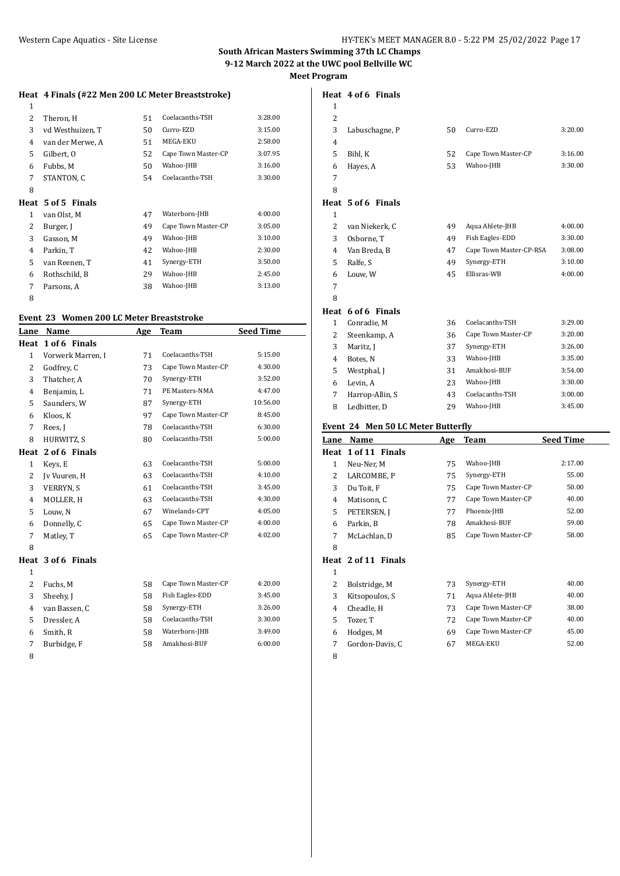## **Heat 4 Finals (#22 Men 200 LC Meter Breaststroke)**

| 1 |                    |    |                     |         |
|---|--------------------|----|---------------------|---------|
| 2 | Theron, H          | 51 | Coelacanths-TSH     | 3:28.00 |
| 3 | vd Westhuizen, T   | 50 | Curro-EZD           | 3:15.00 |
| 4 | van der Merwe, A   | 51 | MEGA-EKU            | 2:58.00 |
| 5 | Gilbert, O         | 52 | Cape Town Master-CP | 3:07.95 |
| 6 | Fubbs, M           | 50 | Wahoo-JHB           | 3:16.00 |
| 7 | STANTON, C         | 54 | Coelacanths-TSH     | 3:30.00 |
| 8 |                    |    |                     |         |
|   | Heat 5 of 5 Finals |    |                     |         |
| 1 | van Olst, M        | 47 | Waterborn-JHB       | 4:00.00 |
| 2 | Burger, J          | 49 | Cape Town Master-CP | 3:05.00 |
| 3 | Gasson, M          | 49 | Wahoo-JHB           | 3:10.00 |
| 4 | Parkin, T          | 42 | Wahoo-JHB           | 2:30.00 |
| 5 | van Reenen, T      | 41 | Synergy-ETH         | 3:50.00 |
| 6 | Rothschild, B      | 29 | Wahoo-JHB           | 2:45.00 |
| 7 | Parsons, A         | 38 | Wahoo-JHB           | 3:13.00 |
| 8 |                    |    |                     |         |

#### **Event 23 Women 200 LC Meter Breaststroke**

| Lane           | Name               | Age | <b>Team</b>         | <b>Seed Time</b> |
|----------------|--------------------|-----|---------------------|------------------|
| Heat           | 1 of 6 Finals      |     |                     |                  |
| $\mathbf{1}$   | Vorwerk Marren, I  | 71  | Coelacanths-TSH     | 5:15.00          |
| $\overline{c}$ | Godfrey, C         | 73  | Cape Town Master-CP | 4:30.00          |
| 3              | Thatcher, A        | 70  | Synergy-ETH         | 3:52.00          |
| 4              | Benjamin, L        | 71  | PE Masters-NMA      | 4:47.00          |
| 5              | Saunders, W        | 87  | Synergy-ETH         | 10:56.00         |
| 6              | Kloos, K           | 97  | Cape Town Master-CP | 8:45.00          |
| 7              | Rees, I            | 78  | Coelacanths-TSH     | 6:30.00          |
| 8              | HURWITZ, S         | 80  | Coelacanths-TSH     | 5:00.00          |
| Heat           | 2 of 6 Finals      |     |                     |                  |
| $\mathbf{1}$   | Keys, E            | 63  | Coelacanths-TSH     | 5:00.00          |
| 2              | Iv Vuuren, H       | 63  | Coelacanths-TSH     | 4:10.00          |
| 3              | <b>VERRYN, S</b>   | 61  | Coelacanths-TSH     | 3:45.00          |
| 4              | MOLLER, H          | 63  | Coelacanths-TSH     | 4:30.00          |
| 5              | Louw, N            | 67  | Winelands-CPT       | 4:05.00          |
| 6              | Donnelly, C        | 65  | Cape Town Master-CP | 4:00.00          |
| 7              | Matley, T          | 65  | Cape Town Master-CP | 4:02.00          |
| 8              |                    |     |                     |                  |
|                | Heat 3 of 6 Finals |     |                     |                  |
| $\mathbf{1}$   |                    |     |                     |                  |
| $\overline{c}$ | Fuchs, M           | 58  | Cape Town Master-CP | 4:20.00          |
| 3              | Sheehy, J          | 58  | Fish Eagles-EDD     | 3:45.00          |
| 4              | van Bassen, C      | 58  | Synergy-ETH         | 3:26.00          |
| 5              | Dressler, A        | 58  | Coelacanths-TSH     | 3:30.00          |
| 6              | Smith, R           | 58  | Waterborn-JHB       | 3:49.00          |
| 7              | Burbidge, F        | 58  | Amakhosi-BUF        | 6:00.00          |
|                |                    |     |                     |                  |

|                | Heat 4 of 6 Finals |    |                         |         |
|----------------|--------------------|----|-------------------------|---------|
| $\mathbf{1}$   |                    |    |                         |         |
| 2              |                    |    |                         |         |
| 3              | Labuschagne, P     | 50 | Curro-EZD               | 3:20.00 |
| 4              |                    |    |                         |         |
| 5              | Bihl, K            | 52 | Cape Town Master-CP     | 3:16.00 |
| 6              | Hayes, A           | 53 | Wahoo-JHB               | 3:30.00 |
| 7              |                    |    |                         |         |
| 8              |                    |    |                         |         |
|                | Heat 5 of 6 Finals |    |                         |         |
| $\mathbf{1}$   |                    |    |                         |         |
| $\overline{c}$ | van Niekerk, C     | 49 | Aqua Ahlete-JHB         | 4:00.00 |
| 3              | Osborne, T         | 49 | Fish Eagles-EDD         | 3:30.00 |
| 4              | Van Breda, B       | 47 | Cape Town Master-CP-RSA | 3:08.00 |
| 5              | Ralfe, S           | 49 | Synergy-ETH             | 3:10.00 |
| 6              | Louw, W            | 45 | Ellisras-WB             | 4:00.00 |
| 7              |                    |    |                         |         |
| 8              |                    |    |                         |         |
|                | Heat 6 of 6 Finals |    |                         |         |
| $\mathbf{1}$   | Conradie, M        | 36 | Coelacanths-TSH         | 3:29.00 |

# 2 Steenkamp, A 36 Cape Town Master-CP 3:20.00 3 Maritz, J 37 Synergy-ETH 3:26.00 Botes, N 33 Wahoo-JHB 3:35.00 5 Westphal, J 31 Amakhosi-BUF 3:54.00 Levin, A 23 Wahoo-JHB 3:30.00 7 Harrop-Allin, S 43 Coelacanths-TSH 3:00.00 Ledbitter, D 29 Wahoo-JHB 3:45.00

#### **Event 24 Men 50 LC Meter Butterfly**

| LVCIIC 27 MCH JO LG MCICI DUCICI IIV |                     |     |                     |                  |  |  |
|--------------------------------------|---------------------|-----|---------------------|------------------|--|--|
| Lane                                 | Name                | Age | <b>Team</b>         | <b>Seed Time</b> |  |  |
|                                      | Heat 1 of 11 Finals |     |                     |                  |  |  |
| $\mathbf{1}$                         | Neu-Ner, M          | 75  | Wahoo-JHB           | 2:17.00          |  |  |
| 2                                    | LARCOMBE, P         | 75  | Synergy-ETH         | 55.00            |  |  |
| 3                                    | Du Toit, F          | 75  | Cape Town Master-CP | 50.00            |  |  |
| 4                                    | Matisonn, C         | 77  | Cape Town Master-CP | 40.00            |  |  |
| 5                                    | PETERSEN, J         | 77  | Phoenix-JHB         | 52.00            |  |  |
| 6                                    | Parkin, B           | 78  | Amakhosi-BUF        | 59.00            |  |  |
| 7                                    | McLachlan, D        | 85  | Cape Town Master-CP | 58.00            |  |  |
| 8                                    |                     |     |                     |                  |  |  |
|                                      | Heat 2 of 11 Finals |     |                     |                  |  |  |
| $\mathbf{1}$                         |                     |     |                     |                  |  |  |
| 2                                    | Bolstridge, M       | 73  | Synergy-ETH         | 40.00            |  |  |
| 3                                    | Kitsopoulos, S      | 71  | Aqua Ahlete-JHB     | 40.00            |  |  |
| 4                                    | Cheadle, H          | 73  | Cape Town Master-CP | 38.00            |  |  |
| 5                                    | Tozer, T            | 72  | Cape Town Master-CP | 40.00            |  |  |
| 6                                    | Hodges, M           | 69  | Cape Town Master-CP | 45.00            |  |  |
| 7                                    | Gordon-Davis, C     | 67  | MEGA-EKU            | 52.00            |  |  |
| 8                                    |                     |     |                     |                  |  |  |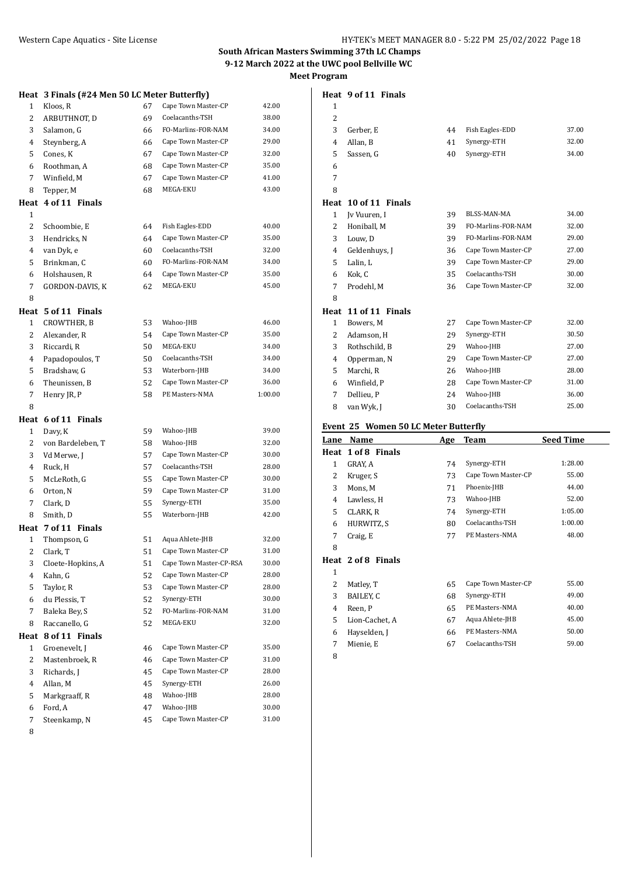|  |  |  |  |  |  |  |  |  | Meet Program |
|--|--|--|--|--|--|--|--|--|--------------|
|--|--|--|--|--|--|--|--|--|--------------|

**Heat 9 of 11 Finals**

|                      | Heat 3 Finals (#24 Men 50 LC Meter Butterfly) |          |                                                |                |
|----------------------|-----------------------------------------------|----------|------------------------------------------------|----------------|
| 1                    | Kloos, R                                      | 67       | Cape Town Master-CP                            | 42.00          |
| 2                    | ARBUTHNOT, D                                  | 69       | Coelacanths-TSH                                | 38.00          |
| 3                    | Salamon, G                                    | 66       | FO-Marlins-FOR-NAM                             | 34.00          |
| 4                    | Steynberg, A                                  | 66       | Cape Town Master-CP                            | 29.00          |
| 5                    | Cones, K                                      | 67       | Cape Town Master-CP                            | 32.00          |
| 6                    | Roothman, A                                   | 68       | Cape Town Master-CP                            | 35.00          |
| 7                    | Winfield, M                                   | 67       | Cape Town Master-CP                            | 41.00          |
| 8                    | Tepper, M                                     | 68       | MEGA-EKU                                       | 43.00          |
| Heat                 | 4 of 11 Finals                                |          |                                                |                |
| $\mathbf{1}$         |                                               |          |                                                |                |
| $\overline{c}$       | Schoombie, E                                  | 64       | Fish Eagles-EDD                                | 40.00          |
| 3                    | Hendricks, N                                  | 64       | Cape Town Master-CP                            | 35.00          |
| 4                    | van Dyk, e                                    | 60       | Coelacanths-TSH                                | 32.00          |
| 5                    | Brinkman, C                                   | 60       | FO-Marlins-FOR-NAM                             | 34.00          |
| 6                    | Holshausen, R                                 | 64       | Cape Town Master-CP                            | 35.00          |
| 7                    | GORDON-DAVIS, K                               | 62       | MEGA-EKU                                       | 45.00          |
| 8                    |                                               |          |                                                |                |
| Heat                 | 5 of 11 Finals                                |          |                                                |                |
| $\mathbf{1}$         | CROWTHER, B                                   | 53       | Wahoo-JHB                                      | 46.00          |
| 2                    | Alexander, R                                  | 54       | Cape Town Master-CP                            | 35.00          |
| 3                    | Riccardi, R                                   | 50       | MEGA-EKU                                       | 34.00          |
| 4                    | Papadopoulos, T                               | 50       | Coelacanths-TSH                                | 34.00          |
| 5                    | Bradshaw, G                                   | 53       | Waterborn-JHB                                  | 34.00          |
| 6                    | Theunissen, B                                 | 52       | Cape Town Master-CP                            | 36.00          |
| 7                    | Henry JR, P                                   | 58       | PE Masters-NMA                                 | 1:00.00        |
| 8                    |                                               |          |                                                |                |
| Heat                 | 6 of 11 Finals                                |          |                                                |                |
| 1                    | Davy, K                                       | 59       | Wahoo-JHB                                      | 39.00          |
| 2                    | von Bardeleben, T                             | 58       | Wahoo-JHB                                      | 32.00          |
| 3                    | Vd Merwe, J                                   | 57       | Cape Town Master-CP                            | 30.00          |
| 4                    | Ruck, H                                       | 57       | Coelacanths-TSH                                | 28.00          |
| 5                    | McLeRoth, G                                   | 55       | Cape Town Master-CP                            | 30.00          |
| 6                    | Orton, N                                      | 59       | Cape Town Master-CP                            | 31.00          |
| 7                    | Clark, D                                      | 55       | Synergy-ETH                                    | 35.00          |
| 8                    | Smith, D                                      | 55       | Waterborn-JHB                                  | 42.00          |
|                      | Heat 7 of 11 Finals                           |          |                                                |                |
| $\mathbf{1}$         | Thompson, G                                   | 51       | Aqua Ahlete-JHB                                | 32.00          |
| 2                    | Clark, T                                      | 51       | Cape Town Master-CP                            | 31.00          |
| 3<br>4               | Cloete-Hopkins, A<br>Kahn, G                  | 51<br>52 | Cape Town Master-CP-RSA<br>Cape Town Master-CP | 30.00<br>28.00 |
| 5                    | Taylor, R                                     | 53       | Cape Town Master-CP                            | 28.00          |
| 6                    | du Plessis, T                                 | 52       | Synergy-ETH                                    | 30.00          |
| 7                    | Baleka Bey, S                                 | 52       | FO-Marlins-FOR-NAM                             | 31.00          |
| 8                    | Raccanello, G                                 | 52       | MEGA-EKU                                       | 32.00          |
|                      | 8 of 11 Finals                                |          |                                                |                |
| Heat<br>$\mathbf{1}$ | Groenevelt, J                                 | 46       | Cape Town Master-CP                            | 35.00          |
| 2                    | Mastenbroek, R                                | 46       | Cape Town Master-CP                            | 31.00          |
| 3                    | Richards, J                                   | 45       | Cape Town Master-CP                            | 28.00          |
| 4                    | Allan, M                                      | 45       | Synergy-ETH                                    | 26.00          |
| 5                    | Markgraaff, R                                 | 48       | Wahoo-JHB                                      | 28.00          |
| 6                    | Ford, A                                       | 47       | Wahoo-JHB                                      | 30.00          |
| 7                    | Steenkamp, N                                  | 45       | Cape Town Master-CP                            | 31.00          |
| 8                    |                                               |          |                                                |                |
|                      |                                               |          |                                                |                |

| $\mathbf{1}$   |                                      |    |                     |       |
|----------------|--------------------------------------|----|---------------------|-------|
| 2              |                                      |    |                     |       |
| 3              | Gerber, E                            | 44 | Fish Eagles-EDD     | 37.00 |
| $\overline{4}$ | Allan, B                             | 41 | Synergy-ETH         | 32.00 |
| 5              | Sassen, G                            | 40 | Synergy-ETH         | 34.00 |
| 6              |                                      |    |                     |       |
| 7              |                                      |    |                     |       |
| 8              |                                      |    |                     |       |
| Heat           | 10 of 11 Finals                      |    |                     |       |
| 1              | Iv Vuuren, I                         | 39 | BLSS-MAN-MA         | 34.00 |
| 2              | Honiball, M                          | 39 | FO-Marlins-FOR-NAM  | 32.00 |
| 3              | Louw, D                              | 39 | FO-Marlins-FOR-NAM  | 29.00 |
| 4              | Geldenhuvs, J                        | 36 | Cape Town Master-CP | 27.00 |
| 5              | Lalin, L                             | 39 | Cape Town Master-CP | 29.00 |
| 6              | Kok, C                               | 35 | Coelacanths-TSH     | 30.00 |
| 7              | Prodehl, M                           | 36 | Cape Town Master-CP | 32.00 |
| 8              |                                      |    |                     |       |
| Heat           | 11 of 11 Finals                      |    |                     |       |
| $\mathbf{1}$   | Bowers, M                            | 27 | Cape Town Master-CP | 32.00 |
| 2              | Adamson, H                           | 29 | Synergy-ETH         | 30.50 |
| 3              | Rothschild, B                        | 29 | Wahoo-JHB           | 27.00 |
| $\overline{4}$ | Opperman, N                          | 29 | Cape Town Master-CP | 27.00 |
| 5              | Marchi, R                            | 26 | Wahoo-JHB           | 28.00 |
| 6              | Winfield, P                          | 28 | Cape Town Master-CP | 31.00 |
| 7              | Dellieu. P                           | 24 | Wahoo-JHB           | 36.00 |
| 8              | van Wyk, J                           | 30 | Coelacanths-TSH     | 25.00 |
|                |                                      |    |                     |       |
|                | Event 25 Women 50 LC Meter Butterfly |    |                     |       |

| EVEIR 25 WOMEN SO LC METER BUTTERITY |                    |     |                     |                  |  |  |
|--------------------------------------|--------------------|-----|---------------------|------------------|--|--|
| Lane                                 | Name               | Age | <b>Team</b>         | <b>Seed Time</b> |  |  |
|                                      | Heat 1 of 8 Finals |     |                     |                  |  |  |
| 1                                    | GRAY, A            | 74  | Synergy-ETH         | 1:28.00          |  |  |
| 2                                    | Kruger, S          | 73  | Cape Town Master-CP | 55.00            |  |  |
| 3                                    | Mons, M            | 71  | Phoenix-JHB         | 44.00            |  |  |
| 4                                    | Lawless, H         | 73  | Wahoo-JHB           | 52.00            |  |  |
| 5                                    | CLARK, R           | 74  | Synergy-ETH         | 1:05.00          |  |  |
| 6                                    | HURWITZ, S         | 80  | Coelacanths-TSH     | 1:00.00          |  |  |
| 7                                    | Craig, E           | 77  | PE Masters-NMA      | 48.00            |  |  |
| 8                                    |                    |     |                     |                  |  |  |
|                                      | Heat 2 of 8 Finals |     |                     |                  |  |  |
| $\mathbf{1}$                         |                    |     |                     |                  |  |  |
| 2                                    | Matley, T          | 65  | Cape Town Master-CP | 55.00            |  |  |
| 3                                    | BAILEY, C          | 68  | Synergy-ETH         | 49.00            |  |  |
| 4                                    | Reen, P            | 65  | PE Masters-NMA      | 40.00            |  |  |
| 5.                                   | Lion-Cachet, A     | 67  | Aqua Ahlete-JHB     | 45.00            |  |  |
| 6                                    | Hayselden, J       | 66  | PE Masters-NMA      | 50.00            |  |  |
| 7                                    | Mienie, E          | 67  | Coelacanths-TSH     | 59.00            |  |  |
| 8                                    |                    |     |                     |                  |  |  |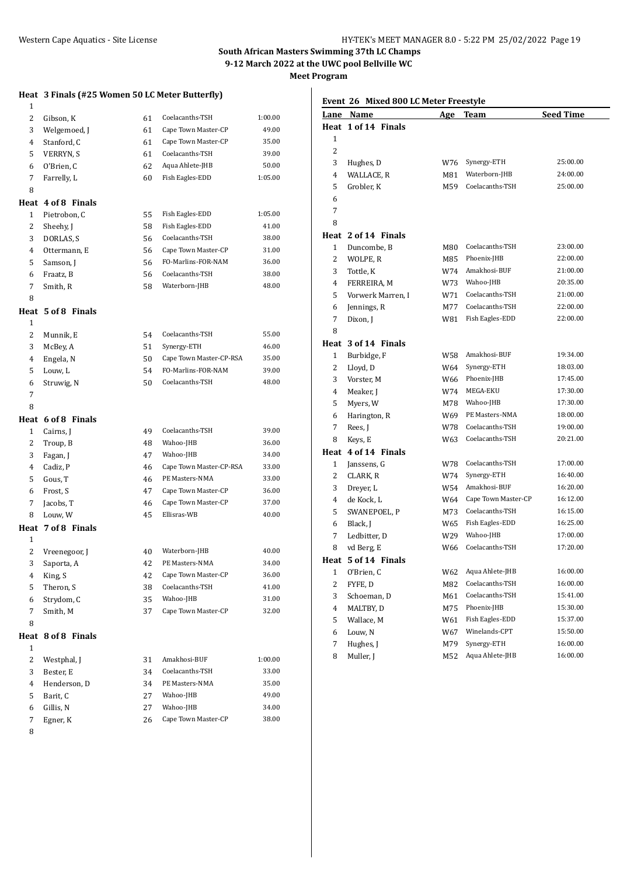**Heat 3 Finals (#25 Women 50 LC Meter Butterfly)**

# **South African Masters Swimming 37th LC Champs 9-12 March 2022 at the UWC pool Bellville WC**

**Meet Program**

| 1              |                    |    |                         |         |
|----------------|--------------------|----|-------------------------|---------|
| 2              | Gibson, K          | 61 | Coelacanths-TSH         | 1:00.00 |
| 3              | Welgemoed, J       | 61 | Cape Town Master-CP     | 49.00   |
| 4              | Stanford, C        | 61 | Cape Town Master-CP     | 35.00   |
| 5              | VERRYN, S          | 61 | Coelacanths-TSH         | 39.00   |
| 6              | O'Brien. C         | 62 | Aqua Ahlete-JHB         | 50.00   |
| 7              | Farrelly, L        | 60 | Fish Eagles-EDD         | 1:05.00 |
| 8              |                    |    |                         |         |
|                | Heat 4 of 8 Finals |    |                         |         |
| 1              | Pietrobon, C       | 55 | Fish Eagles-EDD         | 1:05.00 |
| 2              | Sheehy, J          | 58 | Fish Eagles-EDD         | 41.00   |
| 3              | DORLAS, S          | 56 | Coelacanths-TSH         | 38.00   |
| 4              | Ottermann, E       | 56 | Cape Town Master-CP     | 31.00   |
| 5              | Samson, J          | 56 | FO-Marlins-FOR-NAM      | 36.00   |
| 6              | Fraatz, B          | 56 | Coelacanths-TSH         | 38.00   |
| 7              | Smith, R           | 58 | Waterborn-JHB           | 48.00   |
| 8              |                    |    |                         |         |
|                | Heat 5 of 8 Finals |    |                         |         |
| 1              |                    |    |                         |         |
| 2              | Munnik, E          | 54 | Coelacanths-TSH         | 55.00   |
| 3              | McBey, A           | 51 | Synergy-ETH             | 46.00   |
| 4              | Engela, N          | 50 | Cape Town Master-CP-RSA | 35.00   |
| 5              | Louw, L            | 54 | FO-Marlins-FOR-NAM      | 39.00   |
| 6              | Struwig, N         | 50 | Coelacanths-TSH         | 48.00   |
| 7              |                    |    |                         |         |
| 8              |                    |    |                         |         |
|                | Heat 6 of 8 Finals |    |                         |         |
| 1              | Cairns, J          | 49 | Coelacanths-TSH         | 39.00   |
| 2              | Troup, B           | 48 | Wahoo-JHB               | 36.00   |
| 3              | Fagan, J           | 47 | Wahoo-JHB               | 34.00   |
| 4              | Cadiz, P           | 46 | Cape Town Master-CP-RSA | 33.00   |
| 5              | Gous, T            | 46 | PE Masters-NMA          | 33.00   |
| 6              | Frost, S           | 47 | Cape Town Master-CP     | 36.00   |
| 7              | Jacobs, T          | 46 | Cape Town Master-CP     | 37.00   |
| 8              | Louw, W            | 45 | Ellisras-WB             | 40.00   |
|                | Heat 7 of 8 Finals |    |                         |         |
| 1              |                    |    |                         |         |
| $\overline{c}$ | Vreenegoor, J      | 40 | Waterborn-JHB           | 40.00   |
| 3              | Saporta, A         | 42 | PE Masters-NMA          | 34.00   |
| 4              | King, S            | 42 | Cape Town Master-CP     | 36.00   |
| 5              | Theron, S          | 38 | Coelacanths-TSH         | 41.00   |
| 6              | Strydom, C         | 35 | Wahoo-JHB               | 31.00   |
| 7              | Smith, M           | 37 | Cape Town Master-CP     | 32.00   |
| 8              |                    |    |                         |         |
| Heat           | 8 of 8 Finals      |    |                         |         |
| 1              |                    |    |                         |         |
| $\overline{c}$ | Westphal, J        | 31 | Amakhosi-BUF            | 1:00.00 |
| 3              | Bester, E          | 34 | Coelacanths-TSH         | 33.00   |
| 4              | Henderson, D       | 34 | PE Masters-NMA          | 35.00   |
| 5              | Barit, C           | 27 | Wahoo-JHB               | 49.00   |
| 6              | Gillis, N          | 27 | Wahoo-JHB               | 34.00   |
| $\sqrt{ }$     | Egner, K           | 26 | Cape Town Master-CP     | 38.00   |
| 8              |                    |    |                         |         |
|                |                    |    |                         |         |

# **Event 26 Mixed 800 LC Meter Freestyle**

| Lane | Name                | <u>Age</u> | Team                | <b>Seed Time</b> |  |
|------|---------------------|------------|---------------------|------------------|--|
|      | Heat 1 of 14 Finals |            |                     |                  |  |
| 1    |                     |            |                     |                  |  |
| 2    |                     |            |                     |                  |  |
| 3    | Hughes, D           | W76        | Synergy-ETH         | 25:00.00         |  |
| 4    | WALLACE, R          | M81        | Waterborn-JHB       | 24:00.00         |  |
| 5    | Grobler, K          | M59        | Coelacanths-TSH     | 25:00.00         |  |
| 6    |                     |            |                     |                  |  |
| 7    |                     |            |                     |                  |  |
| 8    |                     |            |                     |                  |  |
|      | Heat 2 of 14 Finals |            |                     |                  |  |
| 1    | Duncombe, B         | M80        | Coelacanths-TSH     | 23:00.00         |  |
| 2    | WOLPE, R            | M85        | Phoenix-JHB         | 22:00.00         |  |
| 3    | Tottle, K           | W74        | Amakhosi-BUF        | 21:00.00         |  |
| 4    | FERREIRA, M         | W73        | Wahoo-JHB           | 20:35.00         |  |
| 5    | Vorwerk Marren, I   | W71        | Coelacanths-TSH     | 21:00.00         |  |
| 6    | Jennings, R         | M77        | Coelacanths-TSH     | 22:00.00         |  |
| 7    | Dixon, J            | W81        | Fish Eagles-EDD     | 22:00.00         |  |
| 8    |                     |            |                     |                  |  |
| Heat | 3 of 14 Finals      |            |                     |                  |  |
| 1    | Burbidge, F         | W58        | Amakhosi-BUF        | 19:34.00         |  |
| 2    | Lloyd, D            | W64        | Synergy-ETH         | 18:03.00         |  |
| 3    | Vorster, M          | W66        | Phoenix-JHB         | 17:45.00         |  |
| 4    | Meaker, J           | W74        | MEGA-EKU            | 17:30.00         |  |
| 5    | Myers, W            | M78        | Wahoo-JHB           | 17:30.00         |  |
| 6    | Harington, R        | W69        | PE Masters-NMA      | 18:00.00         |  |
| 7    | Rees, J             | W78        | Coelacanths-TSH     | 19:00.00         |  |
| 8    | Keys, E             | W63        | Coelacanths-TSH     | 20:21.00         |  |
|      | Heat 4 of 14 Finals |            |                     |                  |  |
| 1    | Janssens, G         | W78        | Coelacanths-TSH     | 17:00.00         |  |
| 2    | CLARK, R            | W74        | Synergy-ETH         | 16:40.00         |  |
| 3    | Dreyer, L           | W54        | Amakhosi-BUF        | 16:20.00         |  |
| 4    | de Kock, L          | W64        | Cape Town Master-CP | 16:12.00         |  |
| 5    | SWANEPOEL, P        | M73        | Coelacanths-TSH     | 16:15.00         |  |
| 6    | Black, J            | W65        | Fish Eagles-EDD     | 16:25.00         |  |
| 7    | Ledbitter, D        | W29        | Wahoo-JHB           | 17:00.00         |  |
| 8    | vd Berg, E          | W66        | Coelacanths-TSH     | 17:20.00         |  |
|      | Heat 5 of 14 Finals |            |                     |                  |  |
| 1    | O'Brien, C          | W62        | Aqua Ahlete-JHB     | 16:00.00         |  |
| 2    | FYFE, D             | M82        | Coelacanths-TSH     | 16:00.00         |  |
| 3    | Schoeman, D         | M61        | Coelacanths-TSH     | 15:41.00         |  |
| 4    | MALTBY, D           | M75        | Phoenix-JHB         | 15:30.00         |  |
| 5    | Wallace, M          | W61        | Fish Eagles-EDD     | 15:37.00         |  |
| 6    | Louw, N             | W67        | Winelands-CPT       | 15:50.00         |  |
| 7    | Hughes, J           | M79        | Synergy-ETH         | 16:00.00         |  |
| 8    | Muller, J           | M52        | Aqua Ahlete-JHB     | 16:00.00         |  |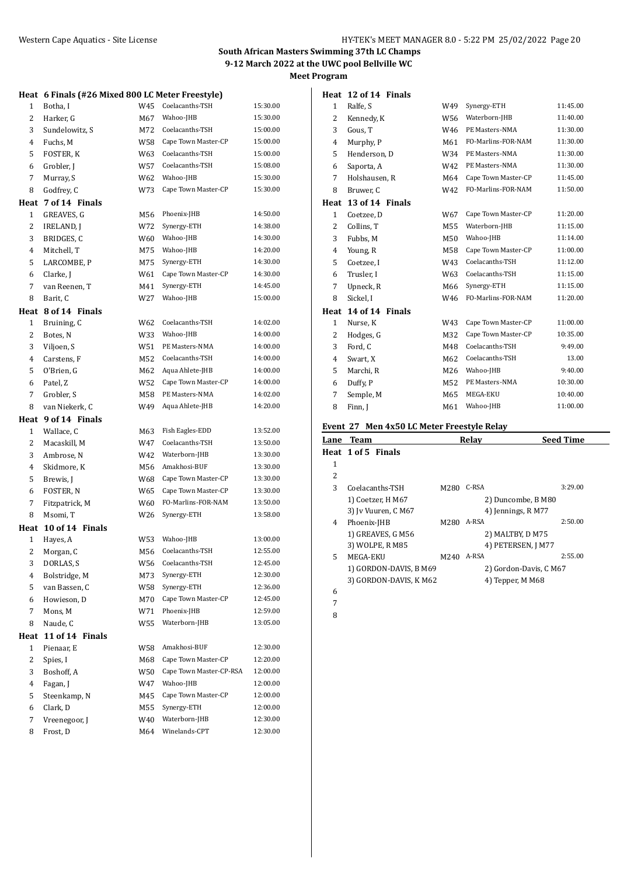|              | Heat 6 Finals (#26 Mixed 800 LC Meter Freestyle) |            |                                |                      |
|--------------|--------------------------------------------------|------------|--------------------------------|----------------------|
| 1            | Botha, I                                         | W45        | Coelacanths-TSH                | 15:30.00             |
| 2            | Harker, G                                        | M67        | Wahoo-JHB                      | 15:30.00             |
| 3            | Sundelowitz, S                                   | M72        | Coelacanths-TSH                | 15:00.00             |
| 4            | Fuchs, M                                         | W58        | Cape Town Master-CP            | 15:00.00             |
| 5            | FOSTER, K                                        | W63        | Coelacanths-TSH                | 15:00.00             |
| 6            | Grobler, J                                       | W57        | Coelacanths-TSH                | 15:08.00             |
| 7            | Murray, S                                        | W62        | Wahoo-JHB                      | 15:30.00             |
| 8            | Godfrey, C                                       | W73        | Cape Town Master-CP            | 15:30:00             |
| Heat         | 7 of 14 Finals                                   |            |                                |                      |
| $\mathbf{1}$ | GREAVES, G                                       | M56        | Phoenix-JHB                    | 14:50.00             |
| 2            | IRELAND, J                                       | W72        | Synergy-ETH                    | 14:38.00             |
| 3            | BRIDGES, C                                       | W60        | Wahoo-JHB                      | 14:30.00             |
| 4            | Mitchell, T                                      | M75        | Wahoo-JHB                      | 14:20.00             |
| 5            | LARCOMBE, P                                      | M75        | Synergy-ETH                    | 14:30.00             |
| 6            | Clarke, J                                        | W61        | Cape Town Master-CP            | 14:30.00             |
| 7            | van Reenen, T                                    | M41        | Synergy-ETH                    | 14:45.00             |
| 8            | Barit, C                                         | W27        | Wahoo-JHB                      | 15:00.00             |
|              | Heat 8 of 14 Finals                              |            |                                |                      |
| 1            | Bruining, C                                      | W62        | Coelacanths-TSH                | 14:02.00             |
| 2            | Botes, N                                         | W33        | Wahoo-JHB                      | 14:00.00             |
| 3            | Viljoen, S                                       | W51        | PE Masters-NMA                 | 14:00.00             |
| 4            | Carstens, F                                      | M52        | Coelacanths-TSH                | 14:00:00             |
| 5            | O'Brien, G                                       | M62        | Aqua Ahlete-JHB                | 14:00.00             |
| 6            | Patel, Z                                         | W52        | Cape Town Master-CP            | 14:00.00             |
| 7            | Grobler, S                                       | M58        | PE Masters-NMA                 | 14:02.00             |
| 8            | van Niekerk, C                                   | W49        | Aqua Ahlete-JHB                | 14:20.00             |
|              | Heat 9 of 14 Finals                              |            |                                |                      |
|              |                                                  |            |                                |                      |
|              |                                                  |            |                                |                      |
| 1            | Wallace, C                                       | M63        | Fish Eagles-EDD                | 13:52.00             |
| 2            | Macaskill, M                                     | W47        | Coelacanths-TSH                | 13:50.00             |
| 3            | Ambrose, N                                       | W42        | Waterborn-JHB                  | 13:30.00             |
| 4            | Skidmore, K                                      | M56        | Amakhosi-BUF                   | 13:30.00             |
| 5            | Brewis, J                                        | W68        | Cape Town Master-CP            | 13:30.00             |
| 6            | FOSTER, N                                        | W65        | Cape Town Master-CP            | 13:30.00             |
| 7            | Fitzpatrick, M                                   | W60        | FO-Marlins-FOR-NAM             | 13:50.00             |
| 8            | Msomi, T                                         | W26        | Synergy-ETH                    | 13:58.00             |
|              | Heat 10 of 14 Finals                             |            |                                |                      |
| $\mathbf{1}$ | Hayes, A                                         | W53        | Wahoo-JHB                      | 13:00.00             |
| 2            | Morgan, C                                        | M56        | Coelacanths-TSH                | 12:55.00             |
| 3            | DORLAS, S                                        | W56        | Coelacanths-TSH                | 12:45.00             |
| 4            | Bolstridge, M                                    | M73        | Synergy-ETH                    | 12:30.00             |
| 5            | van Bassen, C                                    | W58        | Synergy-ETH                    | 12:36.00             |
| 6            | Howieson, D                                      | M70        | Cape Town Master-CP            | 12:45.00             |
| 7            | Mons, M                                          | W71        | Phoenix-JHB                    | 12:59.00             |
| 8            | Naude, C                                         | W55        | Waterborn-JHB                  | 13:05.00             |
| Heat         | 11 of 14 Finals                                  |            |                                |                      |
| 1            | Pienaar, E                                       | W58        | Amakhosi-BUF                   | 12:30.00             |
| 2            | Spies, I                                         | M68        | Cape Town Master-CP            | 12:20.00             |
| 3            | Boshoff, A                                       | W50        | Cape Town Master-CP-RSA        | 12:00.00             |
| 4            | Fagan, J                                         | W47        | Wahoo-JHB                      | 12:00.00             |
| 5            | Steenkamp, N                                     | M45        | Cape Town Master-CP            | 12:00.00             |
| 6            | Clark, D                                         | M55        | Synergy-ETH                    | 12:00.00             |
| 7<br>8       | Vreenegoor, J<br>Frost, D                        | W40<br>M64 | Waterborn-JHB<br>Winelands-CPT | 12:30.00<br>12:30.00 |

|                | Heat 12 of 14 Finals |                 |                     |          |
|----------------|----------------------|-----------------|---------------------|----------|
| 1              | Ralfe, S             | W49             | Synergy-ETH         | 11:45.00 |
| 2              | Kennedy, K           | W <sub>56</sub> | Waterborn-JHB       | 11:40.00 |
| 3              | Gous, T              | W46             | PE Masters-NMA      | 11:30.00 |
| 4              | Murphy, P            | M61             | FO-Marlins-FOR-NAM  | 11:30.00 |
| 5              | Henderson, D         | W34             | PE Masters-NMA      | 11:30.00 |
| 6              | Saporta, A           | W42             | PE Masters-NMA      | 11:30.00 |
| 7              | Holshausen, R        | M64             | Cape Town Master-CP | 11:45.00 |
| 8              | Bruwer, C            | W42             | FO-Marlins-FOR-NAM  | 11:50.00 |
| Heat           | 13 of 14 Finals      |                 |                     |          |
| $\mathbf{1}$   | Coetzee, D           | W67             | Cape Town Master-CP | 11:20.00 |
| 2              | Collins, T           | M55             | Waterborn-JHB       | 11:15.00 |
| 3              | Fubbs, M             | M50             | Wahoo-JHB           | 11:14.00 |
| $\overline{4}$ | Young, R             | M58             | Cape Town Master-CP | 11:00.00 |
| 5              | Coetzee, I           | W43             | Coelacanths-TSH     | 11:12.00 |
| 6              | Trusler, I           | W63             | Coelacanths-TSH     | 11:15.00 |
| 7              | Upneck, R            | M66             | Synergy-ETH         | 11:15.00 |
| 8              | Sickel, I            | W46             | FO-Marlins-FOR-NAM  | 11:20.00 |
| Heat           | 14 of 14 Finals      |                 |                     |          |
| $\mathbf{1}$   | Nurse, K             | W43             | Cape Town Master-CP | 11:00.00 |
| 2              | Hodges, G            | M32             | Cape Town Master-CP | 10:35.00 |
| 3              | Ford, C              | M48             | Coelacanths-TSH     | 9:49.00  |
| 4              | Swart, X             | M62             | Coelacanths-TSH     | 13.00    |
| 5              | Marchi, R            | M26             | Wahoo-JHB           | 9:40.00  |
| 6              | Duffy, P             | M52             | PE Masters-NMA      | 10:30.00 |
| 7              | Semple, M            | M65             | MEGA-EKU            | 10:40.00 |
| 8              | Finn, J              | M61             | Wahoo-JHB           | 11:00.00 |

## **Event 27 Men 4x50 LC Meter Freestyle Relay**

|    | <b>Lane Team</b>       |      | Relav                  | <b>Seed Time</b> |
|----|------------------------|------|------------------------|------------------|
|    | Heat 1 of 5 Finals     |      |                        |                  |
| 1  |                        |      |                        |                  |
| 2  |                        |      |                        |                  |
| 3  | Coelacanths-TSH        | M280 | C-RSA                  | 3:29.00          |
|    | 1) Coetzer, H M67      |      | 2) Duncombe, B M80     |                  |
|    | 3) Iv Vuuren, C M67    |      | 4) Jennings, R M77     |                  |
| 4  | Phoenix-JHB            | M280 | A-RSA                  | 2:50.00          |
|    | 1) GREAVES, G M56      |      | 2) MALTBY, D M75       |                  |
|    | 3) WOLPE, R M85        |      | 4) PETERSEN, J M77     |                  |
| 5. | MEGA-EKU               | M240 | A-RSA                  | 2:55.00          |
|    | 1) GORDON-DAVIS, B M69 |      | 2) Gordon-Davis, C M67 |                  |
|    | 3) GORDON-DAVIS, K M62 |      | 4) Tepper, M M68       |                  |
| 6  |                        |      |                        |                  |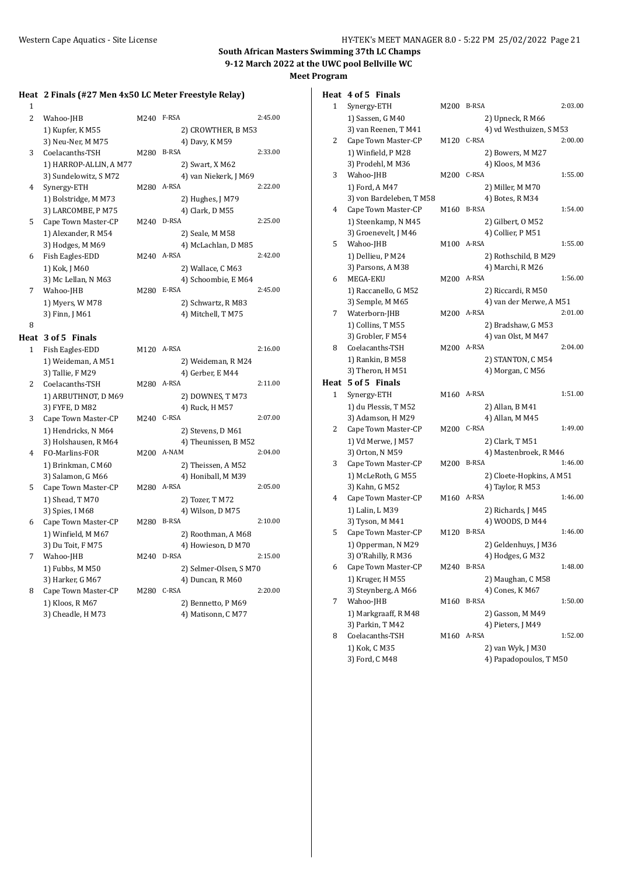# **Heat 2 Finals (#27 Men 4x50 LC Meter Freestyle Relay)**

| $\mathbf{1}$   |                                        |            |                                  |         |
|----------------|----------------------------------------|------------|----------------------------------|---------|
| $\overline{c}$ | Wahoo-JHB                              | M240 F-RSA |                                  | 2:45.00 |
|                | 1) Kupfer, K M55                       |            | 2) CROWTHER, B M53               |         |
|                | 3) Neu-Ner, M M75                      |            | 4) Davy, K M59                   |         |
| 3              | Coelacanths-TSH                        | M280       | <b>B-RSA</b>                     | 2:33.00 |
|                | 1) HARROP-ALLIN, A M77                 |            | 2) Swart, X M62                  |         |
|                | 3) Sundelowitz, SM72                   |            | 4) van Niekerk, J M69            |         |
| 4              | Synergy-ETH                            | M280 A-RSA |                                  | 2:22.00 |
|                | 1) Bolstridge, M M73                   |            | 2) Hughes, J M79                 |         |
|                | 3) LARCOMBE, P M75                     |            | 4) Clark, D M55                  |         |
| 5              | Cape Town Master-CP                    | M240 D-RSA |                                  | 2:25.00 |
|                | 1) Alexander, R M54                    |            | 2) Seale, M M58                  |         |
|                | 3) Hodges, M M69                       |            | 4) McLachlan, D M85              |         |
| 6              | Fish Eagles-EDD                        | M240 A-RSA |                                  | 2:42.00 |
|                | 1) Kok, J M60                          |            | 2) Wallace, C M63                |         |
|                | 3) Mc Lellan, N M63                    |            | 4) Schoombie, E M64              |         |
| 7              | Wahoo-JHB                              | M280       | E-RSA                            | 2:45.00 |
|                | 1) Myers, W M78                        |            | 2) Schwartz, R M83               |         |
|                | 3) Finn, J M61                         |            | 4) Mitchell, T M75               |         |
| 8              |                                        |            |                                  |         |
|                | Heat 3 of 5 Finals                     |            |                                  |         |
| 1              | Fish Eagles-EDD                        | M120 A-RSA |                                  | 2:16.00 |
|                | 1) Weideman, A M51                     |            | 2) Weideman, R M24               |         |
|                | 3) Tallie, F M29                       |            | 4) Gerber, E M44                 |         |
| $\overline{2}$ | Coelacanths-TSH                        | M280 A-RSA |                                  | 2:11.00 |
|                | 1) ARBUTHNOT, D M69                    |            | 2) DOWNES, T M73                 |         |
|                | 3) FYFE, D M82                         |            | 4) Ruck, H M57                   |         |
| 3              | Cape Town Master-CP                    | M240 C-RSA |                                  | 2:07.00 |
|                | 1) Hendricks, N M64                    |            | 2) Stevens, D M61                |         |
|                | 3) Holshausen, R M64                   |            | 4) Theunissen, B M52             |         |
| 4              | FO-Marlins-FOR                         |            | M200 A-NAM                       | 2:04.00 |
|                | 1) Brinkman, C M60                     |            | 2) Theissen, A M52               |         |
|                | 3) Salamon, G M66                      |            | 4) Honiball, M M39               | 2:05.00 |
| 5              | Cape Town Master-CP                    | M280 A-RSA |                                  |         |
|                | 1) Shead, T M70                        |            | 2) Tozer, T M72                  |         |
| 6              | 3) Spies, I M68<br>Cape Town Master-CP | M280       | 4) Wilson, D M75<br><b>B-RSA</b> | 2:10.00 |
|                | 1) Winfield, M M67                     |            | 2) Roothman, A M68               |         |
|                | 3) Du Toit, F M75                      |            | 4) Howieson, D M70               |         |
| 7              | Wahoo-JHB                              | M240 D-RSA |                                  | 2:15.00 |
|                | 1) Fubbs, M M50                        |            | 2) Selmer-Olsen, S M70           |         |
|                | 3) Harker, G M67                       |            | 4) Duncan, R M60                 |         |
| 8              | Cape Town Master-CP                    | M280 C-RSA |                                  | 2:20.00 |
|                | 1) Kloos, R M67                        |            | 2) Bennetto, PM69                |         |
|                | 3) Cheadle, H M73                      |            | 4) Matisonn, C M77               |         |
|                |                                        |            |                                  |         |
|                |                                        |            |                                  |         |

|   | Heat 4 of 5 Finals                        |            |                                          |         |
|---|-------------------------------------------|------------|------------------------------------------|---------|
| 1 | Synergy-ETH                               | M200       | B-RSA                                    | 2:03.00 |
|   | 1) Sassen, G M40                          |            | 2) Upneck, R M66                         |         |
|   | 3) van Reenen, T M41                      |            | 4) vd Westhuizen, S M53                  |         |
| 2 | Cape Town Master-CP                       | M120 C-RSA |                                          | 2:00.00 |
|   | 1) Winfield, P M28                        |            | 2) Bowers, M M27                         |         |
|   | 3) Prodehl, M M36                         |            | 4) Kloos, M M36                          |         |
| 3 | Wahoo-JHB                                 | M200       | C-RSA                                    | 1:55.00 |
|   | 1) Ford, A M47                            |            | 2) Miller, M M70                         |         |
|   | 3) von Bardeleben, TM58                   |            | 4) Botes, R M34                          |         |
| 4 | Cape Town Master-CP                       | M160       | <b>B-RSA</b>                             | 1:54.00 |
|   | 1) Steenkamp, N M45                       |            | 2) Gilbert, O M52                        |         |
|   | 3) Groenevelt, J M46                      |            | 4) Collier, P M51                        |         |
| 5 | Wahoo-JHB                                 | M100       | A-RSA                                    | 1:55.00 |
|   | 1) Dellieu, P M24                         |            | 2) Rothschild, B M29                     |         |
|   | 3) Parsons, A M38                         |            | 4) Marchi, R M26                         |         |
| 6 | MEGA-EKU                                  | M200       | A-RSA                                    | 1:56.00 |
|   | 1) Raccanello, G M52                      |            | 2) Riccardi, R M50                       |         |
|   | 3) Semple, M M65                          |            | 4) van der Merwe, A M51                  |         |
| 7 | Waterborn-JHB                             | M200 A-RSA |                                          | 2:01.00 |
|   | 1) Collins, T M55                         |            | 2) Bradshaw, G M53                       |         |
|   | 3) Grobler, F M54                         |            | 4) van Olst, M M47                       |         |
| 8 | Coelacanths-TSH                           | M200 A-RSA |                                          | 2:04.00 |
|   | 1) Rankin, B M58                          |            | 2) STANTON, C M54                        |         |
|   | 3) Theron, H M51                          |            | 4) Morgan, C M56                         |         |
|   | Heat 5 of 5 Finals                        |            |                                          | 1:51.00 |
| 1 | Synergy-ETH                               | M160 A-RSA |                                          |         |
|   | 1) du Plessis, TM52                       |            | 2) Allan, B M41                          |         |
| 2 | 3) Adamson, H M29                         | M200 C-RSA | 4) Allan, M M45                          | 1:49.00 |
|   | Cape Town Master-CP<br>1) Vd Merwe, J M57 |            |                                          |         |
|   | 3) Orton, N M59                           |            | 2) Clark, T M51<br>4) Mastenbroek, R M46 |         |
| 3 | Cape Town Master-CP                       | M200       | <b>B-RSA</b>                             | 1:46.00 |
|   | 1) McLeRoth, G M55                        |            | 2) Cloete-Hopkins, A M51                 |         |
|   | 3) Kahn, G M52                            |            | 4) Taylor, R M53                         |         |
| 4 | Cape Town Master-CP                       | M160 A-RSA |                                          | 1:46.00 |
|   | 1) Lalin, L M39                           |            | 2) Richards, J M45                       |         |
|   | 3) Tyson, M M41                           |            | 4) WOODS, D M44                          |         |
| 5 | Cape Town Master-CP                       | M120       | <b>B-RSA</b>                             | 1:46.00 |
|   | 1) Opperman, N M29                        |            | 2) Geldenhuys, J M36                     |         |
|   | 3) O'Rahilly, R M36                       |            | 4) Hodges, G M32                         |         |
| 6 | Cape Town Master-CP                       | M240       | <b>B-RSA</b>                             | 1:48.00 |
|   | 1) Kruger, H M55                          |            | 2) Maughan, C M58                        |         |
|   | 3) Steynberg, A M66                       |            | 4) Cones, K M67                          |         |
| 7 | Wahoo-JHB                                 | M160       | <b>B-RSA</b>                             | 1:50.00 |
|   | 1) Markgraaff, R M48                      |            | 2) Gasson, M M49                         |         |
|   | 3) Parkin, T M42                          |            | 4) Pieters, J M49                        |         |
| 8 | Coelacanths-TSH                           | M160       | A-RSA                                    | 1:52.00 |
|   | 1) Kok, C M35                             |            | 2) van Wyk, J M30                        |         |
|   |                                           |            | 4) Papadopoulos, T M50                   |         |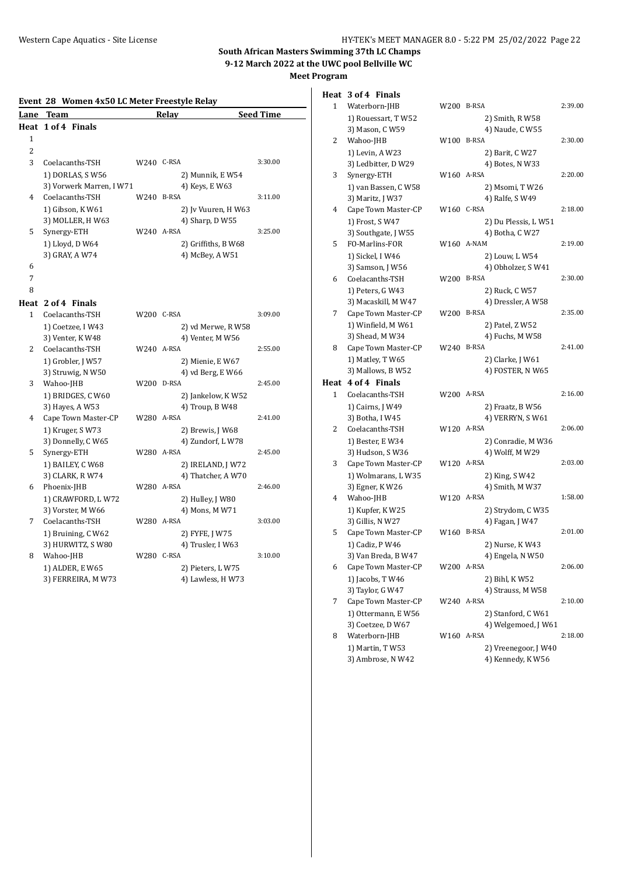| Event 28 Women 4x50 LC Meter Freestyle Relay |                          |            |                     |                  |  |  |
|----------------------------------------------|--------------------------|------------|---------------------|------------------|--|--|
| Lane                                         | <b>Team</b>              |            | Relay               | <b>Seed Time</b> |  |  |
|                                              | Heat 1 of 4 Finals       |            |                     |                  |  |  |
| 1                                            |                          |            |                     |                  |  |  |
| 2                                            |                          |            |                     |                  |  |  |
| 3                                            | Coelacanths-TSH          | W240 C-RSA |                     | 3:30.00          |  |  |
|                                              | 1) DORLAS, S W56         |            | 2) Munnik, E W54    |                  |  |  |
|                                              | 3) Vorwerk Marren, I W71 |            | 4) Keys, E W63      |                  |  |  |
| 4                                            | Coelacanths-TSH          | W240 B-RSA |                     | 3:11.00          |  |  |
|                                              | 1) Gibson, KW61          |            | 2) Jv Vuuren, H W63 |                  |  |  |
|                                              | 3) MOLLER, H W63         |            | 4) Sharp, D W55     |                  |  |  |
| 5                                            | Synergy-ETH              | W240 A-RSA |                     | 3:25.00          |  |  |
|                                              | 1) Lloyd, D W64          |            | 2) Griffiths, B W68 |                  |  |  |
|                                              | 3) GRAY, A W74           |            | 4) McBey, A W51     |                  |  |  |
| 6                                            |                          |            |                     |                  |  |  |
| 7                                            |                          |            |                     |                  |  |  |
| 8                                            |                          |            |                     |                  |  |  |
|                                              | Heat 2 of 4 Finals       |            |                     |                  |  |  |
| 1                                            | Coelacanths-TSH          | W200 C-RSA |                     | 3:09.00          |  |  |
|                                              | 1) Coetzee, I W43        |            | 2) vd Merwe, R W58  |                  |  |  |
|                                              | 3) Venter, K W48         |            | 4) Venter, M W56    |                  |  |  |
| $\overline{c}$                               | Coelacanths-TSH          | W240 A-RSA |                     | 2:55.00          |  |  |
|                                              | 1) Grobler, J W57        |            | 2) Mienie, E W67    |                  |  |  |
|                                              | 3) Struwig, N W50        |            | 4) vd Berg, E W66   |                  |  |  |
| 3                                            | Wahoo-JHB                | W200 D-RSA |                     | 2:45.00          |  |  |
|                                              | 1) BRIDGES, C W60        |            | 2) Jankelow, K W52  |                  |  |  |
|                                              | 3) Hayes, A W53          |            | 4) Troup, B W48     |                  |  |  |
| 4                                            | Cape Town Master-CP      | W280 A-RSA |                     | 2:41.00          |  |  |
|                                              | 1) Kruger, SW73          |            | 2) Brewis, J W68    |                  |  |  |
|                                              | 3) Donnelly, C W65       |            | 4) Zundorf, LW78    |                  |  |  |
| 5                                            | Synergy-ETH              | W280 A-RSA |                     | 2:45.00          |  |  |
|                                              | 1) BAILEY, C W68         |            | 2) IRELAND, J W72   |                  |  |  |
|                                              | 3) CLARK, R W74          |            | 4) Thatcher, A W70  |                  |  |  |
| 6                                            | Phoenix-JHB              | W280 A-RSA |                     | 2:46.00          |  |  |
|                                              | 1) CRAWFORD, LW72        |            | 2) Hulley, J W80    |                  |  |  |
|                                              | 3) Vorster, M W66        |            | 4) Mons, M W71      |                  |  |  |
| 7                                            | Coelacanths-TSH          | W280 A-RSA |                     | 3:03.00          |  |  |
|                                              | 1) Bruining, C W62       |            | 2) FYFE, J W75      |                  |  |  |
|                                              | 3) HURWITZ, SW80         |            | 4) Trusler, I W63   |                  |  |  |
| 8                                            | Wahoo-JHB                | W280 C-RSA |                     | 3:10.00          |  |  |
|                                              | 1) ALDER, E W65          |            | 2) Pieters, L W75   |                  |  |  |
|                                              | 3) FERREIRA, M W73       |            | 4) Lawless, H W73   |                  |  |  |
|                                              |                          |            |                     |                  |  |  |

# **Heat 3 of 4 Finals**

| 1            | Waterborn-JHB        | W200 B-RSA |                      | 2:39.00 |
|--------------|----------------------|------------|----------------------|---------|
|              | 1) Rouessart, TW52   |            | 2) Smith, R W58      |         |
|              | 3) Mason, C W59      |            | 4) Naude, C W55      |         |
| 2            | Wahoo-JHB            | W100 B-RSA |                      | 2:30.00 |
|              | 1) Levin, A W23      |            | 2) Barit, C W27      |         |
|              | 3) Ledbitter, D W29  |            | 4) Botes, N W33      |         |
| 3            | Synergy-ETH          | W160 A-RSA |                      | 2:20.00 |
|              | 1) van Bassen, C W58 |            | 2) Msomi, T W26      |         |
|              | 3) Maritz, J W37     |            | 4) Ralfe, S W49      |         |
| 4            | Cape Town Master-CP  | W160 C-RSA |                      | 2:18.00 |
|              | 1) Frost, SW47       |            | 2) Du Plessis, L W51 |         |
|              | 3) Southgate, J W55  |            | 4) Botha, C W27      |         |
| 5            | FO-Marlins-FOR       |            | W160 A-NAM           | 2:19.00 |
|              | 1) Sickel, I W46     |            | 2) Louw, L W54       |         |
|              | 3) Samson, J W56     |            | 4) Obholzer, S W41   |         |
| 6            | Coelacanths-TSH      | W200 B-RSA |                      | 2:30.00 |
|              | 1) Peters, G W43     |            | 2) Ruck, C W57       |         |
|              | 3) Macaskill, M W47  |            | 4) Dressler, A W58   |         |
| 7            | Cape Town Master-CP  | W200 B-RSA |                      | 2:35.00 |
|              | 1) Winfield, M W61   |            | 2) Patel, Z W52      |         |
|              | 3) Shead, M W34      |            | 4) Fuchs, M W58      |         |
| 8            | Cape Town Master-CP  | W240 B-RSA |                      | 2:41.00 |
|              | 1) Matley, T W65     |            | 2) Clarke, J W61     |         |
|              | 3) Mallows, B W52    |            | 4) FOSTER, N W65     |         |
|              | Heat 4 of 4 Finals   |            |                      |         |
| $\mathbf{1}$ | Coelacanths-TSH      | W200 A-RSA |                      | 2:16.00 |
|              | 1) Cairns, J W49     |            | 2) Fraatz, B W56     |         |
|              | 3) Botha, I W45      |            | 4) VERRYN, SW61      |         |
| 2            | Coelacanths-TSH      | W120 A-RSA |                      | 2:06.00 |
|              | 1) Bester, E W34     |            | 2) Conradie, M W36   |         |
|              | 3) Hudson, S W36     |            | 4) Wolff, M W29      |         |
| 3            | Cape Town Master-CP  | W120 A-RSA |                      | 2:03.00 |
|              | 1) Wolmarans, L W35  |            | 2) King, S W42       |         |
|              | 3) Egner, K W26      |            | 4) Smith, M W37      |         |
| 4            | Wahoo-JHB            | W120 A-RSA |                      | 1:58.00 |
|              | 1) Kupfer, KW25      |            | 2) Strydom, C W35    |         |
|              | 3) Gillis, N W27     |            | 4) Fagan, J W47      |         |
| 5            | Cape Town Master-CP  | W160 B-RSA |                      | 2:01.00 |
|              | 1) Cadiz, P W46      |            | 2) Nurse, K W43      |         |
|              | 3) Van Breda, B W47  |            | 4) Engela, N W50     |         |
| 6            | Cape Town Master-CP  | W200 A-RSA |                      | 2:06.00 |
|              | 1) Jacobs, T W46     |            | 2) Bihl, K W52       |         |
|              |                      |            |                      |         |
| 7            | 3) Taylor, G W47     |            | 4) Strauss, M W58    |         |
|              | Cape Town Master-CP  | W240 A-RSA |                      | 2:10.00 |
|              | 1) Ottermann, E W56  |            | 2) Stanford, C W61   |         |
|              | 3) Coetzee, D W67    |            | 4) Welgemoed, J W61  |         |
| 8            | Waterborn-JHB        | W160 A-RSA |                      | 2:18.00 |
|              | 1) Martin, TW53      |            | 2) Vreenegoor, J W40 |         |
|              | 3) Ambrose, N W42    |            | 4) Kennedy, K W56    |         |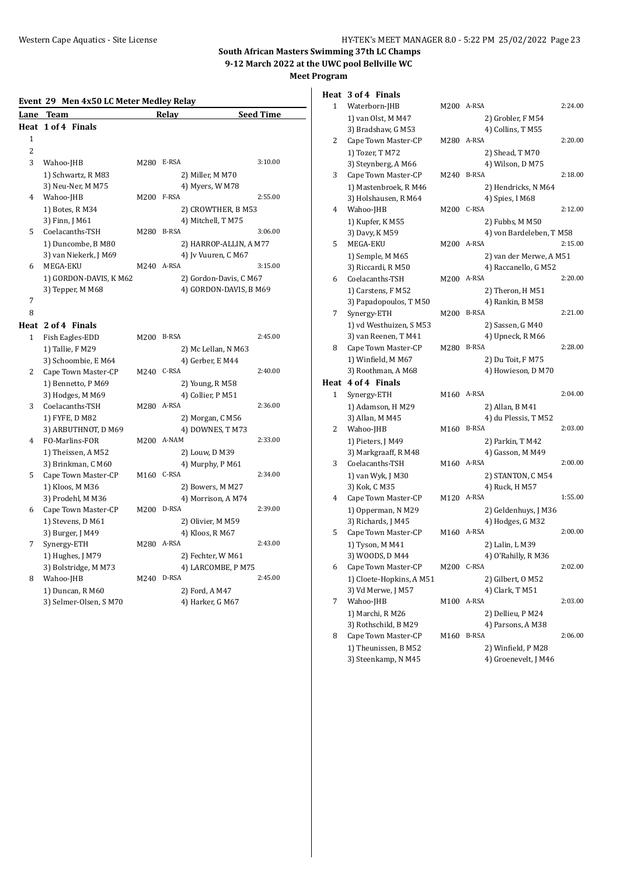| Event 29 Men 4x50 LC Meter Medley Relay |
|-----------------------------------------|
|-----------------------------------------|

| Lane           | Team                   |      | Relay                  | <b>Seed Time</b> |
|----------------|------------------------|------|------------------------|------------------|
|                | Heat 1 of 4 Finals     |      |                        |                  |
| 1              |                        |      |                        |                  |
| $\overline{2}$ |                        |      |                        |                  |
| 3              | Wahoo-JHB              | M280 | E-RSA                  | 3:10.00          |
|                | 1) Schwartz, R M83     |      | 2) Miller, M M70       |                  |
|                | 3) Neu-Ner, M M75      |      | 4) Myers, W M78        |                  |
| 4              | Wahoo-JHB              | M200 | F-RSA                  | 2:55.00          |
|                | 1) Botes, R M34        |      | 2) CROWTHER, B M53     |                  |
|                | 3) Finn, J M61         |      | 4) Mitchell, T M75     |                  |
| 5              | Coelacanths-TSH        | M280 | B-RSA                  | 3:06.00          |
|                | 1) Duncombe, B M80     |      | 2) HARROP-ALLIN, A M77 |                  |
|                | 3) van Niekerk, J M69  |      | 4) Iv Vuuren, C M67    |                  |
| 6              | MEGA-EKU               | M240 | A-RSA                  | 3:15.00          |
|                | 1) GORDON-DAVIS, K M62 |      | 2) Gordon-Davis, C M67 |                  |
|                | 3) Tepper, M M68       |      | 4) GORDON-DAVIS, B M69 |                  |
| 7              |                        |      |                        |                  |
| 8              |                        |      |                        |                  |
|                | Heat 2 of 4 Finals     |      |                        |                  |

#### 1 Fish Eagles-EDD M200 B-RSA 2:45.00 1) Tallie, F M29 2) Mc Lellan, N M63 3) Schoombie, E $\rm M64$  <br/> $\rm 4)$  Gerber, E $\rm M44$  Cape Town Master-CP  $\rm M240~$  C-RSA 2 Cape Town Master-CP M240 C-RSA 2:40.00 1) Bennetto, P M69 2) Young, R M58 3) Hodges, M M69 4) Collier, P M51 3 Coelacanths-TSH M280 A-RSA 2:36.00 1) FYFE, D M82 2) Morgan, C M56 3) ARBUTHNOT, D M69 4) DOWNES, T M73 4 FO-Marlins-FOR M200 A-NAM 2:33.00 1) Theissen, A M52 2) Louw, D M39 3) Brinkman, C M60 4) Murphy, P M61 5 Cape Town Master-CP M160 C-RSA 2:34.00 1) Kloos, M M36 2) Bowers, M M27 3) Prodehl, M M36 4) Morrison, A M74 6 Cape Town Master-CP M200 D-RSA 2:39.00 1) Stevens, D M61 2) Olivier, M M59 3) Burger, J M49 4) Kloos, R M67 7 Synergy-ETH M280 A-RSA 2:43.00 1) Hughes, J M79 2) Fechter, W M61 3) Bolstridge, M M73 4) LARCOMBE, P M75 8 Wahoo-JHB M240 D-RSA 2:45.00 1) Duncan, R M60 2) Ford, A M47 3) Selmer-Olsen, S M70 4) Harker, G M67

| 1    | Waterborn-JHB                               | M200 A-RSA |                                            | 2:24.00 |
|------|---------------------------------------------|------------|--------------------------------------------|---------|
|      | 1) van Olst, M M47                          |            | 2) Grobler, F M54                          |         |
|      | 3) Bradshaw, G M53                          |            | 4) Collins, T M55                          |         |
| 2    | Cape Town Master-CP                         | M280       | A-RSA                                      | 2:20.00 |
|      | 1) Tozer, T M72                             |            | 2) Shead, T M70                            |         |
|      | 3) Steynberg, A M66                         |            | 4) Wilson, D M75                           |         |
| 3    | Cape Town Master-CP                         | M240       | B-RSA                                      | 2:18.00 |
|      | 1) Mastenbroek, R M46                       |            | 2) Hendricks, N M64                        |         |
|      | 3) Holshausen, R M64                        |            | 4) Spies, I M68                            |         |
| 4    | Wahoo-JHB                                   | M200       | C-RSA                                      | 2:12.00 |
|      | 1) Kupfer, K M55                            |            | 2) Fubbs, M M50                            |         |
|      | 3) Davy, K M59                              |            | 4) von Bardeleben, TM58                    |         |
| 5    | MEGA-EKU                                    | M200       | A-RSA                                      | 2:15.00 |
|      | 1) Semple, M M65                            |            | 2) van der Merwe, A M51                    |         |
|      | 3) Riccardi, R M50                          |            | 4) Raccanello, G M52                       |         |
| 6    | Coelacanths-TSH                             | M200       | A-RSA                                      | 2:20.00 |
|      | 1) Carstens, F M52                          |            | 2) Theron, H M51                           |         |
|      | 3) Papadopoulos, T M50                      |            | 4) Rankin, B M58                           |         |
| 7    | Synergy-ETH                                 | M200       | B-RSA                                      | 2:21.00 |
|      | 1) vd Westhuizen, SM53                      |            | 2) Sassen, G M40                           |         |
|      | 3) van Reenen, TM41                         |            | 4) Upneck, R M66                           |         |
| 8    | Cape Town Master-CP                         | M280       | <b>B-RSA</b>                               | 2:28.00 |
|      | 1) Winfield, M M67                          |            | 2) Du Toit, F M75                          |         |
|      | 3) Roothman, A M68                          |            | 4) Howieson, D M70                         |         |
| Heat | 4 of 4 Finals                               |            |                                            |         |
| 1    | Synergy-ETH                                 | M160       | A-RSA                                      | 2:04.00 |
|      |                                             |            |                                            |         |
|      | 1) Adamson, H M29                           |            | 2) Allan, B M41<br>4) du Plessis, TM52     |         |
|      |                                             |            |                                            |         |
|      | 3) Allan, M M45                             |            |                                            |         |
| 2    | Wahoo-JHB                                   | M160       | <b>B-RSA</b>                               | 2:03.00 |
|      | 1) Pieters, J M49                           |            | 2) Parkin, T M42                           |         |
|      | 3) Markgraaff, R M48                        |            | 4) Gasson, M M49                           |         |
| 3    | Coelacanths-TSH                             | M160 A-RSA |                                            | 2:00.00 |
|      | 1) van Wyk, J M30                           |            | 2) STANTON, C M54                          |         |
|      | 3) Kok, C M35                               |            | 4) Ruck, H M57                             |         |
| 4    | Cape Town Master-CP                         | M120 A-RSA |                                            | 1:55.00 |
|      | 1) Opperman, N M29                          |            | 2) Geldenhuys, J M36                       |         |
|      | 3) Richards, J M45                          |            | 4) Hodges, G M32                           |         |
| 5    | Cape Town Master-CP                         | M160 A-RSA |                                            | 2:00.00 |
|      | 1) Tyson, M M41                             |            | 2) Lalin, L M39                            |         |
|      | 3) WOODS, D M44                             |            | 4) O'Rahilly, R M36                        |         |
| 6    | Cape Town Master-CP                         | M200 C-RSA |                                            | 2:02.00 |
|      | 1) Cloete-Hopkins, A M51                    |            | 2) Gilbert, O M52                          |         |
|      | 3) Vd Merwe, J M57                          |            | 4) Clark, T M51                            |         |
| 7    | Wahoo-JHB                                   | M100       | A-RSA                                      | 2:03.00 |
|      | 1) Marchi, R M26                            |            | 2) Dellieu, P M24                          |         |
|      | 3) Rothschild, B M29                        |            | 4) Parsons, A M38                          |         |
| 8    | Cape Town Master-CP                         | M160       | <b>B-RSA</b>                               | 2:06.00 |
|      | 1) Theunissen, B M52<br>3) Steenkamp, N M45 |            | 2) Winfield, P M28<br>4) Groenevelt, J M46 |         |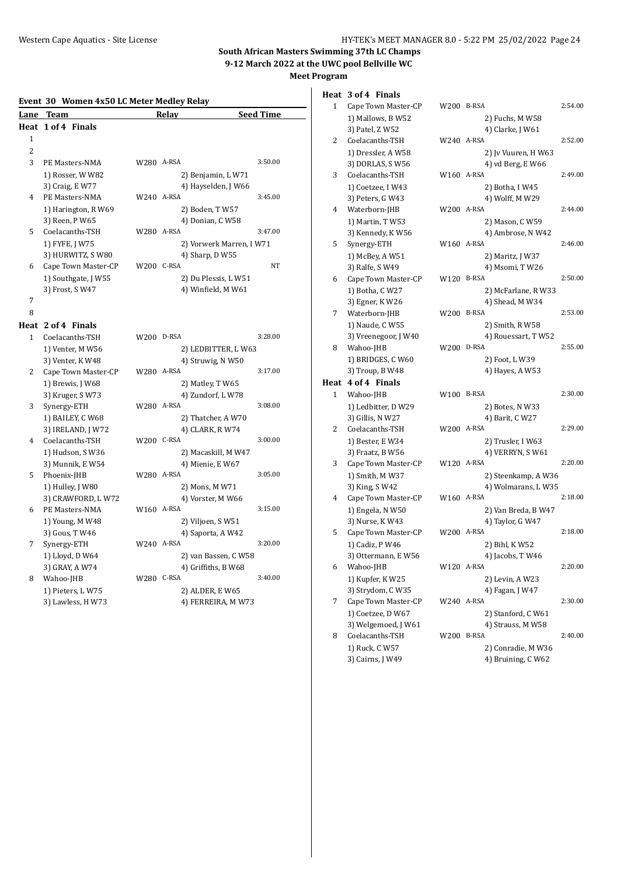# **Event 30 Women 4x50 LC Meter Medley Relay**

|                | LVEIIU JU WUIIIEII TAJU LUMEIEI MEULEV KEIAV |            |                                                        |                  |
|----------------|----------------------------------------------|------------|--------------------------------------------------------|------------------|
| Lane           | Team                                         |            | Relay                                                  | <b>Seed Time</b> |
|                | Heat 1 of 4 Finals                           |            |                                                        |                  |
| 1              |                                              |            |                                                        |                  |
| $\overline{c}$ |                                              |            |                                                        |                  |
| 3              | PE Masters-NMA                               | W280 A-RSA |                                                        | 3:50.00          |
|                | 1) Rosser, W W82                             |            | 2) Benjamin, LW71                                      |                  |
|                | 3) Craig, E W77                              |            | 4) Hayselden, J W66                                    |                  |
| 4              | PE Masters-NMA                               | W240 A-RSA |                                                        | 3:45.00          |
|                | 1) Harington, R W69                          |            | 2) Boden, T W57                                        |                  |
|                | 3) Reen, P W65                               |            | 4) Donian, C W58                                       |                  |
| 5.             | Coelacanths-TSH                              | W280 A-RSA |                                                        | 3:47.00          |
|                | 1) FYFE, J W75                               |            | 2) Vorwerk Marren, I W71                               |                  |
|                | 3) HURWITZ, S W80                            |            | 4) Sharp, D W55                                        |                  |
| 6              | Cape Town Master-CP                          | W200 C-RSA |                                                        | <b>NT</b>        |
|                | 1) Southgate, J W55                          |            | 2) Du Plessis, L W51                                   |                  |
|                | 3) Frost, S W47                              |            | 4) Winfield, M W61                                     |                  |
| 7              |                                              |            |                                                        |                  |
| 8              |                                              |            |                                                        |                  |
|                | Heat 2 of 4 Finals                           |            |                                                        |                  |
| 1              | Coelacanths-TSH                              | W200       | D-RSA                                                  | 3:28.00          |
|                | $\lambda$                                    |            | $\mathcal{L}$ i controlled i $\mathcal{U}/\mathcal{L}$ |                  |

|   | 1) Venter, M W56    |            | 2) LEDBITTER, LW63   |         |
|---|---------------------|------------|----------------------|---------|
|   | 3) Venter, K W48    |            | 4) Struwig, N W50    |         |
| 2 | Cape Town Master-CP | W280 A-RSA |                      | 3:17.00 |
|   | 1) Brewis, J W68    |            | 2) Matley, T W65     |         |
|   | 3) Kruger, SW73     |            | 4) Zundorf, LW78     |         |
| 3 | Synergy-ETH         | W280 A-RSA |                      | 3:08.00 |
|   | 1) BAILEY, C W68    |            | 2) Thatcher, A W70   |         |
|   | 3) IRELAND, J W72   |            | 4) CLARK, R W74      |         |
| 4 | Coelacanths-TSH     | W200       | C-RSA                | 3:00.00 |
|   | 1) Hudson, SW36     |            | 2) Macaskill, M W47  |         |
|   | 3) Munnik, E W54    |            | 4) Mienie, E W67     |         |
| 5 | Phoenix-JHB         | W280       | A-RSA                | 3:05.00 |
|   | 1) Hulley, J W80    |            | 2) Mons, M W71       |         |
|   | 3) CRAWFORD, LW72   |            | 4) Vorster, M W66    |         |
| 6 | PE Masters-NMA      | W160 A-RSA |                      | 3:15.00 |
|   | 1) Young, M W48     |            | 2) Viljoen, SW51     |         |
|   | 3) Gous, T W46      |            | 4) Saporta, A W42    |         |
| 7 | Synergy-ETH         | W240 A-RSA |                      | 3:20.00 |
|   | 1) Lloyd, D W64     |            | 2) van Bassen, C W58 |         |
|   | 3) GRAY, A W74      |            | 4) Griffiths, B W68  |         |
| 8 | Wahoo-JHB           | W280       | C-RSA                | 3:40.00 |
|   | 1) Pieters, LW75    |            | 2) ALDER, E W65      |         |
|   | 3) Lawless, H W73   |            | 4) FERREIRA, M W73   |         |
|   |                     |            |                      |         |

# **Heat 3 of 4 Finals**

| 1            | Cape Town Master-CP                | W200 B-RSA |                                          | 2:54.00 |
|--------------|------------------------------------|------------|------------------------------------------|---------|
|              | 1) Mallows, B W52                  |            | 2) Fuchs, M W58                          |         |
|              | 3) Patel, Z W52                    |            | 4) Clarke, J W61                         |         |
| 2            | Coelacanths-TSH                    | W240 A-RSA |                                          | 2:52.00 |
|              | 1) Dressler, A W58                 |            | 2) Jv Vuuren, H W63                      |         |
|              | 3) DORLAS, SW56                    |            | 4) vd Berg, E W66                        |         |
| 3            | Coelacanths-TSH                    | W160 A-RSA |                                          | 2:49.00 |
|              | 1) Coetzee, I W43                  |            | 2) Botha, I W45                          |         |
|              | 3) Peters, G W43                   |            | 4) Wolff, M W29                          |         |
| 4            | Waterborn-JHB                      | W200 A-RSA |                                          | 2:44.00 |
|              | 1) Martin, TW53                    |            | 2) Mason, C W59                          |         |
|              | 3) Kennedy, K W56                  |            | 4) Ambrose, N W42                        |         |
| 5            | Synergy-ETH                        | W160 A-RSA |                                          | 2:46.00 |
|              | 1) McBey, A W51                    |            | 2) Maritz, J W37                         |         |
|              | 3) Ralfe, S W49                    |            | 4) Msomi, T W26                          |         |
| 6            | Cape Town Master-CP                | W120 B-RSA |                                          | 2:50.00 |
|              | 1) Botha, C W27                    |            | 2) McFarlane, R W33                      |         |
|              | 3) Egner, K W26                    |            | 4) Shead, M W34                          |         |
| 7            | Waterborn-JHB                      | W200 B-RSA |                                          | 2:53.00 |
|              | 1) Naude, C W55                    |            | 2) Smith, R W58                          |         |
|              | 3) Vreenegoor, J W40               |            | 4) Rouessart, TW52                       |         |
| 8            | Wahoo-JHB                          | W200 D-RSA |                                          | 2:55.00 |
|              | 1) BRIDGES, C W60                  |            | 2) Foot, L W39                           |         |
|              | 3) Troup, B W48                    |            | 4) Hayes, A W53                          |         |
|              |                                    |            |                                          |         |
|              | Heat 4 of 4 Finals                 |            |                                          |         |
| $\mathbf{1}$ | Wahoo-JHB                          | W100 B-RSA |                                          | 2:30.00 |
|              | 1) Ledbitter, D W29                |            | 2) Botes, N W33                          |         |
|              | 3) Gillis, N W27                   |            | 4) Barit, C W27                          |         |
| 2            | Coelacanths-TSH                    | W200 A-RSA |                                          | 2:29.00 |
|              | 1) Bester, E W34                   |            | 2) Trusler, I W63                        |         |
|              | 3) Fraatz, B W56                   |            | 4) VERRYN, S W61                         |         |
| 3            | Cape Town Master-CP                | W120 A-RSA |                                          | 2:20.00 |
|              | 1) Smith, M W37                    |            | 2) Steenkamp, A W36                      |         |
|              | 3) King, S W42                     |            | 4) Wolmarans, LW35                       |         |
| 4            | Cape Town Master-CP                | W160 A-RSA |                                          | 2:18.00 |
|              | 1) Engela, N W50                   |            | 2) Van Breda, B W47                      |         |
|              | 3) Nurse, K W43                    |            | 4) Taylor, G W47                         |         |
| 5            | Cape Town Master-CP                | W200 A-RSA |                                          | 2:18.00 |
|              | 1) Cadiz, P W46                    |            | 2) Bihl, K W52                           |         |
|              | 3) Ottermann, E W56                |            | 4) Jacobs, T W46                         |         |
| 6            | Wahoo-JHB                          | W120 A-RSA |                                          | 2:20.00 |
|              | 1) Kupfer, KW25                    |            | 2) Levin, A W23                          |         |
|              | 3) Strydom, C W35                  |            | 4) Fagan, J W47                          |         |
| 7            | Cape Town Master-CP                | W240 A-RSA |                                          | 2:30.00 |
|              | 1) Coetzee, D W67                  |            | 2) Stanford, C W61                       |         |
|              | 3) Welgemoed, J W61                |            | 4) Strauss, M W58                        |         |
| 8            | Coelacanths-TSH                    | W200       | B-RSA                                    | 2:40.00 |
|              | 1) Ruck, C W57<br>3) Cairns, J W49 |            | 2) Conradie, M W36<br>4) Bruining, C W62 |         |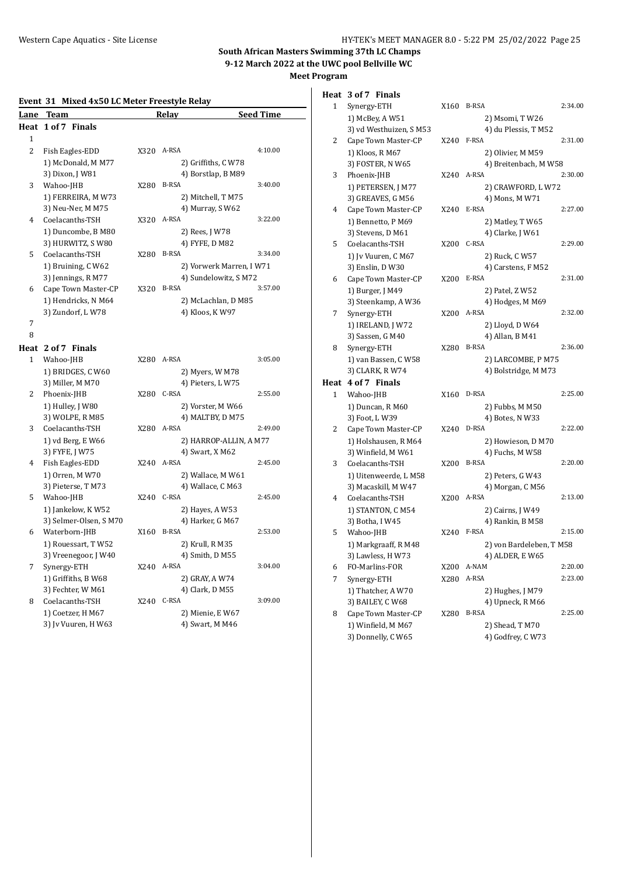## **Event 31 Mixed 4x50 LC Meter Freestyle Relay**

| Lane           | <b>Team</b>           |            | Relay                    | Seed Time |
|----------------|-----------------------|------------|--------------------------|-----------|
| Heat           | 1 of 7 Finals         |            |                          |           |
| 1              |                       |            |                          |           |
| $\overline{c}$ | Fish Eagles-EDD       | X320 A-RSA |                          | 4:10.00   |
|                | 1) McDonald, M M77    |            | 2) Griffiths, C W78      |           |
|                | 3) Dixon, J W81       |            | 4) Borstlap, B M89       |           |
| 3              | Wahoo-JHB             | X280       | <b>B-RSA</b>             | 3:40.00   |
|                | 1) FERREIRA, M W73    |            | 2) Mitchell, T M75       |           |
|                | 3) Neu-Ner, M M75     |            | 4) Murray, SW62          |           |
| 4              | Coelacanths-TSH       | X320       | A-RSA                    | 3:22.00   |
|                | 1) Duncombe, B M80    |            | 2) Rees, J W78           |           |
|                | 3) HURWITZ, SW80      |            | 4) FYFE, D M82           |           |
| 5              | Coelacanths-TSH       | X280       | <b>B-RSA</b>             | 3:34.00   |
|                | 1) Bruining, C W62    |            | 2) Vorwerk Marren, I W71 |           |
|                | 3) Jennings, R M77    |            | 4) Sundelowitz, SM72     |           |
| 6              | Cape Town Master-CP   | X320       | <b>B-RSA</b>             | 3:57.00   |
|                | 1) Hendricks, N M64   |            | 2) McLachlan, D M85      |           |
|                | 3) Zundorf, LW78      |            | 4) Kloos, K W97          |           |
| 7              |                       |            |                          |           |
| 8              |                       |            |                          |           |
| Heat           | 2 of 7 Finals         |            |                          |           |
| 1              | Wahoo-JHB             | X280 A-RSA |                          | 3:05.00   |
|                | 1) BRIDGES, C W60     |            | 2) Myers, W M78          |           |
|                | 3) Miller, M M70      |            | 4) Pieters, LW75         |           |
| 2              | Phoenix-JHB           | X280 C-RSA |                          | 2:55.00   |
|                | 1) Hulley, J W80      |            | 2) Vorster, M W66        |           |
|                | 3) WOLPE, R M85       |            | 4) MALTBY, D M75         |           |
| 3              | Coelacanths-TSH       | X280       | A-RSA                    | 2:49.00   |
|                | 1) vd Berg, E W66     |            | 2) HARROP-ALLIN, A M77   |           |
|                | 3) FYFE, J W75        |            | 4) Swart, X M62          |           |
| 4              | Fish Eagles-EDD       | X240       | A-RSA                    | 2:45.00   |
|                | 1) Orren, M W70       |            | 2) Wallace, M W61        |           |
|                | 3) Pieterse, TM73     |            | 4) Wallace, C M63        |           |
| 5              | Wahoo-JHB             | X240       | C-RSA                    | 2:45.00   |
|                | 1) Jankelow, KW52     |            | 2) Hayes, A W53          |           |
|                | 3) Selmer-Olsen, SM70 |            | 4) Harker, G M67         |           |
| 6              | Waterborn-JHB         | X160       | <b>B-RSA</b>             | 2:53.00   |
|                | 1) Rouessart, TW52    |            | 2) Krull, R M35          |           |
|                | 3) Vreenegoor, J W40  |            | 4) Smith, D M55          |           |
| 7              | Synergy-ETH           | X240       | A-RSA                    | 3:04.00   |
|                | 1) Griffiths, B W68   |            | 2) GRAY, A W74           |           |
|                | 3) Fechter, W M61     |            | 4) Clark, D M55<br>C-RSA |           |
| 8              | Coelacanths-TSH       | X240       |                          | 3:09.00   |
|                | 1) Coetzer, H M67     |            | 2) Mienie, E W67         |           |
|                | 3) Jv Vuuren, H W63   |            | 4) Swart, M M46          |           |

|              | Heat 3 of 7 Finals                       |      |                                      |         |
|--------------|------------------------------------------|------|--------------------------------------|---------|
| 1            | Synergy-ETH                              | X160 | <b>B-RSA</b>                         | 2:34.00 |
|              | 1) McBey, A W51                          |      | 2) Msomi, T W26                      |         |
|              | 3) vd Westhuizen, SM53                   |      | 4) du Plessis, T M52                 |         |
| 2            | Cape Town Master-CP                      | X240 | F-RSA                                | 2:31.00 |
|              | 1) Kloos, R M67                          |      | 2) Olivier, M M59                    |         |
|              | 3) FOSTER, N W65                         |      | 4) Breitenbach, M W58                |         |
| 3            | Phoenix-JHB                              | X240 | A-RSA                                | 2:30.00 |
|              | 1) PETERSEN, J M77                       |      | 2) CRAWFORD, LW72                    |         |
|              | 3) GREAVES, G M56                        |      | 4) Mons, M W71                       |         |
| 4            | Cape Town Master-CP                      | X240 | E-RSA                                | 2:27.00 |
|              | 1) Bennetto, P M69                       |      | 2) Matley, T W65                     |         |
|              | 3) Stevens, D M61                        |      | 4) Clarke, J W61                     |         |
| 5            | Coelacanths-TSH                          | X200 | C-RSA                                | 2:29.00 |
|              | 1) Jv Vuuren, C M67                      |      | 2) Ruck, C W57                       |         |
|              | 3) Enslin, D W30                         |      | 4) Carstens, F M52                   |         |
| 6            | Cape Town Master-CP                      | X200 | E-RSA                                | 2:31.00 |
|              | 1) Burger, J M49                         |      | 2) Patel, Z W52                      |         |
|              | 3) Steenkamp, A W36                      |      | 4) Hodges, M M69                     | 2:32.00 |
| 7            | Synergy-ETH                              | X200 | A-RSA                                |         |
|              | 1) IRELAND, J W72                        |      | 2) Lloyd, D W64<br>4) Allan, B M41   |         |
| 8            | 3) Sassen, G M40<br>Synergy-ETH          | X280 | <b>B-RSA</b>                         | 2:36.00 |
|              | 1) van Bassen, C W58                     |      | 2) LARCOMBE, P M75                   |         |
|              | 3) CLARK, R W74                          |      | 4) Bolstridge, M M73                 |         |
|              | Heat 4 of 7 Finals                       |      |                                      |         |
| $\mathbf{1}$ | Wahoo-JHB                                | X160 | D-RSA                                | 2:25.00 |
|              | 1) Duncan, R M60                         |      | 2) Fubbs, M M50                      |         |
|              | 3) Foot, L W39                           |      | 4) Botes, N W33                      |         |
| 2            | Cape Town Master-CP                      | X240 | D-RSA                                | 2:22.00 |
|              | 1) Holshausen, R M64                     |      | 2) Howieson, D M70                   |         |
|              | 3) Winfield, M W61                       |      | 4) Fuchs, M W58                      |         |
| 3            | Coelacanths-TSH                          | X200 | <b>B-RSA</b>                         | 2:20.00 |
|              | 1) Uitenweerde, L M58                    |      | 2) Peters, G W43                     |         |
|              | 3) Macaskill, M W47                      |      | 4) Morgan, C M56                     |         |
| 4            | Coelacanths-TSH                          | X200 | A-RSA                                | 2:13.00 |
|              | 1) STANTON, C M54                        |      | 2) Cairns, J W49                     |         |
|              | 3) Botha, I W45                          |      | 4) Rankin, B M58                     |         |
| 5            | Wahoo-JHB                                | X240 | F-RSA                                | 2:15.00 |
|              | 1) Markgraaff, R M48                     |      | 2) von Bardeleben, T M58             |         |
|              | 3) Lawless, H W73                        |      | 4) ALDER, E W65                      |         |
| 6            | FO-Marlins-FOR                           | X200 | A-NAM                                | 2:20.00 |
| 7            | Synergy-ETH                              | X280 | A-RSA                                | 2:23.00 |
|              | 1) Thatcher, A W70                       |      | 2) Hughes, J M79                     |         |
|              | 3) BAILEY, C W68                         |      | 4) Upneck, RM66<br><b>B-RSA</b>      |         |
| 8            | Cape Town Master-CP                      | X280 |                                      | 2:25.00 |
|              | 1) Winfield, M M67<br>3) Donnelly, C W65 |      | 2) Shead, T M70<br>4) Godfrey, C W73 |         |
|              |                                          |      |                                      |         |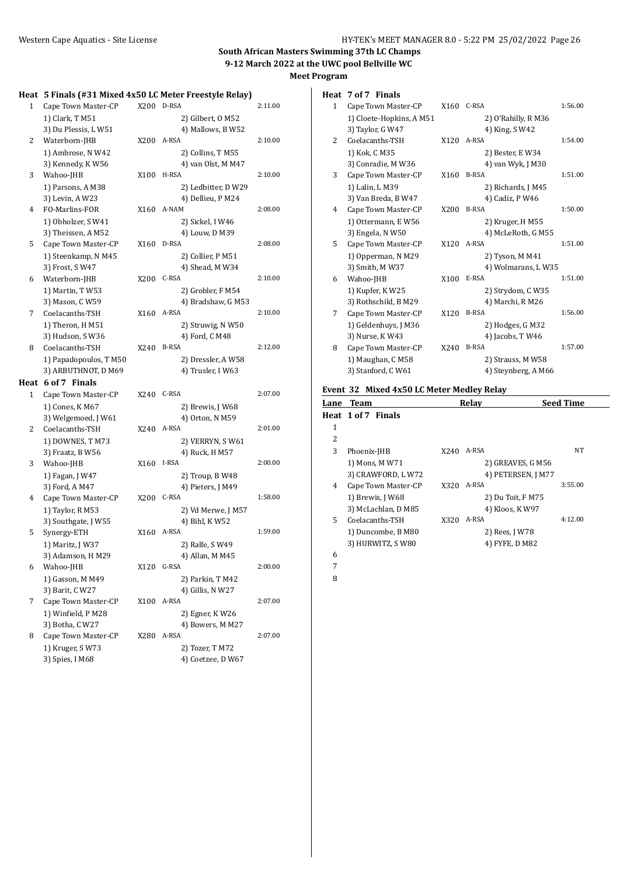#### **Heat 5 Finals (#31 Mixed 4x50 LC Meter Freestyle Relay)**

| ncac |                        |      | 3 THings (#31 MIACU TASO LC MCICI TTCCSLYIC RCIAY) |         |
|------|------------------------|------|----------------------------------------------------|---------|
| 1    | Cape Town Master-CP    | X200 | D-RSA                                              | 2:11.00 |
|      | 1) Clark, T M51        |      | 2) Gilbert, O M52                                  |         |
|      | 3) Du Plessis, LW51    |      | 4) Mallows, B W52                                  |         |
| 2    | Waterborn-JHB          | X200 | A-RSA                                              | 2:10.00 |
|      | 1) Ambrose, N W42      |      | 2) Collins, T M55                                  |         |
|      | 3) Kennedy, KW56       |      | 4) van Olst, M M47                                 |         |
| 3    | Wahoo-JHB              | X100 | H-RSA                                              | 2:10.00 |
|      | 1) Parsons, A M38      |      | 2) Ledbitter, D W29                                |         |
|      | 3) Levin, A W23        |      | 4) Dellieu, P M24                                  |         |
| 4    | FO-Marlins-FOR         | X160 | A-NAM                                              | 2:08.00 |
|      | 1) Obholzer, SW41      |      | 2) Sickel, I W46                                   |         |
|      | 3) Theissen, A M52     |      | 4) Louw, D M39                                     |         |
| 5    | Cape Town Master-CP    | X160 | D-RSA                                              | 2:08.00 |
|      | 1) Steenkamp, N M45    |      | 2) Collier, P M51                                  |         |
|      | 3) Frost, SW47         |      | 4) Shead, M W34                                    |         |
| 6    | Waterborn-JHB          | X200 | C-RSA                                              | 2:10.00 |
|      | 1) Martin, TW53        |      | 2) Grobler, F M54                                  |         |
|      | 3) Mason, C W59        |      | 4) Bradshaw, G M53                                 |         |
| 7    | Coelacanths-TSH        | X160 | A-RSA                                              | 2:10.00 |
|      | 1) Theron, H M51       |      | 2) Struwig, N W50                                  |         |
|      | 3) Hudson, SW36        |      | 4) Ford, C M48                                     |         |
| 8    | Coelacanths-TSH        | X240 | <b>B-RSA</b>                                       | 2:12.00 |
|      | 1) Papadopoulos, T M50 |      | 2) Dressler, A W58                                 |         |
|      | 3) ARBUTHNOT, D M69    |      | 4) Trusler, I W63                                  |         |
|      | Heat 6 of 7 Finals     |      |                                                    |         |
| 1    | Cape Town Master-CP    | X240 | C-RSA                                              | 2:07.00 |
|      | 1) Cones, K M67        |      | 2) Brewis, J W68                                   |         |
|      | 3) Welgemoed, J W61    |      | 4) Orton, N M59                                    |         |
| 2    | Coelacanths-TSH        | X240 | A-RSA                                              | 2:01.00 |
|      | 1) DOWNES, T M73       |      | 2) VERRYN, S W61                                   |         |
|      | 3) Fraatz, B W56       |      | 4) Ruck, H M57                                     |         |
| 3    | Wahoo-JHB              | X160 | I-RSA                                              | 2:00.00 |
|      | 1) Fagan, J W47        |      | 2) Troup, B W48                                    |         |
|      | 3) Ford, A M47         |      | 4) Pieters, J M49                                  |         |
| 4    | Cape Town Master-CP    | X200 | C-RSA                                              | 1:58.00 |
|      | 1) Taylor, R M53       |      | 2) Vd Merwe, J M57                                 |         |
|      | 3) Southgate, J W55    |      | 4) Bihl, KW52                                      |         |
| 5    | Synergy-ETH            | X160 | A-RSA                                              | 1:59.00 |
|      | 1) Maritz, J W37       |      | 2) Ralfe, S W49                                    |         |
|      | 3) Adamson, H M29      |      | 4) Allan, M M45                                    |         |
| 6    | Wahoo-JHB              | X120 | G-RSA                                              | 2:00.00 |
|      | 1) Gasson, M M49       |      | 2) Parkin, T M42                                   |         |
|      | 3) Barit, C W27        |      | 4) Gillis, N W27                                   |         |
| 7    | Cape Town Master-CP    | X100 | A-RSA                                              | 2:07.00 |
|      | 1) Winfield, P M28     |      | 2) Egner, KW26                                     |         |
|      | 3) Botha, C W27        |      | 4) Bowers, M M27                                   |         |
| 8    | Cape Town Master-CP    | X280 | A-RSA                                              | 2:07.00 |
|      | 1) Kruger, SW73        |      | 2) Tozer, T M72                                    |         |
|      | 3) Spies, I M68        |      | 4) Coetzee, D W67                                  |         |
|      |                        |      |                                                    |         |

|  |  | Heat 7 of 7 Finals |
|--|--|--------------------|
|--|--|--------------------|

| $\mathbf{1}$ | Cape Town Master-CP      | X160             | C-RSA               | 1:56.00 |
|--------------|--------------------------|------------------|---------------------|---------|
|              | 1) Cloete-Hopkins, A M51 |                  | 2) O'Rahilly, R M36 |         |
|              | 3) Taylor, G W47         |                  | 4) King, S W42      |         |
| 2            | Coelacanths-TSH          | X120             | A-RSA               | 1:54.00 |
|              | 1) Kok, C M35            |                  | 2) Bester, E W34    |         |
|              | 3) Conradie, M W36       |                  | 4) van Wyk, J M30   |         |
| 3            | Cape Town Master-CP      | X160             | <b>B-RSA</b>        | 1:51.00 |
|              | 1) Lalin, L M39          |                  | 2) Richards, J M45  |         |
|              | 3) Van Breda, B W47      |                  | 4) Cadiz, P W46     |         |
| 4            | Cape Town Master-CP      | X200             | <b>B-RSA</b>        | 1:50.00 |
|              | 1) Ottermann, E W56      |                  | 2) Kruger, H M55    |         |
|              | 3) Engela, N W50         |                  | 4) McLeRoth, G M55  |         |
| 5            | Cape Town Master-CP      | X120             | A-RSA               | 1:51.00 |
|              | 1) Opperman, N M29       |                  | 2) Tyson, M M41     |         |
|              | 3) Smith, M W37          |                  | 4) Wolmarans, LW35  |         |
| 6            | Wahoo-JHB                | X <sub>100</sub> | E-RSA               | 1:51.00 |
|              | 1) Kupfer, KW25          |                  | 2) Strydom, C W35   |         |
|              | 3) Rothschild, B M29     |                  | 4) Marchi, R M26    |         |
| 7            | Cape Town Master-CP      | X120             | <b>B-RSA</b>        | 1:56.00 |
|              | 1) Geldenhuys, J M36     |                  | 2) Hodges, G M32    |         |
|              | 3) Nurse, K W43          |                  | 4) Jacobs, T W46    |         |
| 8            | Cape Town Master-CP      | X240             | <b>B-RSA</b>        | 1:57.00 |
|              | 1) Maughan, C M58        |                  | 2) Strauss, M W58   |         |
|              | 3) Stanford, C W61       |                  | 4) Steynberg, A M66 |         |

# **Event 32 Mixed 4x50 LC Meter Medley Relay**

| Lane | <b>Team</b>         |      | Relay              | <b>Seed Time</b> |
|------|---------------------|------|--------------------|------------------|
|      | Heat 1 of 7 Finals  |      |                    |                  |
| 1    |                     |      |                    |                  |
| 2    |                     |      |                    |                  |
| 3    | Phoenix-JHB         | X240 | A-RSA              | NT               |
|      | 1) Mons, M W71      |      | 2) GREAVES, G M56  |                  |
|      | 3) CRAWFORD, L W72  |      | 4) PETERSEN, J M77 |                  |
| 4    | Cape Town Master-CP | X320 | A-RSA              | 3:55.00          |
|      | 1) Brewis, J W68    |      | 2) Du Toit, F M75  |                  |
|      | 3) McLachlan, D M85 |      | 4) Kloos, K W97    |                  |
| 5.   | Coelacanths-TSH     | X320 | A-RSA              | 4:12.00          |
|      | 1) Duncombe, B M80  |      | 2) Rees, J W78     |                  |
|      | 3) HURWITZ, SW80    |      | 4) FYFE, D M82     |                  |
| 6    |                     |      |                    |                  |
| 7    |                     |      |                    |                  |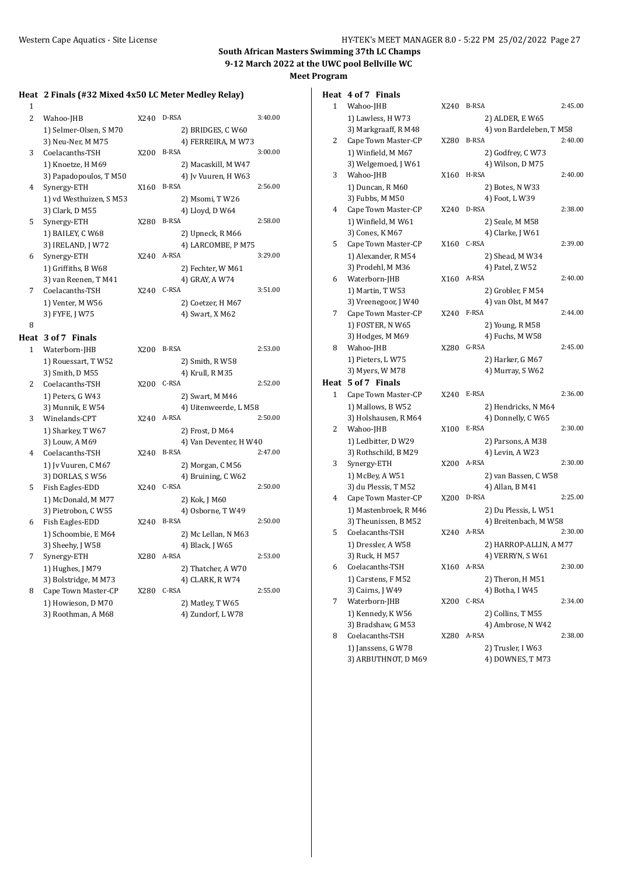1

# **South African Masters Swimming 37th LC Champs 9-12 March 2022 at the UWC pool Bellville WC Meet Program**

## **Heat 2 Finals (#32 Mixed 4x50 LC Meter Medley Relay)**

| $\mathbf{1}$   |                        |      |                       |         |
|----------------|------------------------|------|-----------------------|---------|
| $\overline{2}$ | Wahoo-JHB              | X240 | D-RSA                 | 3:40.00 |
|                | 1) Selmer-Olsen, SM70  |      | 2) BRIDGES, C W60     |         |
|                | 3) Neu-Ner, M M75      |      | 4) FERREIRA, M W73    |         |
| 3              | Coelacanths-TSH        | X200 | <b>B-RSA</b>          | 3:00.00 |
|                | 1) Knoetze, H M69      |      | 2) Macaskill, M W47   |         |
|                | 3) Papadopoulos, T M50 |      | 4) Iv Vuuren, H W63   |         |
| 4              | Synergy-ETH            | X160 | <b>B-RSA</b>          | 2:56.00 |
|                | 1) vd Westhuizen, SM53 |      | 2) Msomi, TW26        |         |
|                | 3) Clark, D M55        |      | 4) Lloyd, D W64       |         |
| 5              | Synergy-ETH            | X280 | <b>B-RSA</b>          | 2:58.00 |
|                | 1) BAILEY, C W68       |      | 2) Upneck, R M66      |         |
|                | 3) IRELAND, J W72      |      | 4) LARCOMBE, P M75    |         |
| 6              | Synergy-ETH            | X240 | A-RSA                 | 3:29.00 |
|                | 1) Griffiths, B W68    |      | 2) Fechter, W M61     |         |
|                | 3) van Reenen, T M41   |      | 4) GRAY, A W74        |         |
| 7              | Coelacanths-TSH        | X240 | C-RSA                 | 3:51.00 |
|                | 1) Venter, M W56       |      | 2) Coetzer, H M67     |         |
|                | 3) FYFE, J W75         |      | 4) Swart, X M62       |         |
| 8              |                        |      |                       |         |
|                | Heat 3 of 7 Finals     |      |                       |         |
| 1              | Waterborn-JHB          | X200 | <b>B-RSA</b>          | 2:53.00 |
|                | 1) Rouessart, T W52    |      | 2) Smith, R W58       |         |
|                | 3) Smith, D M55        |      | 4) Krull, R M35       |         |
| 2              | Coelacanths-TSH        | X200 | C-RSA                 | 2:52.00 |
|                | 1) Peters, G W43       |      | 2) Swart, M M46       |         |
|                | 3) Munnik, EW54        |      | 4) Uitenweerde, L M58 |         |

| 3 | Winelands-CPT     |
|---|-------------------|
|   | 1) Sharkey, T W67 |
|   | 3) Louw, A M69    |

| 4 | Coelacanths-TSH     |
|---|---------------------|
|   | 1) Iv Vuuren, C M67 |
|   | 3) DORLAS, S W56    |

| 5 | Fish Eagles-EDD     |
|---|---------------------|
|   | 1) McDonald, M M77  |
|   | 3) Pietrobon, C W55 |
| 6 | Fish Eagles-EDD     |
|   | 1) Schoombie, E M64 |

- 1) Hughes, J M79 3) Bolstridge, M M73 8 Cape Town Master-CP
- 1) Howieson, D M70  $3)$  Roothman, A M68

| 44U | D-RSA               | 3.40.00 |
|-----|---------------------|---------|
|     | 2) BRIDGES, C W60   |         |
|     | 4) FERREIRA, M W73  |         |
| 200 | <b>B-RSA</b>        | 3:00.00 |
|     | 2) Macaskill, M W47 |         |
|     | 4) Jv Vuuren, H W63 |         |
| 160 | <b>B-RSA</b>        | 2:56.00 |
|     | 2) Msomi, T W26     |         |
|     | 4) Lloyd, D W64     |         |
| 280 | <b>B-RSA</b>        | 2:58.00 |
|     | 2) Upneck, R M66    |         |
|     | 4) LARCOMBE, P M75  |         |
| 240 | A-RSA               | 3:29.00 |
|     | 2) Fechter, W M61   |         |
|     | 4) GRAY, A W74      |         |
| 240 | C-RSA               | 3:51.00 |
|     | 2) Coetzer, H M67   |         |
|     | 4) Swart, X M62     |         |
|     |                     |         |
|     |                     |         |

| 1 | Waterborn-JHB        | X200 | B-RSA                  | 2:53.00 |
|---|----------------------|------|------------------------|---------|
|   | 1) Rouessart, TW52   |      | 2) Smith, R W58        |         |
|   | 3) Smith, D M55      |      | 4) Krull, R M35        |         |
| 2 | Coelacanths-TSH      | X200 | C-RSA                  | 2:52.00 |
|   | 1) Peters, G W43     |      | 2) Swart, M M46        |         |
|   | 3) Munnik, E W54     |      | 4) Uitenweerde, L M58  |         |
| 3 | Winelands-CPT        | X240 | A-RSA                  | 2:50.00 |
|   | 1) Sharkey, T W67    |      | 2) Frost, D M64        |         |
|   | 3) Louw, A M69       |      | 4) Van Deventer, H W40 |         |
| 4 | Coelacanths-TSH      | X240 | <b>B-RSA</b>           | 2:47.00 |
|   | 1) Jv Vuuren, C M67  |      | 2) Morgan, C M56       |         |
|   | 3) DORLAS, S W56     |      | 4) Bruining, C W62     |         |
| 5 | Fish Eagles-EDD      | X240 | C-RSA                  | 2:50.00 |
|   | 1) McDonald, M M77   |      | 2) Kok, J M60          |         |
|   | 3) Pietrobon, CW55   |      | 4) Osborne, TW49       |         |
| 6 | Fish Eagles-EDD      | X240 | <b>B-RSA</b>           | 2:50.00 |
|   | 1) Schoombie, E M64  |      | 2) Mc Lellan, N M63    |         |
|   | 3) Sheehy, J W58     |      | 4) Black, J W65        |         |
| 7 | Synergy-ETH          | X280 | A-RSA                  | 2:53.00 |
|   | 1) Hughes, J M79     |      | 2) Thatcher, A W70     |         |
|   | 3) Bolstridge, M M73 |      | 4) CLARK, R W74        |         |
| 8 | Cape Town Master-CP  | X280 | C-RSA                  | 2:55.00 |
|   | 1) Howieson, D M70   |      | 2) Matley, T W65       |         |
|   | 3) Roothman, A M68   |      | 4) Zundorf, LW78       |         |
|   |                      |      |                        |         |

# **Heat 4 of 7 Finals**

| 1    | Wahoo-JHB                         | X240 | <b>B-RSA</b>                   | 2:45.00 |
|------|-----------------------------------|------|--------------------------------|---------|
|      | 1) Lawless, H W73                 |      | 2) ALDER, E W65                |         |
|      | 3) Markgraaff, R M48              |      | 4) von Bardeleben, TM58        |         |
| 2    | Cape Town Master-CP               | X280 | <b>B-RSA</b>                   | 2:40.00 |
|      | 1) Winfield, M M67                |      | 2) Godfrey, C W73              |         |
|      | 3) Welgemoed, J W61               |      | 4) Wilson, D M75               |         |
| 3    | Wahoo-JHB                         | X160 | H-RSA                          | 2:40.00 |
|      | 1) Duncan, R M60                  |      | 2) Botes, N W33                |         |
|      | 3) Fubbs, M M50                   |      | 4) Foot, L W39                 |         |
| 4    | Cape Town Master-CP               | X240 | D-RSA                          | 2:38.00 |
|      | 1) Winfield, M W61                |      | 2) Seale, M M58                |         |
|      | 3) Cones, K M67                   |      | 4) Clarke, J W61               |         |
| 5    | Cape Town Master-CP               | X160 | C-RSA                          | 2:39.00 |
|      | 1) Alexander, R M54               |      | 2) Shead, M W34                |         |
|      | 3) Prodehl, M M36                 |      | 4) Patel, Z W52                |         |
| 6    | Waterborn-JHB                     | X160 | A-RSA                          | 2:40.00 |
|      | 1) Martin, T W53                  |      | 2) Grobler, F M54              |         |
|      | 3) Vreenegoor, J W40              |      | 4) van Olst, M M47             |         |
| 7    | Cape Town Master-CP               | X240 | F-RSA                          | 2:44.00 |
|      | 1) FOSTER, N W65                  |      | 2) Young, R M58                |         |
|      | 3) Hodges, M M69                  |      | 4) Fuchs, M W58                |         |
| 8    | Wahoo-JHB                         | X280 | G-RSA                          | 2:45.00 |
|      | 1) Pieters, L W75                 |      | 2) Harker, G M67               |         |
|      | 3) Myers, W M78                   |      | 4) Murray, SW62                |         |
| Heat | 5 of 7 Finals                     |      |                                |         |
| 1    | Cape Town Master-CP               | X240 | E-RSA                          | 2:36.00 |
|      | 1) Mallows, B W52                 |      | 2) Hendricks, N M64            |         |
|      | 3) Holshausen, R M64              |      | 4) Donnelly, C W65             |         |
| 2    | Wahoo-JHB                         | X100 | E-RSA                          | 2:30.00 |
|      | 1) Ledbitter, D W29               |      | 2) Parsons, A M38              |         |
|      | 3) Rothschild, B M29              |      | 4) Levin, A W23                |         |
| 3    | Synergy-ETH                       | X200 | A-RSA                          | 2:30.00 |
|      | 1) McBey, A W51                   |      | 2) van Bassen, C W58           |         |
|      | 3) du Plessis, TM52               |      | 4) Allan, B M41                |         |
| 4    | Cape Town Master-CP               | X200 | D-RSA                          | 2:25.00 |
|      | 1) Mastenbroek, R M46             |      | 2) Du Plessis, L W51           |         |
|      | 3) Theunissen, B M52              |      | 4) Breitenbach, M W58<br>A-RSA | 2:30.00 |
| 5    | Coelacanths-TSH                   | X240 |                                |         |
|      | 1) Dressler, A W58                |      | 2) HARROP-ALLIN, A M77         |         |
| 6    | 3) Ruck, H M57<br>Coelacanths-TSH |      | 4) VERRYN, SW61<br>X160 A-RSA  | 2:30.00 |
|      | 1) Carstens, F M52                |      | 2) Theron, H M51               |         |
|      | 3) Cairns, J W49                  |      | 4) Botha, I W45                |         |
| 7    | Waterborn-JHB                     | X200 | C-RSA                          | 2:34.00 |
|      | 1) Kennedy, K W56                 |      | 2) Collins, T M55              |         |
|      | 3) Bradshaw, G M53                |      | 4) Ambrose, N W42              |         |
| 8    | Coelacanths-TSH                   | X280 | A-RSA                          | 2:38.00 |
|      | 1) Janssens, G W78                |      | 2) Trusler, I W63              |         |
|      | 3) ARBUTHNOT, D M69               |      | 4) DOWNES, T M73               |         |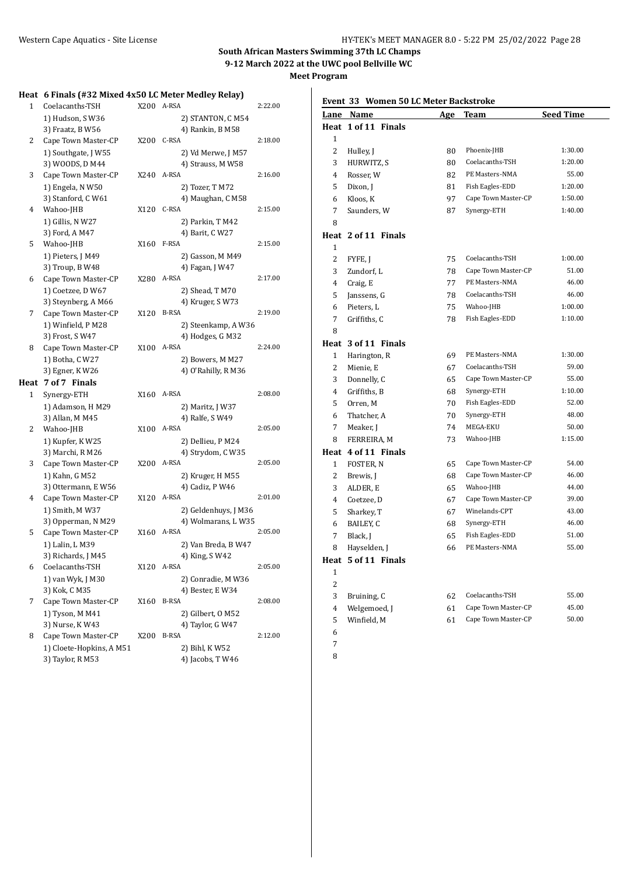**Meet Program**

|   | Heat 6 Finals (#32 Mixed 4x50 LC Meter Medley Relay) |      |                                     |         |
|---|------------------------------------------------------|------|-------------------------------------|---------|
| 1 | Coelacanths-TSH                                      | X200 | A-RSA                               | 2:22.00 |
|   | 1) Hudson, S W36                                     |      | 2) STANTON, C M54                   |         |
|   | 3) Fraatz, B W56                                     |      | 4) Rankin, B M58                    |         |
| 2 | Cape Town Master-CP                                  | X200 | C-RSA                               | 2:18.00 |
|   | 1) Southgate, J W55                                  |      | 2) Vd Merwe, J M57                  |         |
|   | 3) WOODS, D M44                                      |      | 4) Strauss, M W58                   |         |
| 3 | Cape Town Master-CP                                  | X240 | A-RSA                               | 2:16.00 |
|   | 1) Engela, N W50                                     |      | 2) Tozer, T M72                     |         |
|   | 3) Stanford, C W61                                   |      | 4) Maughan, C M58                   |         |
| 4 | Wahoo-JHB                                            |      | X120 C-RSA                          | 2:15.00 |
|   | 1) Gillis, N W27                                     |      | 2) Parkin, T M42                    |         |
|   | 3) Ford, A M47                                       |      | 4) Barit, C W27                     |         |
| 5 | Wahoo-JHB                                            | X160 | F-RSA                               | 2:15.00 |
|   | 1) Pieters, J M49                                    |      | 2) Gasson, M M49                    |         |
|   | 3) Troup, B W48                                      |      | 4) Fagan, J W47                     |         |
| 6 | Cape Town Master-CP                                  | X280 | A-RSA                               | 2:17.00 |
|   | 1) Coetzee, D W67                                    |      | 2) Shead, T M70                     |         |
|   | 3) Steynberg, A M66                                  |      | 4) Kruger, SW73                     |         |
| 7 | Cape Town Master-CP                                  | X120 | <b>B-RSA</b>                        | 2:19.00 |
|   | 1) Winfield, P M28                                   |      | 2) Steenkamp, A W36                 |         |
|   | 3) Frost, S W47                                      |      | 4) Hodges, G M32                    |         |
| 8 | Cape Town Master-CP                                  | X100 | A-RSA                               | 2:24.00 |
|   | 1) Botha, C W27                                      |      | 2) Bowers, M M27                    |         |
|   | 3) Egner, K W26                                      |      | 4) O'Rahilly, R M36                 |         |
|   | Heat 7 of 7 Finals                                   |      |                                     |         |
| 1 | Synergy-ETH                                          | X160 | A-RSA                               | 2:08.00 |
|   | 1) Adamson, H M29                                    |      | 2) Maritz, J W37                    |         |
|   | 3) Allan, M M45                                      |      | 4) Ralfe, S W49<br>A-RSA            | 2:05.00 |
| 2 | Wahoo-JHB                                            | X100 |                                     |         |
|   | 1) Kupfer, K W25                                     |      | 2) Dellieu, P M24                   |         |
|   | 3) Marchi, R M26                                     |      | 4) Strydom, C W35<br>A-RSA          | 2:05.00 |
| 3 | Cape Town Master-CP                                  | X200 |                                     |         |
|   | 1) Kahn, G M52                                       |      | 2) Kruger, H M55<br>4) Cadiz, P W46 |         |
| 4 | 3) Ottermann, E W56<br>Cape Town Master-CP           | X120 | A-RSA                               | 2:01.00 |
|   | 1) Smith, M W37                                      |      | 2) Geldenhuys, J M36                |         |
|   | 3) Opperman, N M29                                   |      | 4) Wolmarans, L W35                 |         |
| 5 | Cape Town Master-CP                                  | X160 | A-RSA                               | 2:05.00 |
|   | 1) Lalin, L M39                                      |      | 2) Van Breda, B W47                 |         |
|   | 3) Richards, J M45                                   |      | 4) King, S W42                      |         |
| 6 | Coelacanths-TSH                                      | X120 | A-RSA                               | 2:05.00 |
|   | 1) van Wyk, J M30                                    |      | 2) Conradie, M W36                  |         |
|   | 3) Kok, C M35                                        |      | 4) Bester, E W34                    |         |
| 7 | Cape Town Master-CP                                  | X160 | B-RSA                               | 2:08.00 |
|   | 1) Tyson, M M41                                      |      | 2) Gilbert, 0 M52                   |         |
|   | 3) Nurse, K W43                                      |      | 4) Taylor, G W47                    |         |
| 8 | Cape Town Master-CP                                  | X200 | B-RSA                               | 2:12.00 |
|   | 1) Cloete-Hopkins, A M51                             |      | 2) Bihl, KW52                       |         |
|   | 3) Taylor, R M53                                     |      | 4) Jacobs, T W46                    |         |
|   |                                                      |      |                                     |         |

# **Event 33 Women 50 LC Meter Backstroke**

|                | Lane Name           | <u>Age</u> | Team                | <b>Seed Time</b> |
|----------------|---------------------|------------|---------------------|------------------|
|                | Heat 1 of 11 Finals |            |                     |                  |
| 1              |                     |            |                     |                  |
| $\overline{c}$ | Hulley, J           | 80         | Phoenix-JHB         | 1:30.00          |
| 3              | HURWITZ, S          | 80         | Coelacanths-TSH     | 1:20.00          |
| $\overline{4}$ | Rosser, W           | 82         | PE Masters-NMA      | 55.00            |
| 5              | Dixon, J            | 81         | Fish Eagles-EDD     | 1:20.00          |
| 6              | Kloos, K            | 97         | Cape Town Master-CP | 1:50.00          |
| 7              | Saunders, W         | 87         | Synergy-ETH         | 1:40.00          |
| 8              |                     |            |                     |                  |
|                | Heat 2 of 11 Finals |            |                     |                  |
| $\mathbf{1}$   |                     |            |                     |                  |
| $\overline{2}$ | FYFE, J             | 75         | Coelacanths-TSH     | 1:00.00          |
| 3              | Zundorf, L          | 78         | Cape Town Master-CP | 51.00            |
| 4              | Craig, E            | 77         | PE Masters-NMA      | 46.00            |
| 5              | Janssens, G         | 78         | Coelacanths-TSH     | 46.00            |
| 6              | Pieters, L          | 75         | Wahoo-JHB           | 1:00.00          |
| 7              | Griffiths, C        | 78         | Fish Eagles-EDD     | 1:10.00          |
| 8              |                     |            |                     |                  |
|                | Heat 3 of 11 Finals |            |                     |                  |
| $\mathbf{1}$   | Harington, R        | 69         | PE Masters-NMA      | 1:30.00          |
| $\overline{2}$ | Mienie, E           | 67         | Coelacanths-TSH     | 59.00            |
| 3              | Donnelly, C         | 65         | Cape Town Master-CP | 55.00            |
| 4              | Griffiths, B        | 68         | Synergy-ETH         | 1:10.00          |
| 5              | Orren, M            | 70         | Fish Eagles-EDD     | 52.00            |
| 6              | Thatcher, A         | $70\,$     | Synergy-ETH         | 48.00            |
| 7              | Meaker, J           | 74         | MEGA-EKU            | 50.00            |
| 8              | FERREIRA, M         | 73         | Wahoo-JHB           | 1:15.00          |
|                | Heat 4 of 11 Finals |            |                     |                  |
| $\mathbf{1}$   | FOSTER, N           | 65         | Cape Town Master-CP | 54.00            |
| 2              | Brewis, J           | 68         | Cape Town Master-CP | 46.00            |
| 3              | ALDER, E            | 65         | Wahoo-JHB           | 44.00            |
| $\overline{4}$ | Coetzee, D          | 67         | Cape Town Master-CP | 39.00            |
| 5              | Sharkey, T          | 67         | Winelands-CPT       | 43.00            |
| 6              | BAILEY, C           | 68         | Synergy-ETH         | 46.00            |
| 7              | Black, J            | 65         | Fish Eagles-EDD     | 51.00            |
| 8              | Hayselden, J        | 66         | PE Masters-NMA      | 55.00            |
|                | Heat 5 of 11 Finals |            |                     |                  |
| $\mathbf{1}$   |                     |            |                     |                  |
| 2              |                     |            |                     |                  |
| 3              | Bruining, C         | 62         | Coelacanths-TSH     | 55.00            |
| $\overline{4}$ | Welgemoed, J        | 61         | Cape Town Master-CP | 45.00            |
| 5              | Winfield, M         | 61         | Cape Town Master-CP | 50.00            |
| 6              |                     |            |                     |                  |

- 7
- 8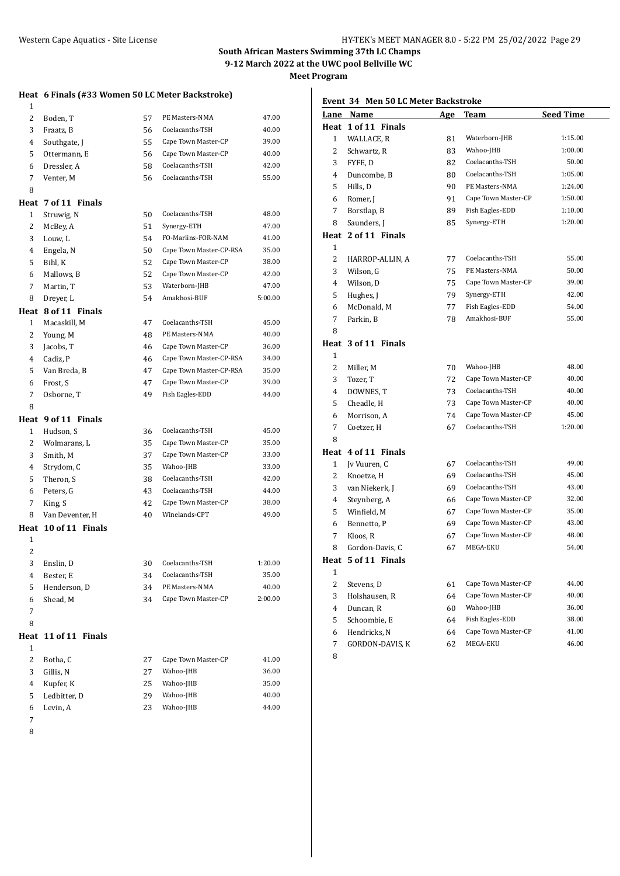**Meet Program**

# **Heat 6 Finals (#33 Women 50 LC Meter Backstroke)**

| 1              |                      |    |                         |         |
|----------------|----------------------|----|-------------------------|---------|
| 2              | Boden, T             | 57 | PE Masters-NMA          | 47.00   |
| 3              | Fraatz, B            | 56 | Coelacanths-TSH         | 40.00   |
| 4              | Southgate, J         | 55 | Cape Town Master-CP     | 39.00   |
| 5              | Ottermann, E         | 56 | Cape Town Master-CP     | 40.00   |
| 6              | Dressler, A          | 58 | Coelacanths-TSH         | 42.00   |
| 7              | Venter, M            | 56 | Coelacanths-TSH         | 55.00   |
| 8              |                      |    |                         |         |
|                | Heat 7 of 11 Finals  |    |                         |         |
| 1              | Struwig, N           | 50 | Coelacanths-TSH         | 48.00   |
| 2              | McBey, A             | 51 | Synergy-ETH             | 47.00   |
| 3              | Louw, L              | 54 | FO-Marlins-FOR-NAM      | 41.00   |
| 4              | Engela, N            | 50 | Cape Town Master-CP-RSA | 35.00   |
| 5              | Bihl, K              | 52 | Cape Town Master-CP     | 38.00   |
| 6              | Mallows, B           | 52 | Cape Town Master-CP     | 42.00   |
| 7              | Martin, T            | 53 | Waterborn-JHB           | 47.00   |
| 8              | Dreyer, L            | 54 | Amakhosi-BUF            | 5:00.00 |
|                | Heat 8 of 11 Finals  |    |                         |         |
| 1              | Macaskill. M         | 47 | Coelacanths-TSH         | 45.00   |
| $\overline{2}$ | Young, M             | 48 | PE Masters-NMA          | 40.00   |
| 3              | Jacobs, T            | 46 | Cape Town Master-CP     | 36.00   |
| 4              | Cadiz, P             | 46 | Cape Town Master-CP-RSA | 34.00   |
| 5              | Van Breda, B         | 47 | Cape Town Master-CP-RSA | 35.00   |
| 6              | Frost. S             | 47 | Cape Town Master-CP     | 39.00   |
| 7              | Osborne, T           | 49 | Fish Eagles-EDD         | 44.00   |
| 8              |                      |    |                         |         |
|                | Heat 9 of 11 Finals  |    |                         |         |
|                |                      |    |                         |         |
| 1              | Hudson, S            | 36 | Coelacanths-TSH         | 45.00   |
| 2              | Wolmarans, L         | 35 | Cape Town Master-CP     | 35.00   |
| 3              | Smith, M             | 37 | Cape Town Master-CP     | 33.00   |
| 4              | Strydom, C           | 35 | Wahoo-JHB               | 33.00   |
| 5              | Theron, S            | 38 | Coelacanths-TSH         | 42.00   |
| 6              | Peters, G            | 43 | Coelacanths-TSH         | 44.00   |
| 7              | King, S              | 42 | Cape Town Master-CP     | 38.00   |
| 8              | Van Deventer, H      | 40 | Winelands-CPT           | 49.00   |
|                | Heat 10 of 11 Finals |    |                         |         |
| 1              |                      |    |                         |         |
| 2              |                      |    |                         |         |
| 3              | Enslin, D            | 30 | Coelacanths-TSH         | 1:20.00 |
| 4              | Bester, E            | 34 | Coelacanths-TSH         | 35.00   |
| 5              | Henderson, D         | 34 | PE Masters-NMA          | 40.00   |
| 6              | Shead, M             | 34 | Cape Town Master-CP     | 2:00.00 |
| 7              |                      |    |                         |         |
| 8              |                      |    |                         |         |
| Heat           | 11 of 11 Finals      |    |                         |         |
| 1              |                      |    |                         |         |
| 2              | Botha, C             | 27 | Cape Town Master-CP     | 41.00   |
| 3              | Gillis, N            | 27 | Wahoo-JHB               | 36.00   |
| 4              | Kupfer, K            | 25 | Wahoo-JHB               | 35.00   |
| 5              | Ledbitter, D         | 29 | Wahoo-JHB               | 40.00   |
| 6<br>7         | Levin, A             | 23 | Wahoo-JHB               | 44.00   |

# **Event 34 Men 50 LC Meter Backstroke**

| <u>Lane</u>    | Name                | <u>Age</u> | <u>Team</u>         | <u>Seed Time</u> |  |
|----------------|---------------------|------------|---------------------|------------------|--|
| Heat           | 1 of 11 Finals      |            |                     |                  |  |
| $\mathbf{1}$   | WALLACE, R          | 81         | Waterborn-JHB       | 1:15.00          |  |
| 2              | Schwartz, R         | 83         | Wahoo-JHB           | 1:00.00          |  |
| 3              | FYFE, D             | 82         | Coelacanths-TSH     | 50.00            |  |
| 4              | Duncombe, B         | 80         | Coelacanths-TSH     | 1:05.00          |  |
| 5              | Hills, D            | 90         | PE Masters-NMA      | 1:24.00          |  |
| 6              | Romer, J            | 91         | Cape Town Master-CP | 1:50.00          |  |
| 7              | Borstlap, B         | 89         | Fish Eagles-EDD     | 1:10.00          |  |
| 8              | Saunders, J         | 85         | Synergy-ETH         | 1:20.00          |  |
|                | Heat 2 of 11 Finals |            |                     |                  |  |
| 1              |                     |            |                     |                  |  |
| 2              | HARROP-ALLIN, A     | 77         | Coelacanths-TSH     | 55.00            |  |
| 3              | Wilson, G           | 75         | PE Masters-NMA      | 50.00            |  |
| 4              | Wilson, D           | 75         | Cape Town Master-CP | 39.00            |  |
| 5              | Hughes, J           | 79         | Synergy-ETH         | 42.00            |  |
| 6              | McDonald, M         | 77         | Fish Eagles-EDD     | 54.00            |  |
| 7              | Parkin, B           | 78         | Amakhosi-BUF        | 55.00            |  |
| 8              |                     |            |                     |                  |  |
|                | Heat 3 of 11 Finals |            |                     |                  |  |
| 1              |                     |            |                     |                  |  |
| $\overline{2}$ | Miller, M           | 70         | Wahoo-JHB           | 48.00            |  |
| 3              | Tozer, T            | 72         | Cape Town Master-CP | 40.00            |  |
| $\overline{4}$ | DOWNES, T           | 73         | Coelacanths-TSH     | 40.00            |  |
| 5              | Cheadle, H          | 73         | Cape Town Master-CP | 40.00            |  |
| 6              | Morrison, A         | 74         | Cape Town Master-CP | 45.00            |  |
| 7              | Coetzer, H          | 67         | Coelacanths-TSH     | 1:20.00          |  |
| 8              |                     |            |                     |                  |  |
|                | Heat 4 of 11 Finals |            |                     |                  |  |
| $\mathbf{1}$   | Jv Vuuren, C        | 67         | Coelacanths-TSH     | 49.00            |  |
| 2              | Knoetze, H          | 69         | Coelacanths-TSH     | 45.00            |  |
| 3              | van Niekerk, J      | 69         | Coelacanths-TSH     | 43.00            |  |
| $\overline{4}$ | Steynberg, A        | 66         | Cape Town Master-CP | 32.00            |  |
| 5              | Winfield, M         | 67         | Cape Town Master-CP | 35.00            |  |
| 6              | Bennetto, P         | 69         | Cape Town Master-CP | 43.00            |  |
| 7              | Kloos, R            | 67         | Cape Town Master-CP | 48.00            |  |
| 8              | Gordon-Davis, C     | 67         | MEGA-EKU            | 54.00            |  |
|                | Heat 5 of 11 Finals |            |                     |                  |  |
| $\mathbf{1}$   |                     |            |                     |                  |  |
| $\overline{c}$ | Stevens, D          | 61         | Cape Town Master-CP | 44.00            |  |
| 3              | Holshausen, R       | 64         | Cape Town Master-CP | 40.00            |  |
| 4              | Duncan, R           | 60         | Wahoo-JHB           | 36.00            |  |
| 5              | Schoombie, E        | 64         | Fish Eagles-EDD     | 38.00            |  |
| 6              | Hendricks, N        | 64         | Cape Town Master-CP | 41.00            |  |
| 7              | GORDON-DAVIS, K     | 62         | MEGA-EKU            | 46.00            |  |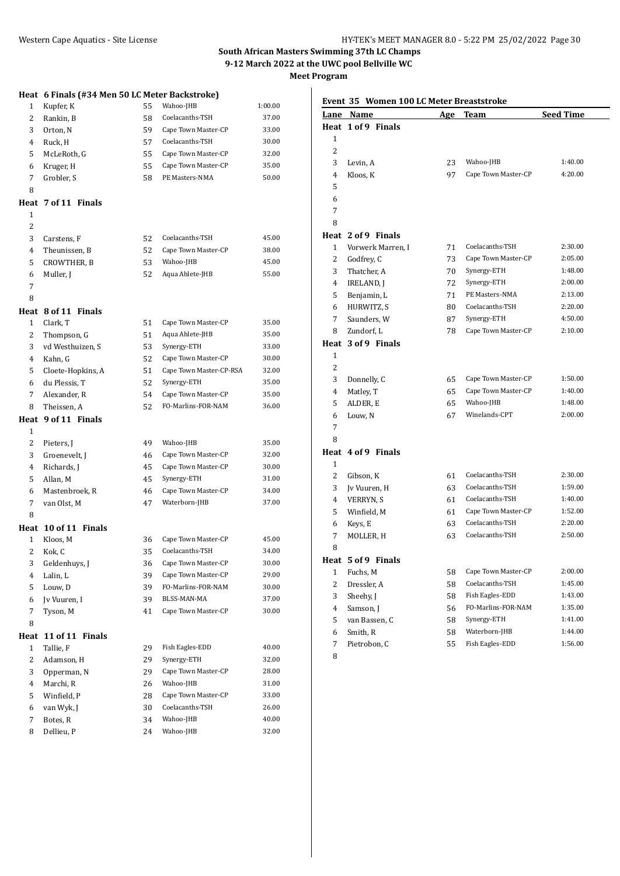**Meet Program**

|              | Heat 6 Finals (#34 Men 50 LC Meter Backstroke) |    |                         |         |
|--------------|------------------------------------------------|----|-------------------------|---------|
| $\mathbf{1}$ | Kupfer, K                                      | 55 | Wahoo-JHB               | 1:00.00 |
| 2            | Rankin, B                                      | 58 | Coelacanths-TSH         | 37.00   |
| 3            | Orton, N                                       | 59 | Cape Town Master-CP     | 33.00   |
| 4            | Ruck, H                                        | 57 | Coelacanths-TSH         | 30.00   |
| 5            | McLeRoth, G                                    | 55 | Cape Town Master-CP     | 32.00   |
| 6            | Kruger, H                                      | 55 | Cape Town Master-CP     | 35.00   |
| 7            | Grobler, S                                     | 58 | PE Masters-NMA          | 50.00   |
| 8            |                                                |    |                         |         |
|              | Heat 7 of 11 Finals                            |    |                         |         |
| 1            |                                                |    |                         |         |
| 2            |                                                |    |                         |         |
| 3            | Carstens, F                                    | 52 | Coelacanths-TSH         | 45.00   |
| 4            | Theunissen, B                                  | 52 | Cape Town Master-CP     | 38.00   |
| 5            | CROWTHER, B                                    | 53 | Wahoo-JHB               | 45.00   |
| 6            | Muller, J                                      | 52 | Aqua Ahlete-JHB         | 55.00   |
| 7            |                                                |    |                         |         |
| 8            |                                                |    |                         |         |
| Heat         | 8 of 11 Finals                                 |    |                         |         |
| 1            | Clark, T                                       | 51 | Cape Town Master-CP     | 35.00   |
| 2            | Thompson, G                                    | 51 | Aqua Ahlete-JHB         | 35.00   |
| 3            | vd Westhuizen, S                               | 53 | Synergy-ETH             | 33.00   |
| 4            | Kahn, G                                        | 52 | Cape Town Master-CP     | 30.00   |
| 5            | Cloete-Hopkins, A                              | 51 | Cape Town Master-CP-RSA | 32.00   |
| 6            | du Plessis, T                                  | 52 | Synergy-ETH             | 35.00   |
| 7            | Alexander, R                                   | 54 | Cape Town Master-CP     | 35.00   |
| 8            | Theissen, A                                    | 52 | FO-Marlins-FOR-NAM      | 36.00   |
|              | 9 of 11 Finals                                 |    |                         |         |
| Heat         |                                                |    |                         |         |
| $\mathbf{1}$ |                                                |    |                         |         |
| 2            | Pieters, J                                     | 49 | Wahoo-JHB               | 35.00   |
| 3            | Groenevelt, J                                  | 46 | Cape Town Master-CP     | 32.00   |
| 4            | Richards, J                                    | 45 | Cape Town Master-CP     | 30.00   |
| 5            | Allan, M                                       | 45 | Synergy-ETH             | 31.00   |
| 6            | Mastenbroek, R                                 | 46 | Cape Town Master-CP     | 34.00   |
| 7            | van Olst, M                                    | 47 | Waterborn-JHB           | 37.00   |
| 8            |                                                |    |                         |         |
| Heat         | 10 of 11 Finals                                |    |                         |         |
| 1            | Kloos, M                                       | 36 | Cape Town Master-CP     | 45.00   |
| 2            | Kok, C                                         | 35 | Coelacanths-TSH         | 34.00   |
| 3            | Geldenhuys, J                                  | 36 | Cape Town Master-CP     | 30.00   |
| 4            | Lalin, L                                       | 39 | Cape Town Master-CP     | 29.00   |
| 5            | Louw, D                                        | 39 | FO-Marlins-FOR-NAM      | 30.00   |
| 6            | Jv Vuuren, I                                   | 39 | BLSS-MAN-MA             | 37.00   |
| 7            | Tyson, M                                       | 41 | Cape Town Master-CP     | 30.00   |
| 8            |                                                |    |                         |         |
| Heat         | 11 of 11 Finals                                |    |                         |         |
| 1            | Tallie, F                                      | 29 | Fish Eagles-EDD         | 40.00   |
| 2            | Adamson, H                                     | 29 | Synergy-ETH             | 32.00   |
| 3            | Opperman, N                                    | 29 | Cape Town Master-CP     | 28.00   |
| 4            | Marchi, R                                      | 26 | Wahoo-JHB               | 31.00   |
| 5            | Winfield, P                                    | 28 | Cape Town Master-CP     | 33.00   |
| 6            | van Wyk, J                                     | 30 | Coelacanths-TSH         | 26.00   |
| 7            | Botes, R                                       | 34 | Wahoo-JHB               | 40.00   |

| Event 35 Women 100 LC Meter Breaststroke |                    |     |                     |                  |
|------------------------------------------|--------------------|-----|---------------------|------------------|
|                                          | Lane Name          | Age | Team                | <b>Seed Time</b> |
|                                          | Heat 1 of 9 Finals |     |                     |                  |
| $\mathbf{1}$                             |                    |     |                     |                  |
| 2                                        |                    |     |                     |                  |
| 3                                        | Levin, A           | 23  | Wahoo-JHB           | 1:40.00          |
| 4                                        | Kloos, K           | 97  | Cape Town Master-CP | 4:20.00          |
| 5                                        |                    |     |                     |                  |
| 6                                        |                    |     |                     |                  |
| 7                                        |                    |     |                     |                  |
| 8                                        |                    |     |                     |                  |
|                                          | Heat 2 of 9 Finals |     |                     |                  |
| $\mathbf{1}$                             | Vorwerk Marren, I  | 71  | Coelacanths-TSH     | 2:30.00          |
| 2                                        | Godfrey, C         | 73  | Cape Town Master-CP | 2:05.00          |
| 3                                        | Thatcher, A        | 70  | Synergy-ETH         | 1:48.00          |
| 4                                        | IRELAND, J         | 72  | Synergy-ETH         | 2:00.00          |
| 5                                        | Benjamin, L        | 71  | PE Masters-NMA      | 2:13.00          |
| 6                                        | HURWITZ, S         | 80  | Coelacanths-TSH     | 2:20.00          |
| 7                                        | Saunders, W        | 87  | Synergy-ETH         | 4:50.00          |
| 8                                        | Zundorf, L         | 78  | Cape Town Master-CP | 2:10.00          |
|                                          | Heat 3 of 9 Finals |     |                     |                  |
| 1                                        |                    |     |                     |                  |
| 2                                        |                    |     |                     |                  |
| 3                                        | Donnelly, C        | 65  | Cape Town Master-CP | 1:50.00          |
| 4                                        | Matley, T          | 65  | Cape Town Master-CP | 1:40.00          |
| 5                                        | ALDER, E           | 65  | Wahoo-JHB           | 1:48.00          |
| 6                                        | Louw, N            | 67  | Winelands-CPT       | 2:00.00          |
| 7                                        |                    |     |                     |                  |
| 8                                        |                    |     |                     |                  |
|                                          | Heat 4 of 9 Finals |     |                     |                  |
| $\mathbf{1}$                             |                    |     |                     |                  |
| 2                                        | Gibson, K          | 61  | Coelacanths-TSH     | 2:30.00          |
| 3                                        | Jv Vuuren, H       | 63  | Coelacanths-TSH     | 1:59.00          |
| 4                                        | <b>VERRYN, S</b>   | 61  | Coelacanths-TSH     | 1:40.00          |
| 5                                        | Winfield, M        | 61  | Cape Town Master-CP | 1:52.00          |
| 6                                        | Keys, E            | 63  | Coelacanths-TSH     | 2:20.00          |
| 7                                        | MOLLER, H          | 63  | Coelacanths-TSH     | 2:50.00          |
| 8                                        |                    |     |                     |                  |
|                                          | Heat 5 of 9 Finals |     |                     |                  |
| $\mathbf{1}$                             | Fuchs, M           | 58  | Cape Town Master-CP | 2:00.00          |
| 2                                        | Dressler, A        | 58  | Coelacanths-TSH     | 1:45.00          |
| 3                                        | Sheehy, J          | 58  | Fish Eagles-EDD     | 1:43.00          |
| 4                                        | Samson, J          | 56  | FO-Marlins-FOR-NAM  | 1:35.00          |
| 5                                        | van Bassen, C      | 58  | Synergy-ETH         | 1:41.00          |
| 6                                        | Smith, R           | 58  | Waterborn-JHB       | 1:44.00          |
| 7                                        | Pietrobon, C       | 55  | Fish Eagles-EDD     | 1:56.00          |
|                                          |                    |     |                     |                  |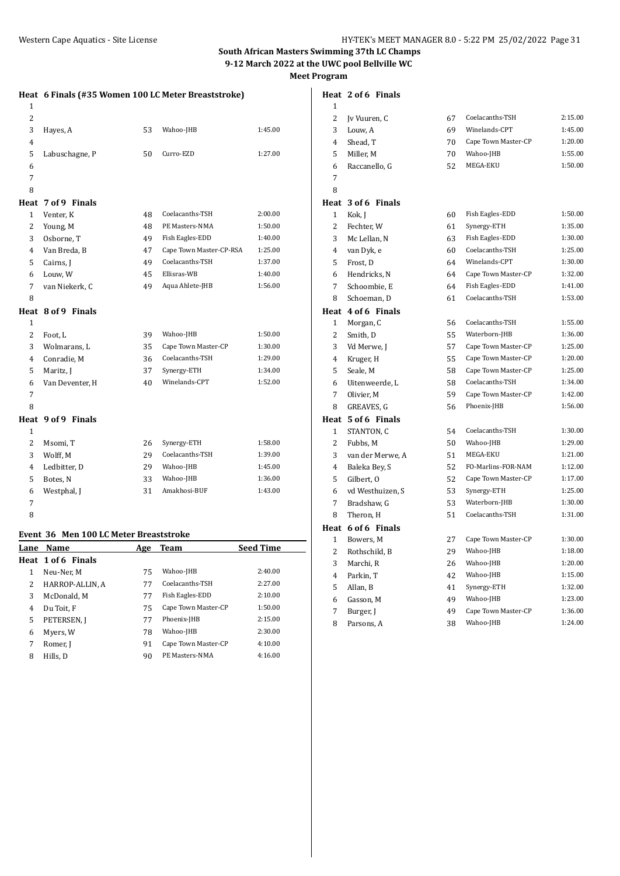|                | Heat 6 Finals (#35 Women 100 LC Meter Breaststroke) |    |                         |         |
|----------------|-----------------------------------------------------|----|-------------------------|---------|
| $\mathbf{1}$   |                                                     |    |                         |         |
| $\overline{c}$ |                                                     |    |                         |         |
| 3              | Hayes, A                                            | 53 | Wahoo-JHB               | 1:45.00 |
| 4              |                                                     |    |                         |         |
| 5              | Labuschagne, P                                      | 50 | Curro-EZD               | 1:27.00 |
| 6              |                                                     |    |                         |         |
| 7              |                                                     |    |                         |         |
| 8              |                                                     |    |                         |         |
| Heat           | 7 of 9 Finals                                       |    |                         |         |
| 1              | Venter, K                                           | 48 | Coelacanths-TSH         | 2:00.00 |
| $\overline{2}$ | Young, M                                            | 48 | PE Masters-NMA          | 1:50.00 |
| 3              | Osborne, T                                          | 49 | Fish Eagles-EDD         | 1:40.00 |
| 4              | Van Breda, B                                        | 47 | Cape Town Master-CP-RSA | 1:25.00 |
| 5              | Cairns, J                                           | 49 | Coelacanths-TSH         | 1:37.00 |
| 6              | Louw, W                                             | 45 | Ellisras-WB             | 1:40.00 |
| 7              | van Niekerk, C                                      | 49 | Aqua Ahlete-JHB         | 1:56.00 |
| 8              |                                                     |    |                         |         |
|                | Heat 8 of 9 Finals                                  |    |                         |         |
| 1              |                                                     |    |                         |         |
| 2              | Foot, L                                             | 39 | Wahoo-JHB               | 1:50.00 |
| 3              | Wolmarans, L                                        | 35 | Cape Town Master-CP     | 1:30.00 |
| 4              | Conradie, M                                         | 36 | Coelacanths-TSH         | 1:29.00 |
| 5              | Maritz, J                                           | 37 | Synergy-ETH             | 1:34.00 |
| 6              | Van Deventer, H                                     | 40 | Winelands-CPT           | 1:52.00 |
| 7              |                                                     |    |                         |         |
| 8              |                                                     |    |                         |         |
|                | Heat 9 of 9 Finals                                  |    |                         |         |
| $\mathbf{1}$   |                                                     |    |                         |         |
| $\overline{2}$ | Msomi, T                                            | 26 | Synergy-ETH             | 1:58.00 |
| 3              | Wolff, M                                            | 29 | Coelacanths-TSH         | 1:39.00 |
| 4              | Ledbitter, D                                        | 29 | Wahoo-JHB               | 1:45.00 |
| 5              | Botes, N                                            | 33 | Wahoo-JHB               | 1:36.00 |
| 6              | Westphal, J                                         | 31 | Amakhosi-BUF            | 1:43.00 |
| 7              |                                                     |    |                         |         |
| 8              |                                                     |    |                         |         |
|                |                                                     |    |                         |         |

# **Event 36 Men 100 LC Meter Breaststroke**

| Lane | Name               | Age | <b>Team</b>         | <b>Seed Time</b> |
|------|--------------------|-----|---------------------|------------------|
|      | Heat 1 of 6 Finals |     |                     |                  |
| 1    | Neu-Ner, M         | 75  | Wahoo-JHB           | 2:40.00          |
| 2    | HARROP-ALLIN, A    | 77  | Coelacanths-TSH     | 2:27.00          |
| 3    | McDonald, M        | 77  | Fish Eagles-EDD     | 2:10.00          |
| 4    | Du Toit, F         | 75  | Cape Town Master-CP | 1:50.00          |
| 5    | PETERSEN, J        | 77  | Phoenix-JHB         | 2:15.00          |
| 6    | Myers, W           | 78  | Wahoo-JHB           | 2:30.00          |
| 7    | Romer, J           | 91  | Cape Town Master-CP | 4:10.00          |
| 8    | Hills, D           | 90  | PE Masters-NMA      | 4:16.00          |
|      |                    |     |                     |                  |

|                | Heat 2 of 6 Finals |    |                     |         |
|----------------|--------------------|----|---------------------|---------|
| 1              |                    |    |                     |         |
| $\overline{c}$ | Jv Vuuren, C       | 67 | Coelacanths-TSH     | 2:15.00 |
| 3              | Louw, A            | 69 | Winelands-CPT       | 1:45.00 |
| 4              | Shead, T           | 70 | Cape Town Master-CP | 1:20.00 |
| 5              | Miller, M          | 70 | Wahoo-JHB           | 1:55.00 |
| 6              | Raccanello, G      | 52 | MEGA-EKU            | 1:50.00 |
| 7              |                    |    |                     |         |
| 8              |                    |    |                     |         |
|                | Heat 3 of 6 Finals |    |                     |         |
| 1              | Kok, J             | 60 | Fish Eagles-EDD     | 1:50.00 |
| 2              | Fechter, W         | 61 | Synergy-ETH         | 1:35.00 |
| 3              | Mc Lellan, N       | 63 | Fish Eagles-EDD     | 1:30.00 |
| 4              | van Dyk, e         | 60 | Coelacanths-TSH     | 1:25.00 |
| 5              | Frost, D           | 64 | Winelands-CPT       | 1:30.00 |
| 6              | Hendricks, N       | 64 | Cape Town Master-CP | 1:32.00 |
| 7              | Schoombie, E       | 64 | Fish Eagles-EDD     | 1:41.00 |
| 8              | Schoeman, D        | 61 | Coelacanths-TSH     | 1:53.00 |
|                | Heat 4 of 6 Finals |    |                     |         |
| $\mathbf{1}$   | Morgan, C          | 56 | Coelacanths-TSH     | 1:55.00 |
| 2              | Smith, D           | 55 | Waterborn-JHB       | 1:36.00 |
| 3              | Vd Merwe, J        | 57 | Cape Town Master-CP | 1:25.00 |
| $\overline{4}$ | Kruger, H          | 55 | Cape Town Master-CP | 1:20.00 |
| 5              | Seale, M           | 58 | Cape Town Master-CP | 1:25.00 |
| 6              | Uitenweerde, L     | 58 | Coelacanths-TSH     | 1:34.00 |
| 7              | Olivier, M         | 59 | Cape Town Master-CP | 1:42.00 |
| 8              | GREAVES, G         | 56 | Phoenix-JHB         | 1:56.00 |
|                | Heat 5 of 6 Finals |    |                     |         |
| $\mathbf{1}$   | STANTON, C         | 54 | Coelacanths-TSH     | 1:30.00 |
| 2              | Fubbs, M           | 50 | Wahoo-JHB           | 1:29.00 |
| 3              | van der Merwe, A   | 51 | MEGA-EKU            | 1:21.00 |
| $\overline{4}$ | Baleka Bey, S      | 52 | FO-Marlins-FOR-NAM  | 1:12.00 |
| 5              | Gilbert, O         | 52 | Cape Town Master-CP | 1:17.00 |
| 6              | vd Westhuizen, S   | 53 | Synergy-ETH         | 1:25.00 |
| 7              | Bradshaw, G        | 53 | Waterborn-JHB       | 1:30.00 |
| 8              | Theron, H          | 51 | Coelacanths-TSH     | 1:31.00 |
|                | Heat 6 of 6 Finals |    |                     |         |
| $\mathbf{1}$   | Bowers, M          | 27 | Cape Town Master-CP | 1:30.00 |
| 2              | Rothschild, B      | 29 | Wahoo-JHB           | 1:18.00 |
| 3              | Marchi, R          | 26 | Wahoo-JHB           | 1:20.00 |
| 4              | Parkin, T          | 42 | Wahoo-JHB           | 1:15.00 |
| 5              | Allan, B           | 41 | Synergy-ETH         | 1:32.00 |
| 6              | Gasson, M          | 49 | Wahoo-JHB           | 1:23.00 |
| 7              | Burger, J          | 49 | Cape Town Master-CP | 1:36.00 |

Parsons, A 38 Wahoo-JHB 1:24.00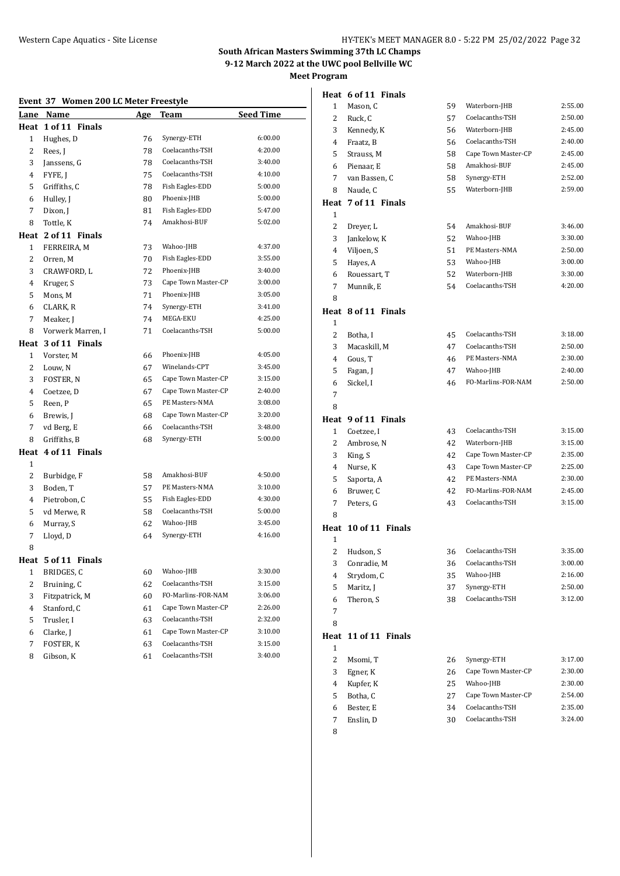#### **Event 37 Women 200 LC Meter Freestyle**

|                | Lane Name           | <b>Age</b> | Team                | <b>Seed Time</b> |
|----------------|---------------------|------------|---------------------|------------------|
|                | Heat 1 of 11 Finals |            |                     |                  |
| 1              | Hughes, D           | 76         | Synergy-ETH         | 6:00.00          |
| 2              | Rees, J             | 78         | Coelacanths-TSH     | 4:20.00          |
| 3              | Janssens, G         | 78         | Coelacanths-TSH     | 3:40.00          |
| 4              | FYFE, J             | 75         | Coelacanths-TSH     | 4:10.00          |
| 5              | Griffiths, C        | 78         | Fish Eagles-EDD     | 5:00.00          |
| 6              | Hulley, J           | 80         | Phoenix-JHB         | 5:00.00          |
| 7              | Dixon, J            | 81         | Fish Eagles-EDD     | 5:47.00          |
| 8              | Tottle, K           | 74         | Amakhosi-BUF        | 5:02.00          |
| Heat           | 2 of 11 Finals      |            |                     |                  |
| $\mathbf{1}$   | FERREIRA, M         | 73         | Wahoo-JHB           | 4:37.00          |
| $\overline{c}$ | Orren, M            | 70         | Fish Eagles-EDD     | 3:55.00          |
| 3              | CRAWFORD, L         | 72         | Phoenix-JHB         | 3:40.00          |
| 4              | Kruger, S           | 73         | Cape Town Master-CP | 3:00.00          |
| 5              | Mons, M             | 71         | Phoenix-JHB         | 3:05.00          |
| 6              | CLARK, R            | 74         | Synergy-ETH         | 3:41.00          |
| 7              | Meaker, J           | 74         | MEGA-EKU            | 4:25.00          |
| 8              | Vorwerk Marren, I   | 71         | Coelacanths-TSH     | 5:00.00          |
|                | Heat 3 of 11 Finals |            |                     |                  |
| 1              | Vorster, M          | 66         | Phoenix-JHB         | 4:05.00          |
| 2              | Louw, N             | 67         | Winelands-CPT       | 3:45.00          |
| 3              | <b>FOSTER, N</b>    | 65         | Cape Town Master-CP | 3:15.00          |
| 4              | Coetzee, D          | 67         | Cape Town Master-CP | 2:40.00          |
| 5              | Reen, P             | 65         | PE Masters-NMA      | 3:08.00          |
| 6              | Brewis, J           | 68         | Cape Town Master-CP | 3:20.00          |
| 7              | vd Berg, E          | 66         | Coelacanths-TSH     | 3:48.00          |
| 8              | Griffiths, B        | 68         | Synergy-ETH         | 5:00.00          |
|                | Heat 4 of 11 Finals |            |                     |                  |
| $\mathbf{1}$   |                     |            |                     |                  |
| 2              | Burbidge, F         | 58         | Amakhosi-BUF        | 4:50.00          |
| 3              | Boden, T            | 57         | PE Masters-NMA      | 3:10.00          |
| 4              | Pietrobon, C        | 55         | Fish Eagles-EDD     | 4:30.00          |
| 5              | vd Merwe, R         | 58         | Coelacanths-TSH     | 5:00.00          |
| 6              | Murray, S           | 62         | Wahoo-JHB           | 3:45.00          |
| 7              | Lloyd, D            | 64         | Synergy-ETH         | 4:16.00          |
| 8              |                     |            |                     |                  |
|                | Heat 5 of 11 Finals |            |                     |                  |
| $\mathbf{1}$   | BRIDGES, C          | 60         | Wahoo-JHB           | 3:30.00          |
| 2              | Bruining, C         | 62         | Coelacanths-TSH     | 3:15.00          |
| 3              | Fitzpatrick, M      | 60         | FO-Marlins-FOR-NAM  | 3:06.00          |
| $\overline{4}$ | Stanford, C         | 61         | Cape Town Master-CP | 2:26.00          |
| 5              | Trusler, I          | 63         | Coelacanths-TSH     | 2:32.00          |
| 6              | Clarke, J           | 61         | Cape Town Master-CP | 3:10.00          |
| 7              | FOSTER, K           | 63         | Coelacanths-TSH     | 3:15.00          |
| 8              | Gibson, K           | 61         | Coelacanths-TSH     | 3:40.00          |
|                |                     |            |                     |                  |

|                | Heat 6 of 11 Finals  |    |                     |         |
|----------------|----------------------|----|---------------------|---------|
| 1              | Mason, C             | 59 | Waterborn-JHB       | 2:55.00 |
| 2              | Ruck, C              | 57 | Coelacanths-TSH     | 2:50.00 |
| 3              | Kennedy, K           | 56 | Waterborn-JHB       | 2:45.00 |
| 4              | Fraatz, B            | 56 | Coelacanths-TSH     | 2:40.00 |
| 5              | Strauss, M           | 58 | Cape Town Master-CP | 2:45.00 |
| 6              | Pienaar, E           | 58 | Amakhosi-BUF        | 2:45.00 |
| 7              | van Bassen, C        | 58 | Synergy-ETH         | 2:52.00 |
| 8              | Naude, C             | 55 | Waterborn-JHB       | 2:59.00 |
| Heat           | 7 of 11 Finals       |    |                     |         |
| $\mathbf{1}$   |                      |    |                     |         |
| $\overline{2}$ | Dreyer, L            | 54 | Amakhosi-BUF        | 3:46.00 |
| 3              | Jankelow, K          | 52 | Wahoo-JHB           | 3:30.00 |
| 4              | Viljoen, S           | 51 | PE Masters-NMA      | 2:50.00 |
| 5              | Hayes, A             | 53 | Wahoo-JHB           | 3:00.00 |
| 6              | Rouessart, T         | 52 | Waterborn-JHB       | 3:30.00 |
| 7              | Munnik, E            | 54 | Coelacanths-TSH     | 4:20.00 |
| 8              |                      |    |                     |         |
| 1              | Heat 8 of 11 Finals  |    |                     |         |
| $\overline{2}$ | Botha, I             | 45 | Coelacanths-TSH     | 3:18.00 |
| 3              | Macaskill, M         | 47 | Coelacanths-TSH     | 2:50.00 |
| 4              | Gous, T              | 46 | PE Masters-NMA      | 2:30.00 |
| 5              | Fagan, J             | 47 | Wahoo-JHB           | 2:40.00 |
| 6              | Sickel, I            | 46 | FO-Marlins-FOR-NAM  | 2:50.00 |
| 7              |                      |    |                     |         |
| 8              |                      |    |                     |         |
|                |                      |    |                     |         |
| Heat           | 9 of 11 Finals       |    |                     |         |
| 1              | Coetzee, I           | 43 | Coelacanths-TSH     | 3:15.00 |
| 2              | Ambrose, N           | 42 | Waterborn-JHB       | 3:15.00 |
| 3              | King, S              | 42 | Cape Town Master-CP | 2:35.00 |
| 4              | Nurse, K             | 43 | Cape Town Master-CP | 2:25.00 |
| 5              | Saporta, A           | 42 | PE Masters-NMA      | 2:30.00 |
| 6              | Bruwer, C            | 42 | FO-Marlins-FOR-NAM  | 2:45.00 |
| 7              | Peters, G            | 43 | Coelacanths-TSH     | 3:15.00 |
| 8              |                      |    |                     |         |
|                | Heat 10 of 11 Finals |    |                     |         |
| 1              |                      |    |                     |         |
| 2              | Hudson, S            | 36 | Coelacanths-TSH     | 3:35.00 |
| 3              | Conradie, M          | 36 | Coelacanths-TSH     | 3:00.00 |
| 4              | Strydom, C           | 35 | Wahoo-JHB           | 2:16.00 |
| 5              | Maritz, J            | 37 | Synergy-ETH         | 2:50.00 |
| 6              | Theron, S            | 38 | Coelacanths-TSH     | 3:12.00 |
| 7              |                      |    |                     |         |
| 8              |                      |    |                     |         |
| Heat<br>1      | 11 of 11 Finals      |    |                     |         |
| 2              | Msomi, T             | 26 | Synergy-ETH         | 3:17.00 |
| 3              | Egner, K             | 26 | Cape Town Master-CP | 2:30.00 |
| 4              | Kupfer, K            | 25 | Wahoo-JHB           | 2:30.00 |
| 5              | Botha, C             | 27 | Cape Town Master-CP | 2:54.00 |
| 6              | Bester, E            | 34 | Coelacanths-TSH     | 2:35.00 |
| 7              | Enslin, D            | 30 | Coelacanths-TSH     | 3:24.00 |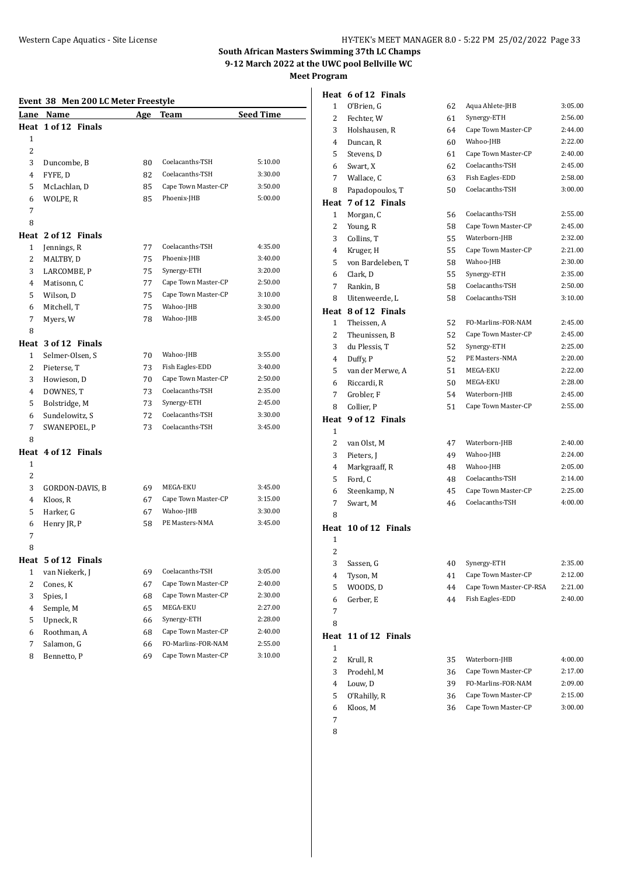#### **Event 38 Men 200 LC Meter Freestyle**

| 1 of 12 Finals<br>Heat<br>1<br>2<br>3<br>Coelacanths-TSH<br>Duncombe, B<br>80<br>5:10.00<br>Coelacanths-TSH<br>4<br>FYFE, D<br>82<br>3:30.00<br>Cape Town Master-CP<br>3:50.00<br>5<br>McLachlan, D<br>85<br>Phoenix-JHB<br>6<br>WOLPE, R<br>85<br>5:00.00<br>7<br>8<br>2 of 12 Finals<br>Heat<br>Coelacanths-TSH<br>$\mathbf{1}$<br>77<br>Jennings, R<br>4:35.00<br>Phoenix-JHB<br>3:40.00<br>2<br>MALTBY, D<br>75<br>Synergy-ETH<br>3:20.00<br>3<br>LARCOMBE, P<br>75<br>Cape Town Master-CP<br>77<br>2:50.00<br>4<br>Matisonn, C<br>Cape Town Master-CP<br>3:10.00<br>5<br>Wilson, D<br>75<br>Wahoo-JHB<br>3:30.00<br>Mitchell, T<br>75<br>6<br>7<br>Myers, W<br>78<br>Wahoo-JHB<br>3:45.00<br>8<br>Heat 3 of 12 Finals<br>Wahoo-JHB<br>1<br>Selmer-Olsen, S<br>3:55.00<br>70<br>2<br>Pieterse, T<br>Fish Eagles-EDD<br>73<br>3:40.00<br>Cape Town Master-CP<br>2:50.00<br>3<br>Howieson, D<br>70<br>Coelacanths-TSH<br>2:35.00<br>4<br>DOWNES, T<br>73<br>5<br>Bolstridge, M<br>Synergy-ETH<br>2:45.00<br>73<br>Coelacanths-TSH<br>3:30.00<br>Sundelowitz, S<br>72<br>6<br>Coelacanths-TSH<br>3:45.00<br>7<br>SWANEPOEL, P<br>73<br>8<br>4 of 12 Finals<br>Heat<br>1<br>2<br>3<br>MEGA-EKU<br>GORDON-DAVIS, B<br>69<br>3:45.00<br>Cape Town Master-CP<br>3:15.00<br>4<br>Kloos, R<br>67<br>Wahoo-JHB<br>3:30.00<br>5<br>Harker, G<br>67<br>PE Masters-NMA<br>6<br>Henry JR, P<br>58<br>3:45.00<br>7<br>8<br>Heat 5 of 12 Finals<br>69<br>3:05.00<br>1 van Niekerk, J<br>Coelacanths-TSH<br>Cape Town Master-CP<br>2<br>2:40.00<br>Cones, K<br>67<br>Cape Town Master-CP<br>3<br>Spies, I<br>2:30.00<br>68<br>MEGA-EKU<br>Semple, M<br>65<br>2:27.00<br>4<br>Upneck, R<br>Synergy-ETH<br>2:28.00<br>5<br>66<br>Cape Town Master-CP<br>Roothman, A<br>2:40.00<br>6<br>68<br>FO-Marlins-FOR-NAM<br>Salamon, G<br>2:55.00<br>7<br>66 |   | Lane Name   | <u>Age</u> | Team                | <b>Seed Time</b> |
|--------------------------------------------------------------------------------------------------------------------------------------------------------------------------------------------------------------------------------------------------------------------------------------------------------------------------------------------------------------------------------------------------------------------------------------------------------------------------------------------------------------------------------------------------------------------------------------------------------------------------------------------------------------------------------------------------------------------------------------------------------------------------------------------------------------------------------------------------------------------------------------------------------------------------------------------------------------------------------------------------------------------------------------------------------------------------------------------------------------------------------------------------------------------------------------------------------------------------------------------------------------------------------------------------------------------------------------------------------------------------------------------------------------------------------------------------------------------------------------------------------------------------------------------------------------------------------------------------------------------------------------------------------------------------------------------------------------------------------------------------------------------------------------------------------------------------------------|---|-------------|------------|---------------------|------------------|
|                                                                                                                                                                                                                                                                                                                                                                                                                                                                                                                                                                                                                                                                                                                                                                                                                                                                                                                                                                                                                                                                                                                                                                                                                                                                                                                                                                                                                                                                                                                                                                                                                                                                                                                                                                                                                                      |   |             |            |                     |                  |
|                                                                                                                                                                                                                                                                                                                                                                                                                                                                                                                                                                                                                                                                                                                                                                                                                                                                                                                                                                                                                                                                                                                                                                                                                                                                                                                                                                                                                                                                                                                                                                                                                                                                                                                                                                                                                                      |   |             |            |                     |                  |
|                                                                                                                                                                                                                                                                                                                                                                                                                                                                                                                                                                                                                                                                                                                                                                                                                                                                                                                                                                                                                                                                                                                                                                                                                                                                                                                                                                                                                                                                                                                                                                                                                                                                                                                                                                                                                                      |   |             |            |                     |                  |
|                                                                                                                                                                                                                                                                                                                                                                                                                                                                                                                                                                                                                                                                                                                                                                                                                                                                                                                                                                                                                                                                                                                                                                                                                                                                                                                                                                                                                                                                                                                                                                                                                                                                                                                                                                                                                                      |   |             |            |                     |                  |
|                                                                                                                                                                                                                                                                                                                                                                                                                                                                                                                                                                                                                                                                                                                                                                                                                                                                                                                                                                                                                                                                                                                                                                                                                                                                                                                                                                                                                                                                                                                                                                                                                                                                                                                                                                                                                                      |   |             |            |                     |                  |
|                                                                                                                                                                                                                                                                                                                                                                                                                                                                                                                                                                                                                                                                                                                                                                                                                                                                                                                                                                                                                                                                                                                                                                                                                                                                                                                                                                                                                                                                                                                                                                                                                                                                                                                                                                                                                                      |   |             |            |                     |                  |
|                                                                                                                                                                                                                                                                                                                                                                                                                                                                                                                                                                                                                                                                                                                                                                                                                                                                                                                                                                                                                                                                                                                                                                                                                                                                                                                                                                                                                                                                                                                                                                                                                                                                                                                                                                                                                                      |   |             |            |                     |                  |
|                                                                                                                                                                                                                                                                                                                                                                                                                                                                                                                                                                                                                                                                                                                                                                                                                                                                                                                                                                                                                                                                                                                                                                                                                                                                                                                                                                                                                                                                                                                                                                                                                                                                                                                                                                                                                                      |   |             |            |                     |                  |
|                                                                                                                                                                                                                                                                                                                                                                                                                                                                                                                                                                                                                                                                                                                                                                                                                                                                                                                                                                                                                                                                                                                                                                                                                                                                                                                                                                                                                                                                                                                                                                                                                                                                                                                                                                                                                                      |   |             |            |                     |                  |
|                                                                                                                                                                                                                                                                                                                                                                                                                                                                                                                                                                                                                                                                                                                                                                                                                                                                                                                                                                                                                                                                                                                                                                                                                                                                                                                                                                                                                                                                                                                                                                                                                                                                                                                                                                                                                                      |   |             |            |                     |                  |
|                                                                                                                                                                                                                                                                                                                                                                                                                                                                                                                                                                                                                                                                                                                                                                                                                                                                                                                                                                                                                                                                                                                                                                                                                                                                                                                                                                                                                                                                                                                                                                                                                                                                                                                                                                                                                                      |   |             |            |                     |                  |
|                                                                                                                                                                                                                                                                                                                                                                                                                                                                                                                                                                                                                                                                                                                                                                                                                                                                                                                                                                                                                                                                                                                                                                                                                                                                                                                                                                                                                                                                                                                                                                                                                                                                                                                                                                                                                                      |   |             |            |                     |                  |
|                                                                                                                                                                                                                                                                                                                                                                                                                                                                                                                                                                                                                                                                                                                                                                                                                                                                                                                                                                                                                                                                                                                                                                                                                                                                                                                                                                                                                                                                                                                                                                                                                                                                                                                                                                                                                                      |   |             |            |                     |                  |
|                                                                                                                                                                                                                                                                                                                                                                                                                                                                                                                                                                                                                                                                                                                                                                                                                                                                                                                                                                                                                                                                                                                                                                                                                                                                                                                                                                                                                                                                                                                                                                                                                                                                                                                                                                                                                                      |   |             |            |                     |                  |
|                                                                                                                                                                                                                                                                                                                                                                                                                                                                                                                                                                                                                                                                                                                                                                                                                                                                                                                                                                                                                                                                                                                                                                                                                                                                                                                                                                                                                                                                                                                                                                                                                                                                                                                                                                                                                                      |   |             |            |                     |                  |
|                                                                                                                                                                                                                                                                                                                                                                                                                                                                                                                                                                                                                                                                                                                                                                                                                                                                                                                                                                                                                                                                                                                                                                                                                                                                                                                                                                                                                                                                                                                                                                                                                                                                                                                                                                                                                                      |   |             |            |                     |                  |
|                                                                                                                                                                                                                                                                                                                                                                                                                                                                                                                                                                                                                                                                                                                                                                                                                                                                                                                                                                                                                                                                                                                                                                                                                                                                                                                                                                                                                                                                                                                                                                                                                                                                                                                                                                                                                                      |   |             |            |                     |                  |
|                                                                                                                                                                                                                                                                                                                                                                                                                                                                                                                                                                                                                                                                                                                                                                                                                                                                                                                                                                                                                                                                                                                                                                                                                                                                                                                                                                                                                                                                                                                                                                                                                                                                                                                                                                                                                                      |   |             |            |                     |                  |
|                                                                                                                                                                                                                                                                                                                                                                                                                                                                                                                                                                                                                                                                                                                                                                                                                                                                                                                                                                                                                                                                                                                                                                                                                                                                                                                                                                                                                                                                                                                                                                                                                                                                                                                                                                                                                                      |   |             |            |                     |                  |
|                                                                                                                                                                                                                                                                                                                                                                                                                                                                                                                                                                                                                                                                                                                                                                                                                                                                                                                                                                                                                                                                                                                                                                                                                                                                                                                                                                                                                                                                                                                                                                                                                                                                                                                                                                                                                                      |   |             |            |                     |                  |
|                                                                                                                                                                                                                                                                                                                                                                                                                                                                                                                                                                                                                                                                                                                                                                                                                                                                                                                                                                                                                                                                                                                                                                                                                                                                                                                                                                                                                                                                                                                                                                                                                                                                                                                                                                                                                                      |   |             |            |                     |                  |
|                                                                                                                                                                                                                                                                                                                                                                                                                                                                                                                                                                                                                                                                                                                                                                                                                                                                                                                                                                                                                                                                                                                                                                                                                                                                                                                                                                                                                                                                                                                                                                                                                                                                                                                                                                                                                                      |   |             |            |                     |                  |
|                                                                                                                                                                                                                                                                                                                                                                                                                                                                                                                                                                                                                                                                                                                                                                                                                                                                                                                                                                                                                                                                                                                                                                                                                                                                                                                                                                                                                                                                                                                                                                                                                                                                                                                                                                                                                                      |   |             |            |                     |                  |
|                                                                                                                                                                                                                                                                                                                                                                                                                                                                                                                                                                                                                                                                                                                                                                                                                                                                                                                                                                                                                                                                                                                                                                                                                                                                                                                                                                                                                                                                                                                                                                                                                                                                                                                                                                                                                                      |   |             |            |                     |                  |
|                                                                                                                                                                                                                                                                                                                                                                                                                                                                                                                                                                                                                                                                                                                                                                                                                                                                                                                                                                                                                                                                                                                                                                                                                                                                                                                                                                                                                                                                                                                                                                                                                                                                                                                                                                                                                                      |   |             |            |                     |                  |
|                                                                                                                                                                                                                                                                                                                                                                                                                                                                                                                                                                                                                                                                                                                                                                                                                                                                                                                                                                                                                                                                                                                                                                                                                                                                                                                                                                                                                                                                                                                                                                                                                                                                                                                                                                                                                                      |   |             |            |                     |                  |
|                                                                                                                                                                                                                                                                                                                                                                                                                                                                                                                                                                                                                                                                                                                                                                                                                                                                                                                                                                                                                                                                                                                                                                                                                                                                                                                                                                                                                                                                                                                                                                                                                                                                                                                                                                                                                                      |   |             |            |                     |                  |
|                                                                                                                                                                                                                                                                                                                                                                                                                                                                                                                                                                                                                                                                                                                                                                                                                                                                                                                                                                                                                                                                                                                                                                                                                                                                                                                                                                                                                                                                                                                                                                                                                                                                                                                                                                                                                                      |   |             |            |                     |                  |
|                                                                                                                                                                                                                                                                                                                                                                                                                                                                                                                                                                                                                                                                                                                                                                                                                                                                                                                                                                                                                                                                                                                                                                                                                                                                                                                                                                                                                                                                                                                                                                                                                                                                                                                                                                                                                                      |   |             |            |                     |                  |
|                                                                                                                                                                                                                                                                                                                                                                                                                                                                                                                                                                                                                                                                                                                                                                                                                                                                                                                                                                                                                                                                                                                                                                                                                                                                                                                                                                                                                                                                                                                                                                                                                                                                                                                                                                                                                                      |   |             |            |                     |                  |
|                                                                                                                                                                                                                                                                                                                                                                                                                                                                                                                                                                                                                                                                                                                                                                                                                                                                                                                                                                                                                                                                                                                                                                                                                                                                                                                                                                                                                                                                                                                                                                                                                                                                                                                                                                                                                                      |   |             |            |                     |                  |
|                                                                                                                                                                                                                                                                                                                                                                                                                                                                                                                                                                                                                                                                                                                                                                                                                                                                                                                                                                                                                                                                                                                                                                                                                                                                                                                                                                                                                                                                                                                                                                                                                                                                                                                                                                                                                                      |   |             |            |                     |                  |
|                                                                                                                                                                                                                                                                                                                                                                                                                                                                                                                                                                                                                                                                                                                                                                                                                                                                                                                                                                                                                                                                                                                                                                                                                                                                                                                                                                                                                                                                                                                                                                                                                                                                                                                                                                                                                                      |   |             |            |                     |                  |
|                                                                                                                                                                                                                                                                                                                                                                                                                                                                                                                                                                                                                                                                                                                                                                                                                                                                                                                                                                                                                                                                                                                                                                                                                                                                                                                                                                                                                                                                                                                                                                                                                                                                                                                                                                                                                                      |   |             |            |                     |                  |
|                                                                                                                                                                                                                                                                                                                                                                                                                                                                                                                                                                                                                                                                                                                                                                                                                                                                                                                                                                                                                                                                                                                                                                                                                                                                                                                                                                                                                                                                                                                                                                                                                                                                                                                                                                                                                                      |   |             |            |                     |                  |
|                                                                                                                                                                                                                                                                                                                                                                                                                                                                                                                                                                                                                                                                                                                                                                                                                                                                                                                                                                                                                                                                                                                                                                                                                                                                                                                                                                                                                                                                                                                                                                                                                                                                                                                                                                                                                                      |   |             |            |                     |                  |
|                                                                                                                                                                                                                                                                                                                                                                                                                                                                                                                                                                                                                                                                                                                                                                                                                                                                                                                                                                                                                                                                                                                                                                                                                                                                                                                                                                                                                                                                                                                                                                                                                                                                                                                                                                                                                                      |   |             |            |                     |                  |
|                                                                                                                                                                                                                                                                                                                                                                                                                                                                                                                                                                                                                                                                                                                                                                                                                                                                                                                                                                                                                                                                                                                                                                                                                                                                                                                                                                                                                                                                                                                                                                                                                                                                                                                                                                                                                                      |   |             |            |                     |                  |
|                                                                                                                                                                                                                                                                                                                                                                                                                                                                                                                                                                                                                                                                                                                                                                                                                                                                                                                                                                                                                                                                                                                                                                                                                                                                                                                                                                                                                                                                                                                                                                                                                                                                                                                                                                                                                                      |   |             |            |                     |                  |
|                                                                                                                                                                                                                                                                                                                                                                                                                                                                                                                                                                                                                                                                                                                                                                                                                                                                                                                                                                                                                                                                                                                                                                                                                                                                                                                                                                                                                                                                                                                                                                                                                                                                                                                                                                                                                                      |   |             |            |                     |                  |
|                                                                                                                                                                                                                                                                                                                                                                                                                                                                                                                                                                                                                                                                                                                                                                                                                                                                                                                                                                                                                                                                                                                                                                                                                                                                                                                                                                                                                                                                                                                                                                                                                                                                                                                                                                                                                                      |   |             |            |                     |                  |
|                                                                                                                                                                                                                                                                                                                                                                                                                                                                                                                                                                                                                                                                                                                                                                                                                                                                                                                                                                                                                                                                                                                                                                                                                                                                                                                                                                                                                                                                                                                                                                                                                                                                                                                                                                                                                                      |   |             |            |                     |                  |
|                                                                                                                                                                                                                                                                                                                                                                                                                                                                                                                                                                                                                                                                                                                                                                                                                                                                                                                                                                                                                                                                                                                                                                                                                                                                                                                                                                                                                                                                                                                                                                                                                                                                                                                                                                                                                                      |   |             |            |                     |                  |
|                                                                                                                                                                                                                                                                                                                                                                                                                                                                                                                                                                                                                                                                                                                                                                                                                                                                                                                                                                                                                                                                                                                                                                                                                                                                                                                                                                                                                                                                                                                                                                                                                                                                                                                                                                                                                                      |   |             |            |                     |                  |
|                                                                                                                                                                                                                                                                                                                                                                                                                                                                                                                                                                                                                                                                                                                                                                                                                                                                                                                                                                                                                                                                                                                                                                                                                                                                                                                                                                                                                                                                                                                                                                                                                                                                                                                                                                                                                                      | 8 | Bennetto, P | 69         | Cape Town Master-CP | 3:10.00          |

|                         | Heat 6 of 12 Finals  |    |                         |         |
|-------------------------|----------------------|----|-------------------------|---------|
| $\mathbf{1}$            | O'Brien, G           | 62 | Aqua Ahlete-JHB         | 3:05.00 |
| 2                       | Fechter, W           | 61 | Synergy-ETH             | 2:56.00 |
| 3                       | Holshausen, R        | 64 | Cape Town Master-CP     | 2:44.00 |
| 4                       | Duncan, R            | 60 | Wahoo-JHB               | 2:22.00 |
| 5                       | Stevens, D           | 61 | Cape Town Master-CP     | 2:40.00 |
| 6                       | Swart, X             | 62 | Coelacanths-TSH         | 2:45.00 |
| 7                       | Wallace, C           | 63 | Fish Eagles-EDD         | 2:58.00 |
| 8                       | Papadopoulos, T      | 50 | Coelacanths-TSH         | 3:00.00 |
|                         | Heat 7 of 12 Finals  |    |                         |         |
| 1                       | Morgan, C            | 56 | Coelacanths-TSH         | 2:55.00 |
| 2                       | Young, R             | 58 | Cape Town Master-CP     | 2:45.00 |
| 3                       | Collins, T           | 55 | Waterborn-JHB           | 2:32.00 |
| 4                       | Kruger, H            | 55 | Cape Town Master-CP     | 2:21.00 |
| 5                       | von Bardeleben, T    | 58 | Wahoo-JHB               | 2:30.00 |
| 6                       | Clark, D             | 55 | Synergy-ETH             | 2:35.00 |
| 7                       | Rankin, B            | 58 | Coelacanths-TSH         | 2:50.00 |
| 8                       | Uitenweerde, L       | 58 | Coelacanths-TSH         | 3:10.00 |
|                         | Heat 8 of 12 Finals  |    |                         |         |
| 1                       | Theissen, A          | 52 | FO-Marlins-FOR-NAM      | 2:45.00 |
| 2                       | Theunissen, B        | 52 | Cape Town Master-CP     | 2:45.00 |
| 3                       | du Plessis, T        | 52 | Synergy-ETH             | 2:25.00 |
| 4                       | Duffy, P             | 52 | PE Masters-NMA          | 2:20.00 |
| 5                       | van der Merwe, A     | 51 | MEGA-EKU                | 2:22.00 |
| 6                       | Riccardi, R          | 50 | MEGA-EKU                | 2:28.00 |
| 7                       | Grobler, F           | 54 | Waterborn-JHB           | 2:45.00 |
| 8                       | Collier, P           | 51 | Cape Town Master-CP     | 2:55.00 |
|                         | Heat 9 of 12 Finals  |    |                         |         |
| 1                       |                      |    |                         |         |
| 2                       | van Olst, M          | 47 | Waterborn-JHB           | 2:40.00 |
| 3                       | Pieters, J           | 49 | Wahoo-JHB               | 2:24.00 |
| 4                       | Markgraaff, R        | 48 | Wahoo-JHB               | 2:05.00 |
| 5                       | Ford, C              | 48 | Coelacanths-TSH         | 2:14.00 |
| 6                       | Steenkamp, N         | 45 | Cape Town Master-CP     | 2:25.00 |
| 7                       | Swart, M             | 46 | Coelacanths-TSH         | 4:00.00 |
| 8                       |                      |    |                         |         |
|                         | Heat 10 of 12 Finals |    |                         |         |
| 1                       |                      |    |                         |         |
| $\overline{\mathbf{c}}$ |                      |    |                         |         |
| 3                       | Sassen, G            | 40 | Synergy-ETH             | 2:35.00 |
| 4                       | Tyson, M             | 41 | Cape Town Master-CP     | 2:12.00 |
| 5                       | WOODS, D             | 44 | Cape Town Master-CP-RSA | 2:21.00 |
| 6                       | Gerber, E            | 44 | Fish Eagles-EDD         | 2:40.00 |
| 7                       |                      |    |                         |         |
| 8                       |                      |    |                         |         |
| Heat                    | 11 of 12 Finals      |    |                         |         |
| 1                       |                      |    |                         |         |
| 2                       | Krull, R             | 35 | Waterborn-JHB           | 4:00.00 |
| 3                       | Prodehl, M           | 36 | Cape Town Master-CP     | 2:17.00 |
| 4                       | Louw, D              | 39 | FO-Marlins-FOR-NAM      | 2:09.00 |
| 5                       | O'Rahilly, R         | 36 | Cape Town Master-CP     | 2:15.00 |
| 6                       | Kloos, M             | 36 | Cape Town Master-CP     | 3:00.00 |
| 7                       |                      |    |                         |         |